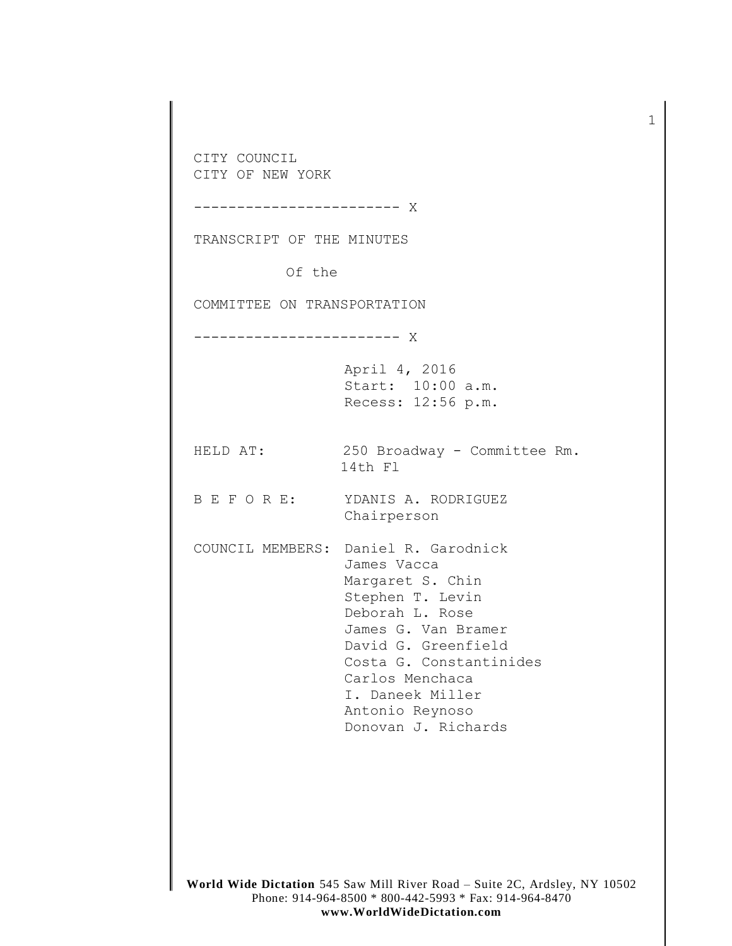CITY COUNCIL CITY OF NEW YORK ------------------------ X TRANSCRIPT OF THE MINUTES Of the COMMITTEE ON TRANSPORTATION ------------------------ X April 4, 2016 Start: 10:00 a.m. Recess: 12:56 p.m. HELD AT: 250 Broadway - Committee Rm. 14th Fl B E F O R E: YDANIS A. RODRIGUEZ Chairperson COUNCIL MEMBERS: Daniel R. Garodnick James Vacca Margaret S. Chin Stephen T. Levin Deborah L. Rose James G. Van Bramer David G. Greenfield Costa G. Constantinides Carlos Menchaca I. Daneek Miller Antonio Reynoso Donovan J. Richards

1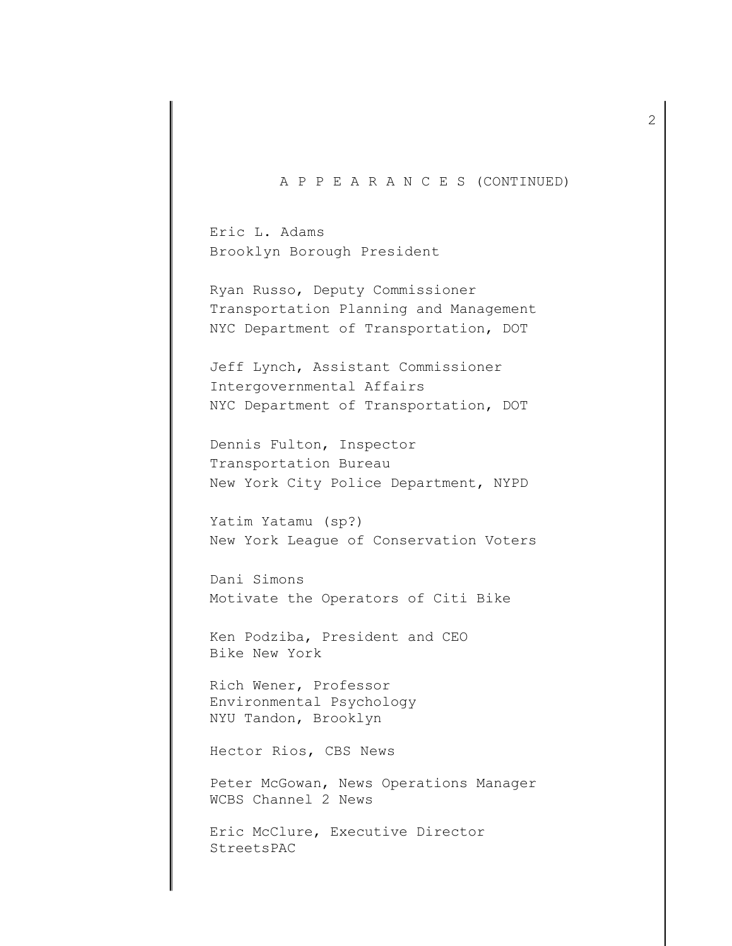# A P P E A R A N C E S (CONTINUED)

Eric L. Adams Brooklyn Borough President

Ryan Russo, Deputy Commissioner Transportation Planning and Management NYC Department of Transportation, DOT

Jeff Lynch, Assistant Commissioner Intergovernmental Affairs NYC Department of Transportation, DOT

Dennis Fulton, Inspector Transportation Bureau New York City Police Department, NYPD

Yatim Yatamu (sp?) New York League of Conservation Voters

Dani Simons Motivate the Operators of Citi Bike

Ken Podziba, President and CEO Bike New York

Rich Wener, Professor Environmental Psychology NYU Tandon, Brooklyn

Hector Rios, CBS News

Peter McGowan, News Operations Manager WCBS Channel 2 News

Eric McClure, Executive Director StreetsPAC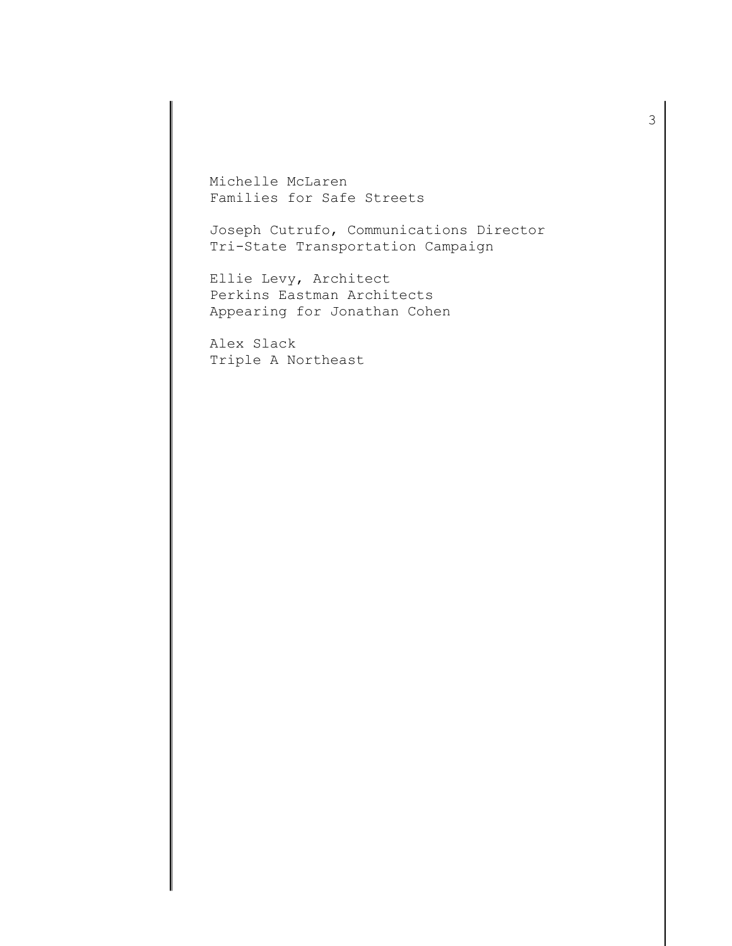Michelle McLaren Families for Safe Streets

Joseph Cutrufo, Communications Director Tri-State Transportation Campaign

Ellie Levy, Architect Perkins Eastman Architects Appearing for Jonathan Cohen

Alex Slack Triple A Northeast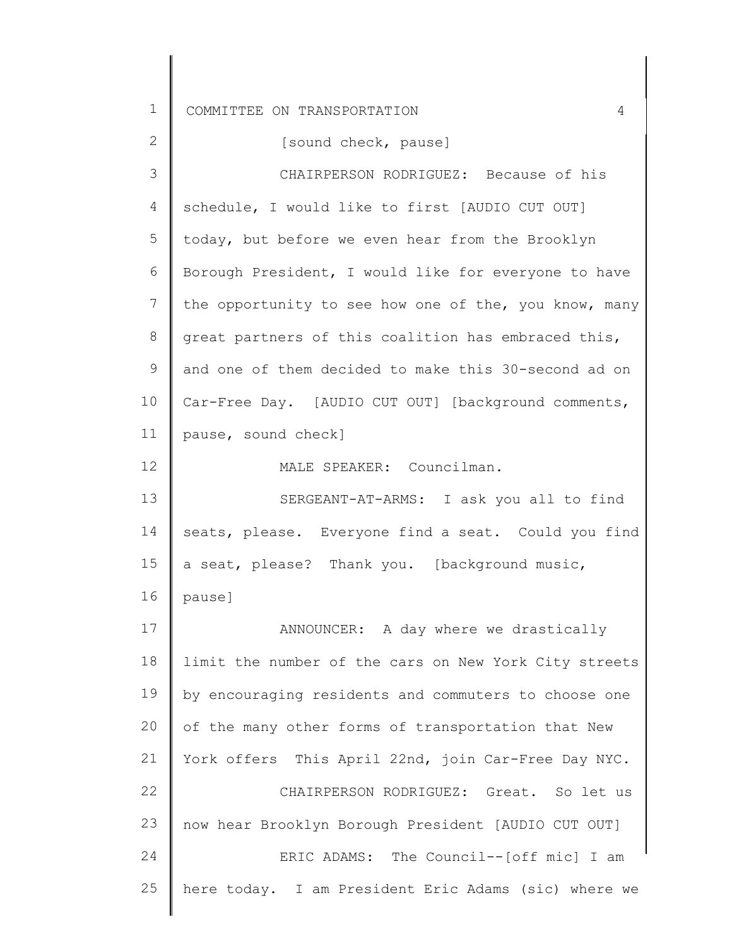| $\overline{2}$ | [sound check, pause]                                  |
|----------------|-------------------------------------------------------|
| 3              | CHAIRPERSON RODRIGUEZ: Because of his                 |
| 4              | schedule, I would like to first [AUDIO CUT OUT]       |
| 5              | today, but before we even hear from the Brooklyn      |
| 6              | Borough President, I would like for everyone to have  |
| $\overline{7}$ | the opportunity to see how one of the, you know, many |
| 8              | great partners of this coalition has embraced this,   |
| 9              | and one of them decided to make this 30-second ad on  |
| 10             | Car-Free Day. [AUDIO CUT OUT] [background comments,   |
| 11             | pause, sound check]                                   |
| 12             | MALE SPEAKER: Councilman.                             |
| 13             | SERGEANT-AT-ARMS: I ask you all to find               |
| 14             | seats, please. Everyone find a seat. Could you find   |
| 15             | a seat, please? Thank you. [background music,         |
| 16             | pause]                                                |
| 17             | ANNOUNCER: A day where we drastically                 |
| 18             | limit the number of the cars on New York City streets |
| 19             | by encouraging residents and commuters to choose one  |
| 20             | of the many other forms of transportation that New    |

22 23 24 25 CHAIRPERSON RODRIGUEZ: Great. So let us now hear Brooklyn Borough President [AUDIO CUT OUT] ERIC ADAMS: The Council--[off mic] I am here today. I am President Eric Adams (sic) where we

York offers This April 22nd, join Car-Free Day NYC.

21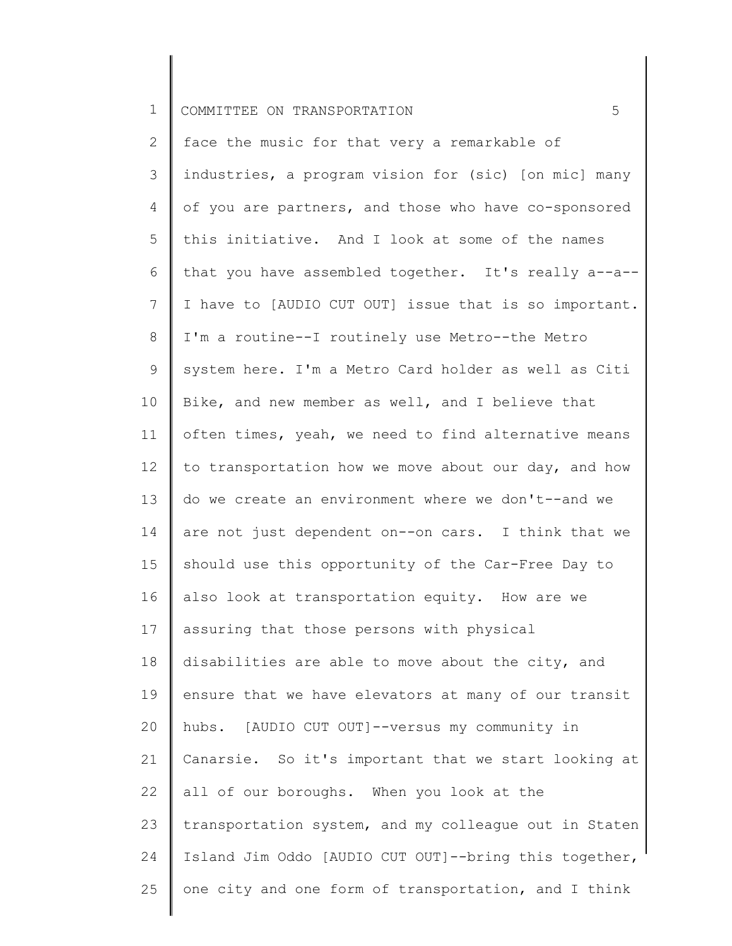2 3 4 5 6 7 8 9 10 11 12 13 14 15 16 17 18 19 20 21 22 23 24 25 face the music for that very a remarkable of industries, a program vision for (sic) [on mic] many of you are partners, and those who have co-sponsored this initiative. And I look at some of the names that you have assembled together. It's really a--a-- I have to [AUDIO CUT OUT] issue that is so important. I'm a routine--I routinely use Metro--the Metro system here. I'm a Metro Card holder as well as Citi Bike, and new member as well, and I believe that often times, yeah, we need to find alternative means to transportation how we move about our day, and how do we create an environment where we don't--and we are not just dependent on--on cars. I think that we should use this opportunity of the Car-Free Day to also look at transportation equity. How are we assuring that those persons with physical disabilities are able to move about the city, and ensure that we have elevators at many of our transit hubs. [AUDIO CUT OUT]--versus my community in Canarsie. So it's important that we start looking at all of our boroughs. When you look at the transportation system, and my colleague out in Staten Island Jim Oddo [AUDIO CUT OUT]--bring this together, one city and one form of transportation, and I think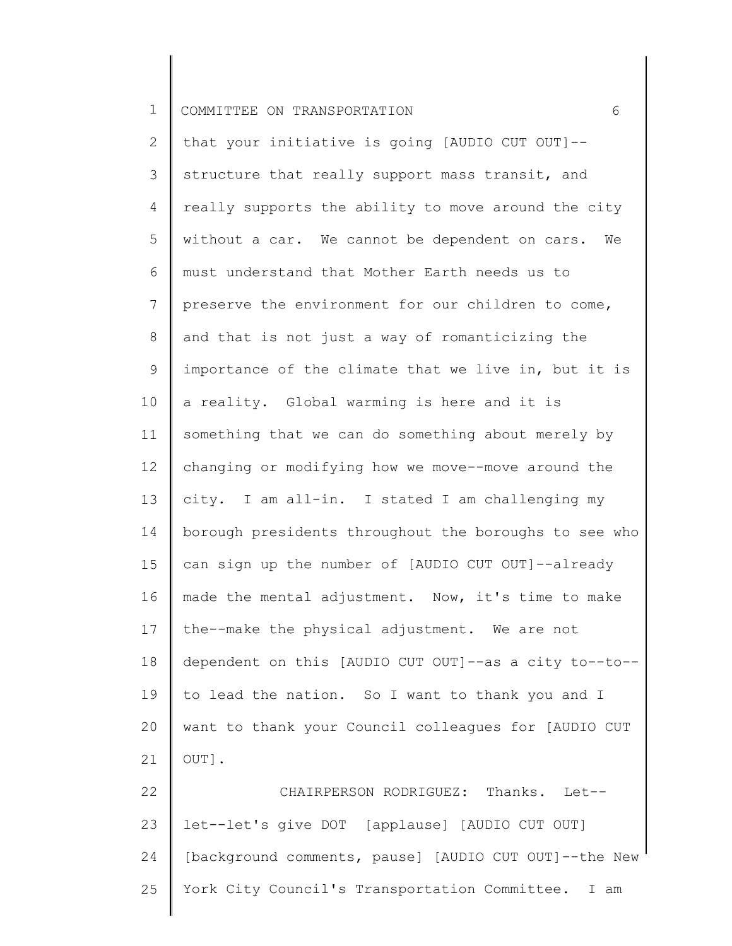2 3 4 5 6 7 8 9 10 11 12 13 14 15 16 17 18 19 20 21 22 23 24 25 that your initiative is going [AUDIO CUT OUT]- structure that really support mass transit, and really supports the ability to move around the city without a car. We cannot be dependent on cars. We must understand that Mother Earth needs us to preserve the environment for our children to come, and that is not just a way of romanticizing the importance of the climate that we live in, but it is a reality. Global warming is here and it is something that we can do something about merely by changing or modifying how we move--move around the city. I am all-in. I stated I am challenging my borough presidents throughout the boroughs to see who can sign up the number of [AUDIO CUT OUT]--already made the mental adjustment. Now, it's time to make the--make the physical adjustment. We are not dependent on this [AUDIO CUT OUT]--as a city to--to- to lead the nation. So I want to thank you and I want to thank your Council colleagues for [AUDIO CUT OUT]. CHAIRPERSON RODRIGUEZ: Thanks. Let- let--let's give DOT [applause] [AUDIO CUT OUT] [background comments, pause] [AUDIO CUT OUT]--the New York City Council's Transportation Committee. I am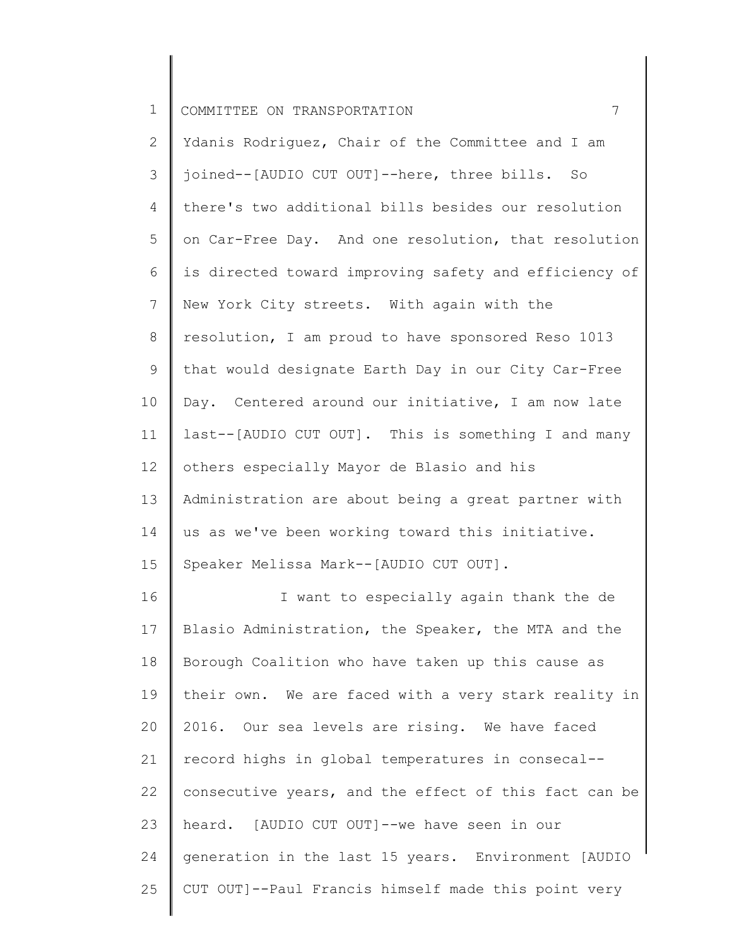2 3 4 5 6 7 8 9 10 11 12 13 14 15 16 17 18 19 20 21 22 23 24 25 Ydanis Rodriguez, Chair of the Committee and I am joined--[AUDIO CUT OUT]--here, three bills. So there's two additional bills besides our resolution on Car-Free Day. And one resolution, that resolution is directed toward improving safety and efficiency of New York City streets. With again with the resolution, I am proud to have sponsored Reso 1013 that would designate Earth Day in our City Car-Free Day. Centered around our initiative, I am now late last--[AUDIO CUT OUT]. This is something I and many others especially Mayor de Blasio and his Administration are about being a great partner with us as we've been working toward this initiative. Speaker Melissa Mark--[AUDIO CUT OUT]. I want to especially again thank the de Blasio Administration, the Speaker, the MTA and the Borough Coalition who have taken up this cause as their own. We are faced with a very stark reality in 2016. Our sea levels are rising. We have faced record highs in global temperatures in consecal- consecutive years, and the effect of this fact can be heard. [AUDIO CUT OUT]--we have seen in our generation in the last 15 years. Environment [AUDIO CUT OUT]--Paul Francis himself made this point very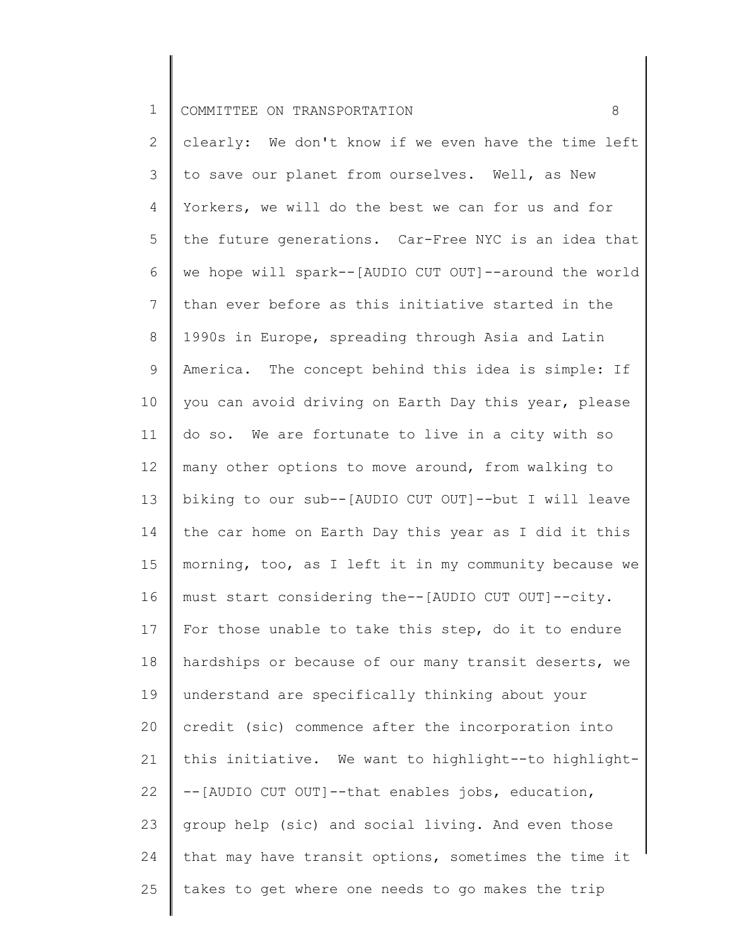2 3 4 5 6 7 8 9 10 11 12 13 14 15 16 17 18 19 20 21 22 23 24 25 clearly: We don't know if we even have the time left to save our planet from ourselves. Well, as New Yorkers, we will do the best we can for us and for the future generations. Car-Free NYC is an idea that we hope will spark--[AUDIO CUT OUT]--around the world than ever before as this initiative started in the 1990s in Europe, spreading through Asia and Latin America. The concept behind this idea is simple: If you can avoid driving on Earth Day this year, please do so. We are fortunate to live in a city with so many other options to move around, from walking to biking to our sub--[AUDIO CUT OUT]--but I will leave the car home on Earth Day this year as I did it this morning, too, as I left it in my community because we must start considering the--[AUDIO CUT OUT]--city. For those unable to take this step, do it to endure hardships or because of our many transit deserts, we understand are specifically thinking about your credit (sic) commence after the incorporation into this initiative. We want to highlight--to highlight- --[AUDIO CUT OUT]--that enables jobs, education, group help (sic) and social living. And even those that may have transit options, sometimes the time it takes to get where one needs to go makes the trip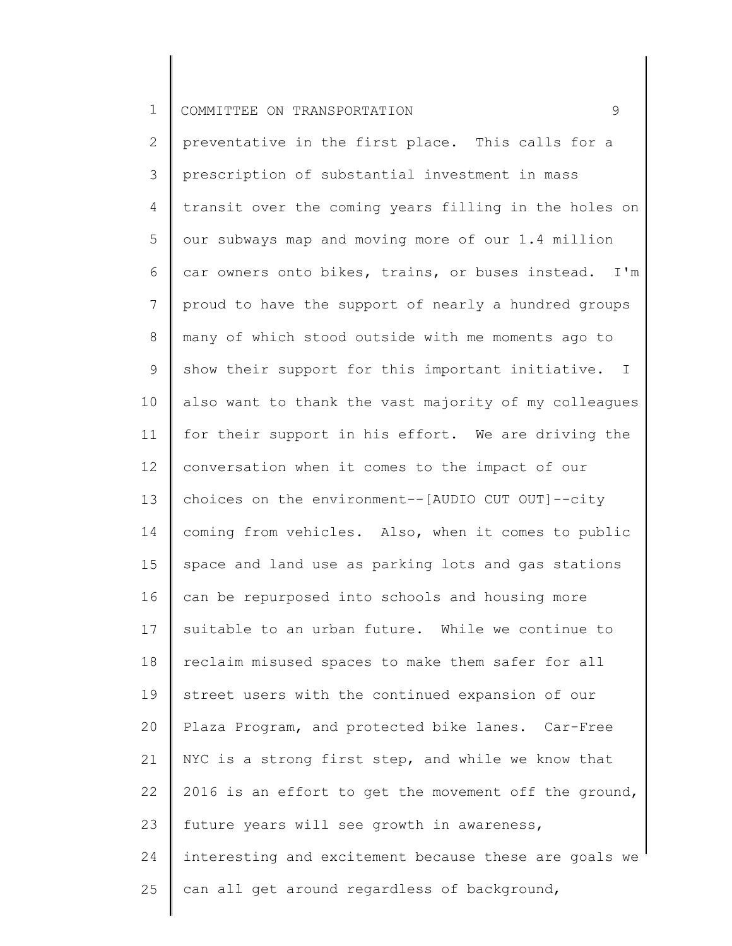2 3 4 5 6 7 8 9 10 11 12 13 14 15 16 17 18 19 20 21 22 23 24 25 preventative in the first place. This calls for a prescription of substantial investment in mass transit over the coming years filling in the holes on our subways map and moving more of our 1.4 million car owners onto bikes, trains, or buses instead. I'm proud to have the support of nearly a hundred groups many of which stood outside with me moments ago to show their support for this important initiative. I also want to thank the vast majority of my colleagues for their support in his effort. We are driving the conversation when it comes to the impact of our choices on the environment--[AUDIO CUT OUT]--city coming from vehicles. Also, when it comes to public space and land use as parking lots and gas stations can be repurposed into schools and housing more suitable to an urban future. While we continue to reclaim misused spaces to make them safer for all street users with the continued expansion of our Plaza Program, and protected bike lanes. Car-Free NYC is a strong first step, and while we know that 2016 is an effort to get the movement off the ground, future years will see growth in awareness, interesting and excitement because these are goals we can all get around regardless of background,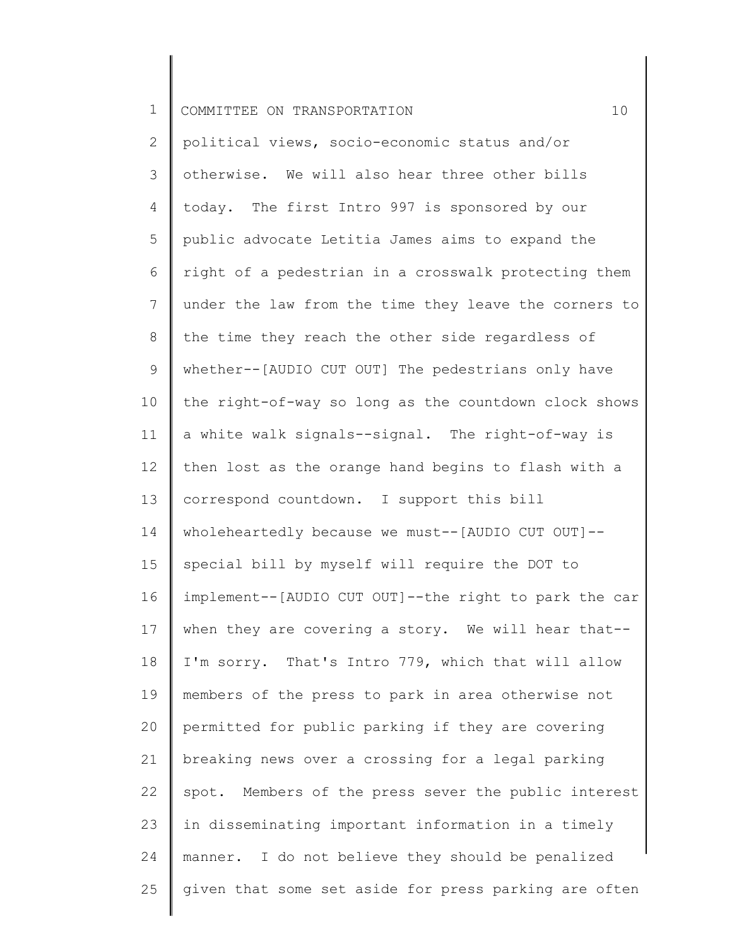2 3 4 5 6 7 8 9 10 11 12 13 14 15 16 17 18 19 20 21 22 23 24 25 political views, socio-economic status and/or otherwise. We will also hear three other bills today. The first Intro 997 is sponsored by our public advocate Letitia James aims to expand the right of a pedestrian in a crosswalk protecting them under the law from the time they leave the corners to the time they reach the other side regardless of whether--[AUDIO CUT OUT] The pedestrians only have the right-of-way so long as the countdown clock shows a white walk signals--signal. The right-of-way is then lost as the orange hand begins to flash with a correspond countdown. I support this bill wholeheartedly because we must--[AUDIO CUT OUT]- special bill by myself will require the DOT to implement--[AUDIO CUT OUT]--the right to park the car when they are covering a story. We will hear that-- I'm sorry. That's Intro 779, which that will allow members of the press to park in area otherwise not permitted for public parking if they are covering breaking news over a crossing for a legal parking spot. Members of the press sever the public interest in disseminating important information in a timely manner. I do not believe they should be penalized given that some set aside for press parking are often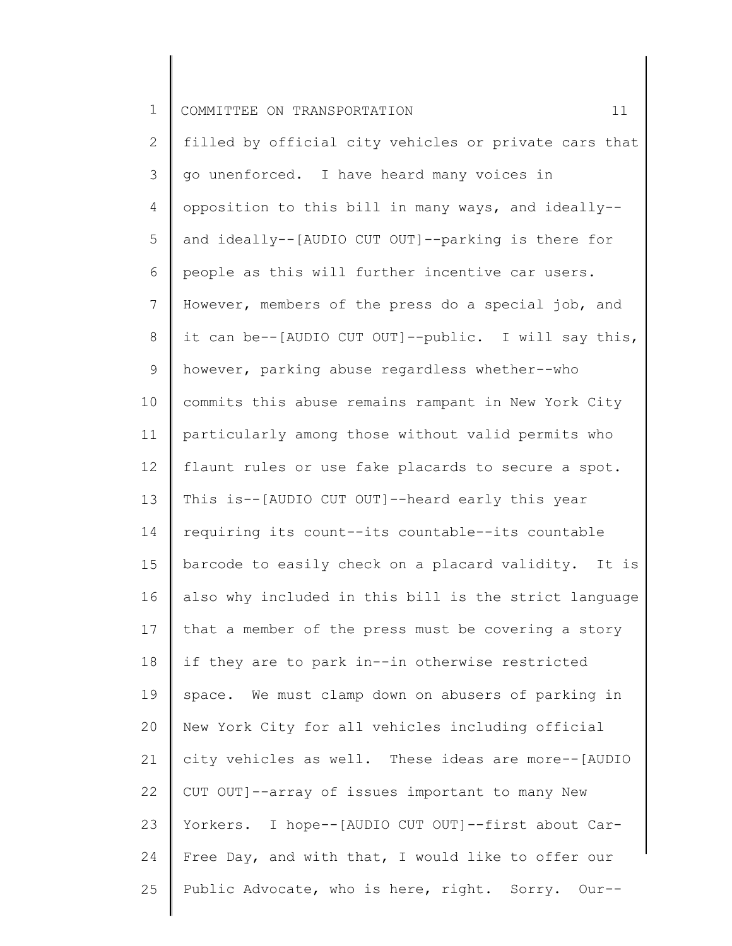2 3 4 5 6 7 8 9 10 11 12 13 14 15 16 17 18 19 20 21 22 23 24 25 filled by official city vehicles or private cars that go unenforced. I have heard many voices in opposition to this bill in many ways, and ideally- and ideally--[AUDIO CUT OUT]--parking is there for people as this will further incentive car users. However, members of the press do a special job, and it can be--[AUDIO CUT OUT]--public. I will say this, however, parking abuse regardless whether--who commits this abuse remains rampant in New York City particularly among those without valid permits who flaunt rules or use fake placards to secure a spot. This is--[AUDIO CUT OUT]--heard early this year requiring its count--its countable--its countable barcode to easily check on a placard validity. It is also why included in this bill is the strict language that a member of the press must be covering a story if they are to park in--in otherwise restricted space. We must clamp down on abusers of parking in New York City for all vehicles including official city vehicles as well. These ideas are more--[AUDIO CUT OUT]--array of issues important to many New Yorkers. I hope--[AUDIO CUT OUT]--first about Car-Free Day, and with that, I would like to offer our Public Advocate, who is here, right. Sorry. Our--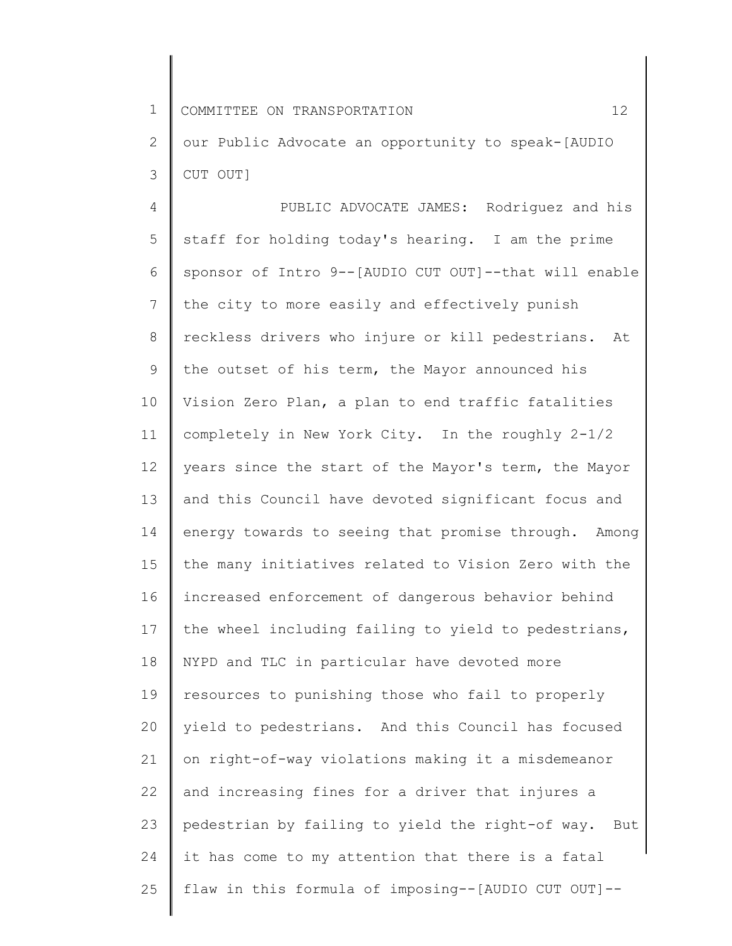2 3 our Public Advocate an opportunity to speak-[AUDIO CUT OUT]

4 5 6 7 8 9 10 11 12 13 14 15 16 17 18 19 20 21 22 23 24 25 PUBLIC ADVOCATE JAMES: Rodriguez and his staff for holding today's hearing. I am the prime sponsor of Intro 9--[AUDIO CUT OUT]--that will enable the city to more easily and effectively punish reckless drivers who injure or kill pedestrians. At the outset of his term, the Mayor announced his Vision Zero Plan, a plan to end traffic fatalities completely in New York City. In the roughly 2-1/2 years since the start of the Mayor's term, the Mayor and this Council have devoted significant focus and energy towards to seeing that promise through. Among the many initiatives related to Vision Zero with the increased enforcement of dangerous behavior behind the wheel including failing to yield to pedestrians, NYPD and TLC in particular have devoted more resources to punishing those who fail to properly yield to pedestrians. And this Council has focused on right-of-way violations making it a misdemeanor and increasing fines for a driver that injures a pedestrian by failing to yield the right-of way. But it has come to my attention that there is a fatal flaw in this formula of imposing--[AUDIO CUT OUT]--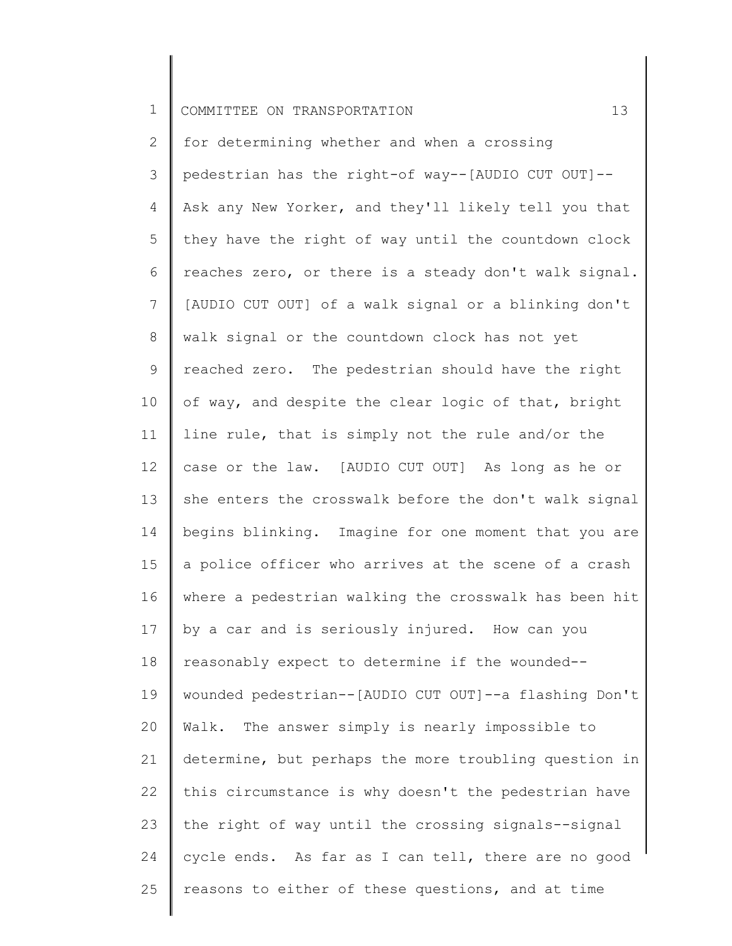2 3 4 5 6 7 8 9 10 11 12 13 14 15 16 17 18 19 20 21 22 23 24 25 for determining whether and when a crossing pedestrian has the right-of way--[AUDIO CUT OUT]-- Ask any New Yorker, and they'll likely tell you that they have the right of way until the countdown clock reaches zero, or there is a steady don't walk signal. [AUDIO CUT OUT] of a walk signal or a blinking don't walk signal or the countdown clock has not yet reached zero. The pedestrian should have the right of way, and despite the clear logic of that, bright line rule, that is simply not the rule and/or the case or the law. [AUDIO CUT OUT] As long as he or she enters the crosswalk before the don't walk signal begins blinking. Imagine for one moment that you are a police officer who arrives at the scene of a crash where a pedestrian walking the crosswalk has been hit by a car and is seriously injured. How can you reasonably expect to determine if the wounded- wounded pedestrian--[AUDIO CUT OUT]--a flashing Don't Walk. The answer simply is nearly impossible to determine, but perhaps the more troubling question in this circumstance is why doesn't the pedestrian have the right of way until the crossing signals--signal cycle ends. As far as I can tell, there are no good reasons to either of these questions, and at time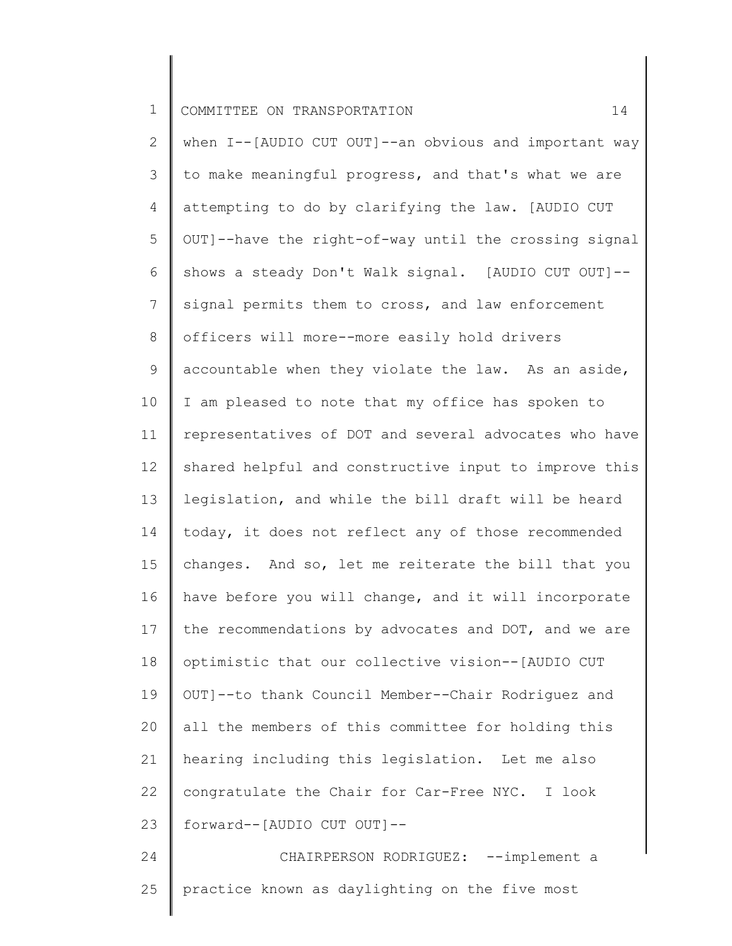2 3 4 5 6 7 8 9 10 11 12 13 14 15 16 17 18 19 20 21 22 23 when I--[AUDIO CUT OUT]--an obvious and important way to make meaningful progress, and that's what we are attempting to do by clarifying the law. [AUDIO CUT OUT]--have the right-of-way until the crossing signal shows a steady Don't Walk signal. [AUDIO CUT OUT]- signal permits them to cross, and law enforcement officers will more--more easily hold drivers accountable when they violate the law. As an aside, I am pleased to note that my office has spoken to representatives of DOT and several advocates who have shared helpful and constructive input to improve this legislation, and while the bill draft will be heard today, it does not reflect any of those recommended changes. And so, let me reiterate the bill that you have before you will change, and it will incorporate the recommendations by advocates and DOT, and we are optimistic that our collective vision--[AUDIO CUT OUT]--to thank Council Member--Chair Rodriguez and all the members of this committee for holding this hearing including this legislation. Let me also congratulate the Chair for Car-Free NYC. I look forward--[AUDIO CUT OUT]--

24 25 CHAIRPERSON RODRIGUEZ: -- implement a practice known as daylighting on the five most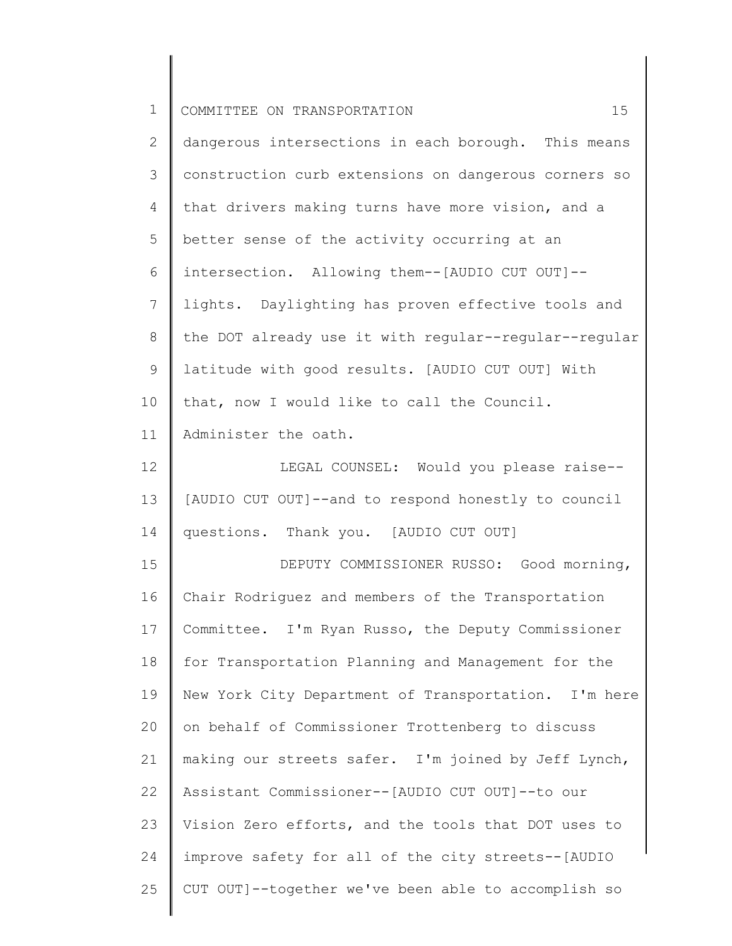| $\mathbf 1$    | 15<br>COMMITTEE ON TRANSPORTATION                     |
|----------------|-------------------------------------------------------|
| $\overline{2}$ | dangerous intersections in each borough. This means   |
| 3              | construction curb extensions on dangerous corners so  |
| 4              | that drivers making turns have more vision, and a     |
| 5              | better sense of the activity occurring at an          |
| 6              | intersection. Allowing them--[AUDIO CUT OUT]--        |
| $7\phantom{.}$ | lights. Daylighting has proven effective tools and    |
| 8              | the DOT already use it with regular--regular--regular |
| $\mathsf 9$    | latitude with good results. [AUDIO CUT OUT] With      |
| 10             | that, now I would like to call the Council.           |
| 11             | Administer the oath.                                  |
| 12             | LEGAL COUNSEL: Would you please raise--               |
| 13             | [AUDIO CUT OUT]--and to respond honestly to council   |
| 14             | questions. Thank you. [AUDIO CUT OUT]                 |
| 15             | DEPUTY COMMISSIONER RUSSO: Good morning,              |
| 16             | Chair Rodriguez and members of the Transportation     |
| 17             | Committee. I'm Ryan Russo, the Deputy Commissioner    |
| 18             | for Transportation Planning and Management for the    |
| 19             | New York City Department of Transportation. I'm here  |
| 20             | on behalf of Commissioner Trottenberg to discuss      |
| 21             | making our streets safer. I'm joined by Jeff Lynch,   |
| 22             | Assistant Commissioner--[AUDIO CUT OUT]--to our       |
| 23             | Vision Zero efforts, and the tools that DOT uses to   |
| 24             | improve safety for all of the city streets--[AUDIO    |
| 25             | CUT OUT]--together we've been able to accomplish so   |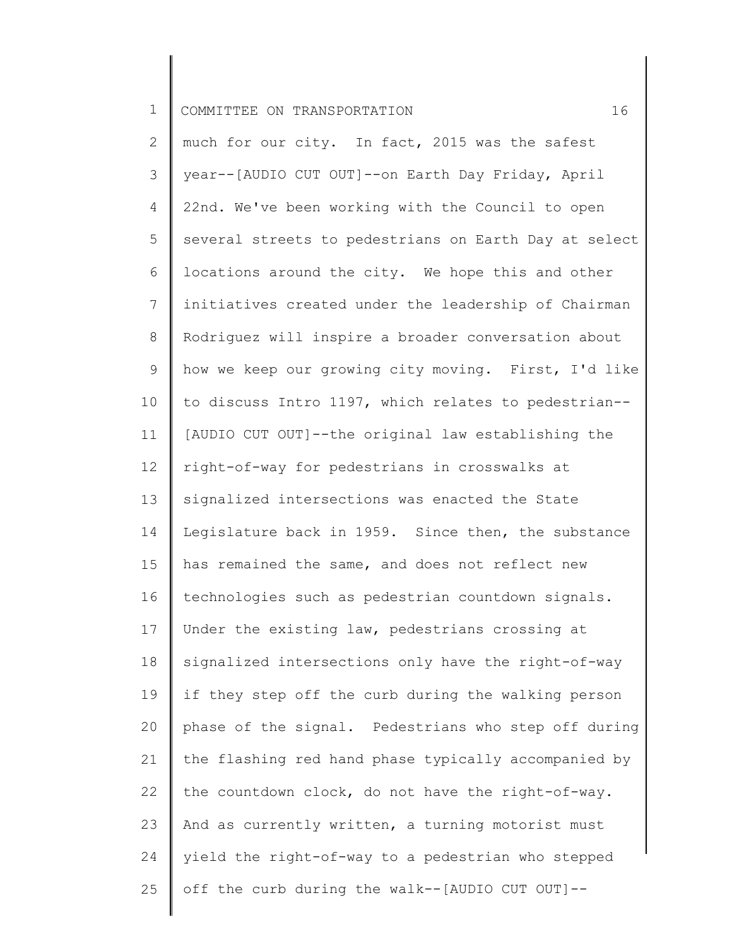2 3 4 5 6 7 8 9 10 11 12 13 14 15 16 17 18 19 20 21 22 23 24 25 much for our city. In fact, 2015 was the safest year--[AUDIO CUT OUT]--on Earth Day Friday, April 22nd. We've been working with the Council to open several streets to pedestrians on Earth Day at select locations around the city. We hope this and other initiatives created under the leadership of Chairman Rodriguez will inspire a broader conversation about how we keep our growing city moving. First, I'd like to discuss Intro 1197, which relates to pedestrian-- [AUDIO CUT OUT]--the original law establishing the right-of-way for pedestrians in crosswalks at signalized intersections was enacted the State Legislature back in 1959. Since then, the substance has remained the same, and does not reflect new technologies such as pedestrian countdown signals. Under the existing law, pedestrians crossing at signalized intersections only have the right-of-way if they step off the curb during the walking person phase of the signal. Pedestrians who step off during the flashing red hand phase typically accompanied by the countdown clock, do not have the right-of-way. And as currently written, a turning motorist must yield the right-of-way to a pedestrian who stepped off the curb during the walk--[AUDIO CUT OUT]--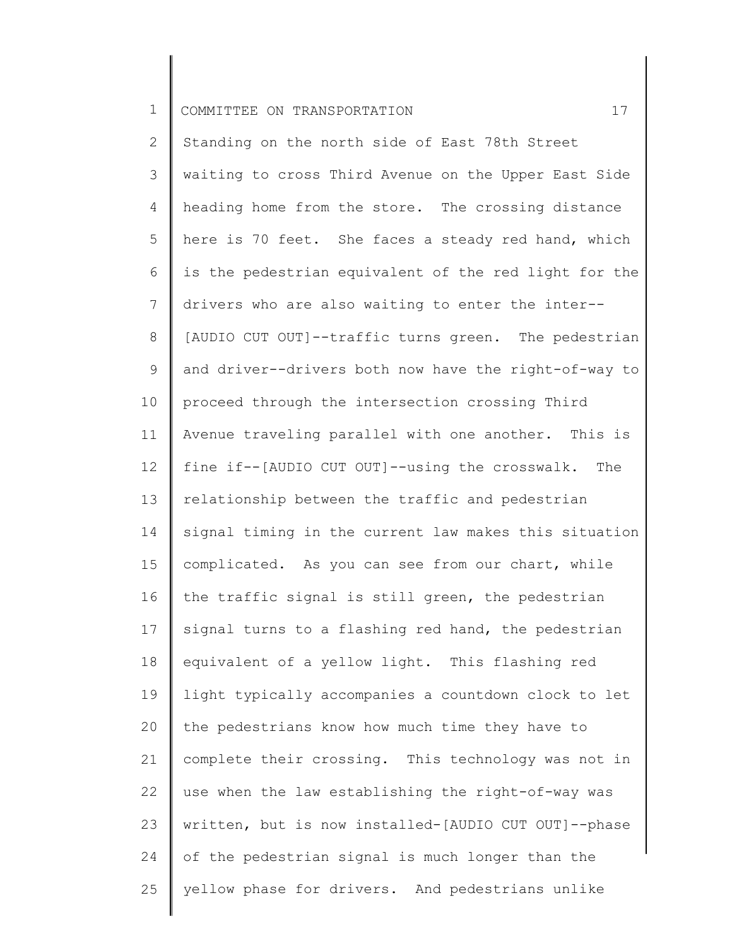2 3 4 5 6 7 8 9 10 11 12 13 14 15 16 17 18 19 20 21 22 23 24 25 Standing on the north side of East 78th Street waiting to cross Third Avenue on the Upper East Side heading home from the store. The crossing distance here is 70 feet. She faces a steady red hand, which is the pedestrian equivalent of the red light for the drivers who are also waiting to enter the inter-- [AUDIO CUT OUT]--traffic turns green. The pedestrian and driver--drivers both now have the right-of-way to proceed through the intersection crossing Third Avenue traveling parallel with one another. This is fine if--[AUDIO CUT OUT]--using the crosswalk. The relationship between the traffic and pedestrian signal timing in the current law makes this situation complicated. As you can see from our chart, while the traffic signal is still green, the pedestrian signal turns to a flashing red hand, the pedestrian equivalent of a yellow light. This flashing red light typically accompanies a countdown clock to let the pedestrians know how much time they have to complete their crossing. This technology was not in use when the law establishing the right-of-way was written, but is now installed-[AUDIO CUT OUT]--phase of the pedestrian signal is much longer than the yellow phase for drivers. And pedestrians unlike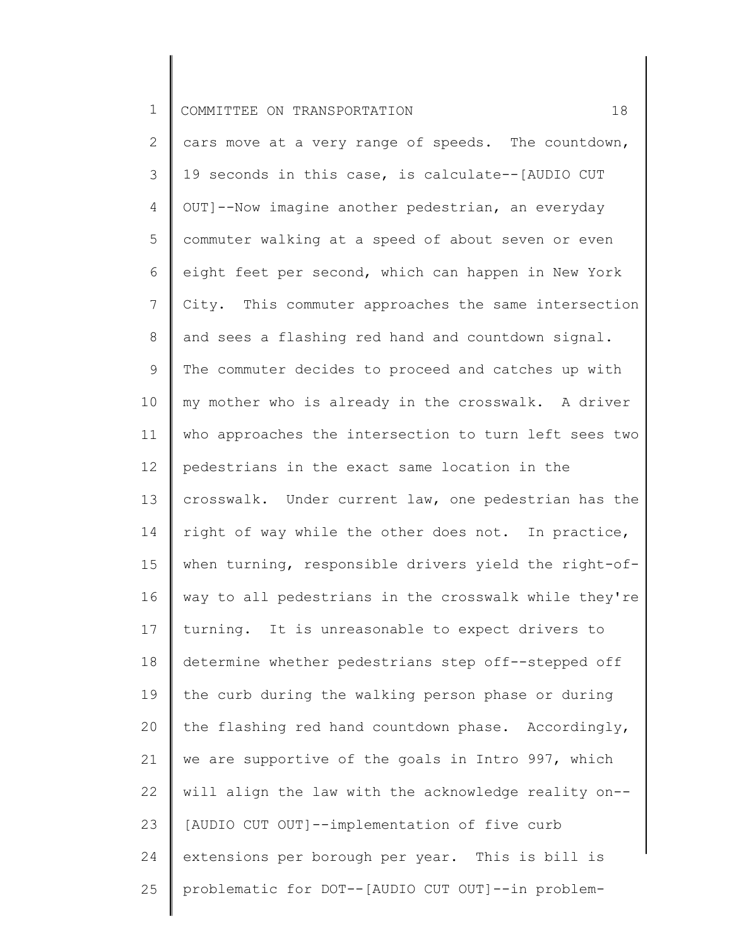2 3 4 5 6 7 8 9 10 11 12 13 14 15 16 17 18 19 20 21 22 23 24 25 cars move at a very range of speeds. The countdown, 19 seconds in this case, is calculate--[AUDIO CUT OUT]--Now imagine another pedestrian, an everyday commuter walking at a speed of about seven or even eight feet per second, which can happen in New York City. This commuter approaches the same intersection and sees a flashing red hand and countdown signal. The commuter decides to proceed and catches up with my mother who is already in the crosswalk. A driver who approaches the intersection to turn left sees two pedestrians in the exact same location in the crosswalk. Under current law, one pedestrian has the right of way while the other does not. In practice, when turning, responsible drivers yield the right-ofway to all pedestrians in the crosswalk while they're turning. It is unreasonable to expect drivers to determine whether pedestrians step off--stepped off the curb during the walking person phase or during the flashing red hand countdown phase. Accordingly, we are supportive of the goals in Intro 997, which will align the law with the acknowledge reality on-- [AUDIO CUT OUT]--implementation of five curb extensions per borough per year. This is bill is problematic for DOT--[AUDIO CUT OUT]--in problem-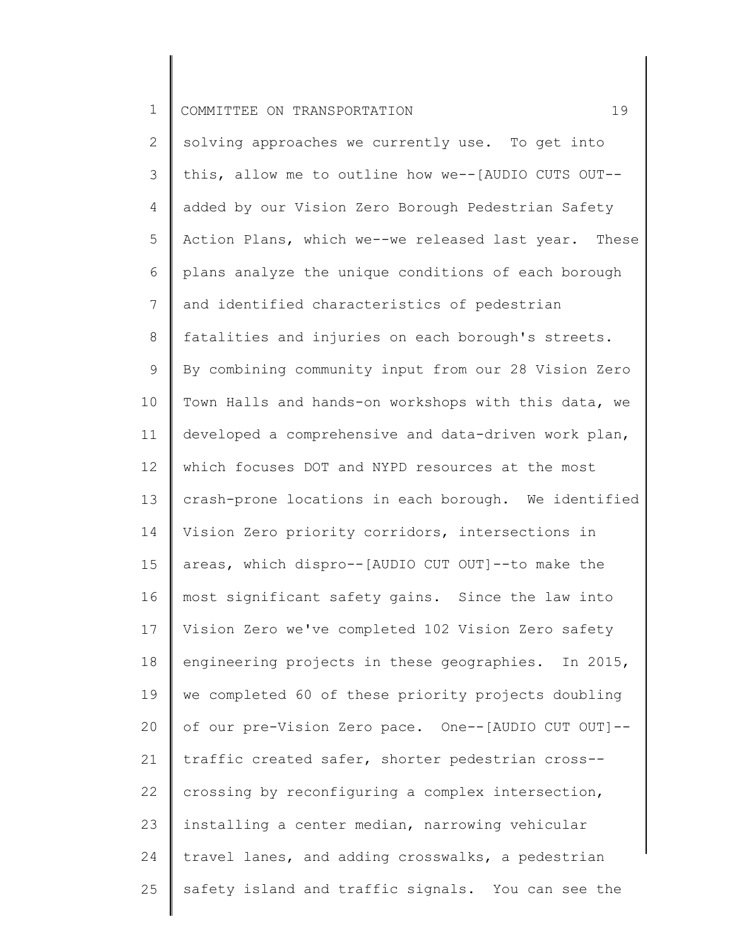2 3 4 5 6 7 8 9 10 11 12 13 14 15 16 17 18 19 20 21 22 23 24 25 solving approaches we currently use. To get into this, allow me to outline how we--[AUDIO CUTS OUT- added by our Vision Zero Borough Pedestrian Safety Action Plans, which we--we released last year. These plans analyze the unique conditions of each borough and identified characteristics of pedestrian fatalities and injuries on each borough's streets. By combining community input from our 28 Vision Zero Town Halls and hands-on workshops with this data, we developed a comprehensive and data-driven work plan, which focuses DOT and NYPD resources at the most crash-prone locations in each borough. We identified Vision Zero priority corridors, intersections in areas, which dispro--[AUDIO CUT OUT]--to make the most significant safety gains. Since the law into Vision Zero we've completed 102 Vision Zero safety engineering projects in these geographies. In 2015, we completed 60 of these priority projects doubling of our pre-Vision Zero pace. One--[AUDIO CUT OUT]- traffic created safer, shorter pedestrian cross- crossing by reconfiguring a complex intersection, installing a center median, narrowing vehicular travel lanes, and adding crosswalks, a pedestrian safety island and traffic signals. You can see the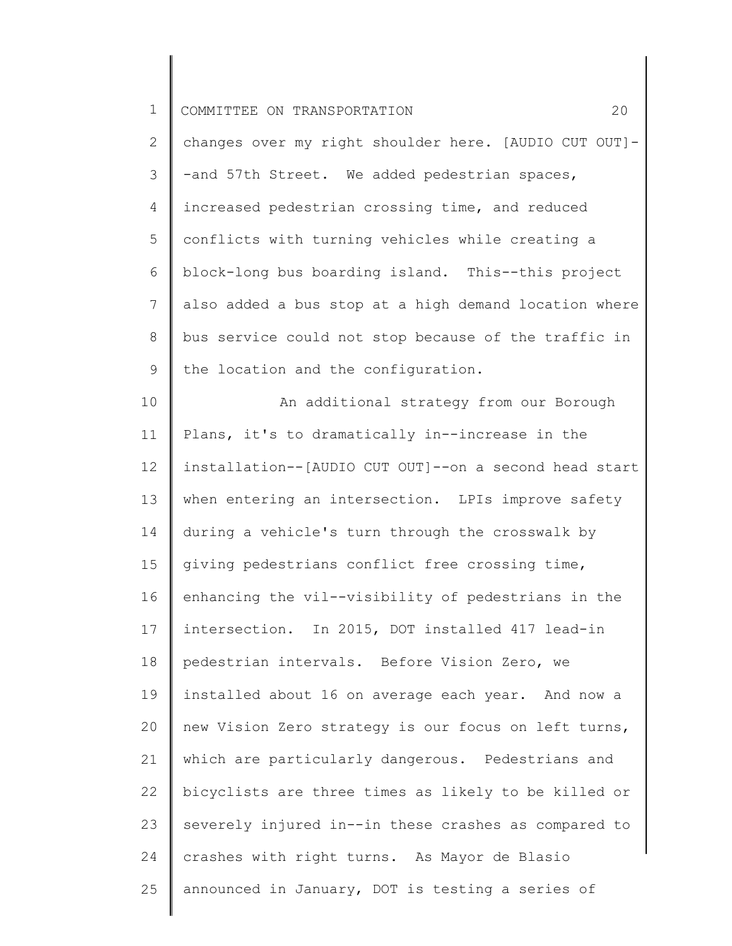2 3 4 5 6 7 8 9 changes over my right shoulder here. [AUDIO CUT OUT]- -and 57th Street. We added pedestrian spaces, increased pedestrian crossing time, and reduced conflicts with turning vehicles while creating a block-long bus boarding island. This--this project also added a bus stop at a high demand location where bus service could not stop because of the traffic in the location and the configuration.

10 11 12 13 14 15 16 17 18 19 20 21 22 23 24 25 An additional strategy from our Borough Plans, it's to dramatically in--increase in the installation--[AUDIO CUT OUT]--on a second head start when entering an intersection. LPIs improve safety during a vehicle's turn through the crosswalk by giving pedestrians conflict free crossing time, enhancing the vil--visibility of pedestrians in the intersection. In 2015, DOT installed 417 lead-in pedestrian intervals. Before Vision Zero, we installed about 16 on average each year. And now a new Vision Zero strategy is our focus on left turns, which are particularly dangerous. Pedestrians and bicyclists are three times as likely to be killed or severely injured in--in these crashes as compared to crashes with right turns. As Mayor de Blasio announced in January, DOT is testing a series of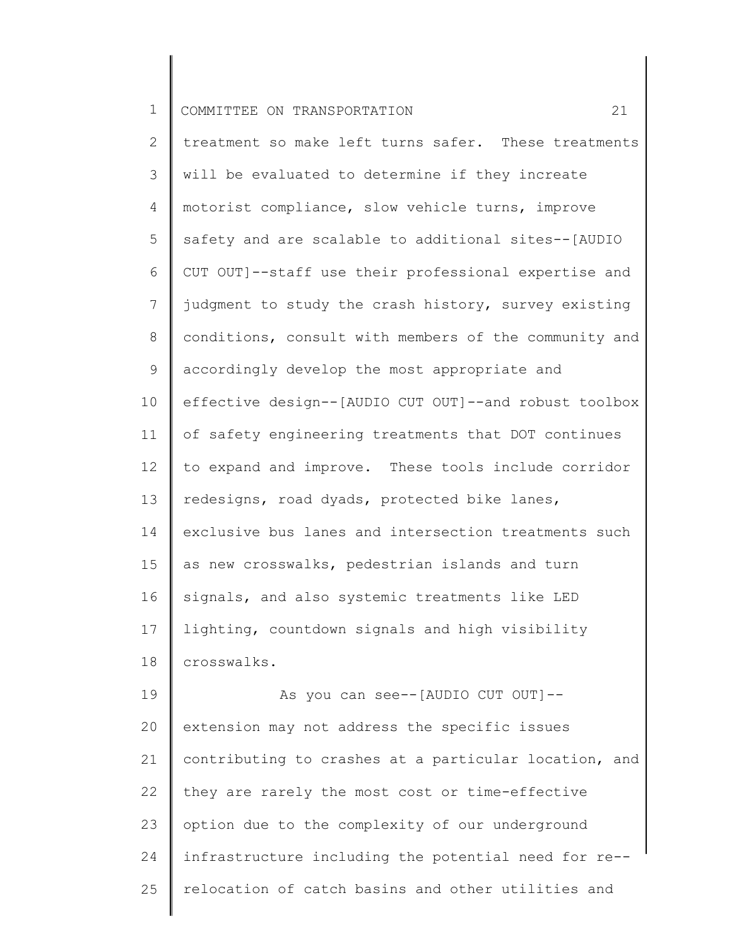25

2 3 4 5 6 7 8 9 10 11 12 13 14 15 16 17 18 19 20 21 22 23 24 treatment so make left turns safer. These treatments will be evaluated to determine if they increate motorist compliance, slow vehicle turns, improve safety and are scalable to additional sites--[AUDIO CUT OUT]--staff use their professional expertise and judgment to study the crash history, survey existing conditions, consult with members of the community and accordingly develop the most appropriate and effective design--[AUDIO CUT OUT]--and robust toolbox of safety engineering treatments that DOT continues to expand and improve. These tools include corridor redesigns, road dyads, protected bike lanes, exclusive bus lanes and intersection treatments such as new crosswalks, pedestrian islands and turn signals, and also systemic treatments like LED lighting, countdown signals and high visibility crosswalks. As you can see--[AUDIO CUT OUT]- extension may not address the specific issues contributing to crashes at a particular location, and they are rarely the most cost or time-effective option due to the complexity of our underground infrastructure including the potential need for re--

relocation of catch basins and other utilities and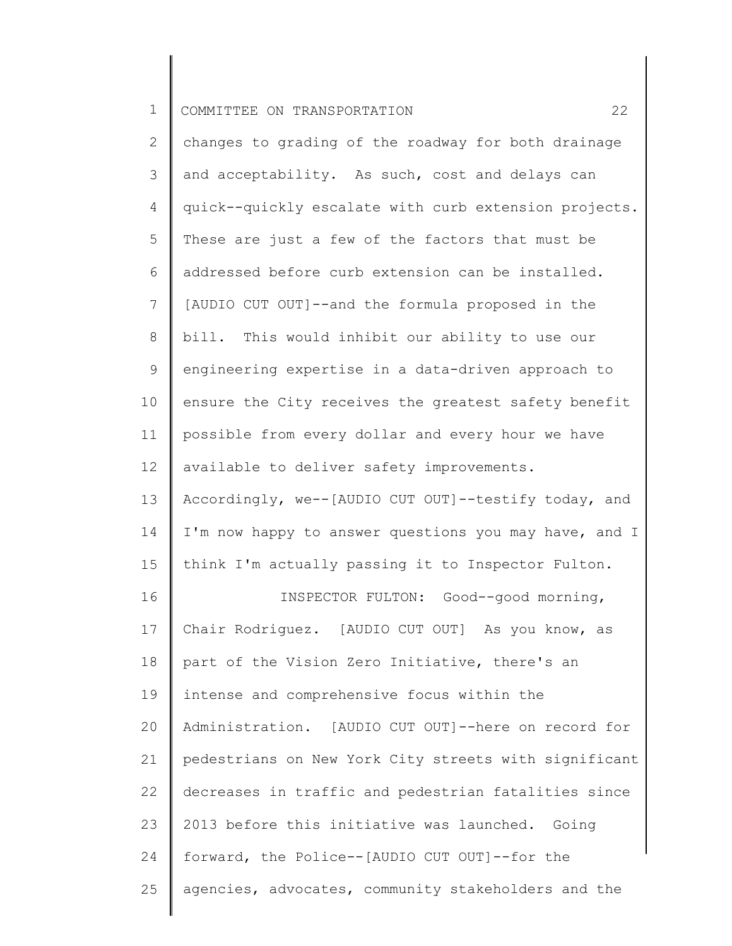2 3 4 5 6 7 8 9 10 11 12 13 14 15 16 17 18 19 20 21 22 23 24 25 changes to grading of the roadway for both drainage and acceptability. As such, cost and delays can quick--quickly escalate with curb extension projects. These are just a few of the factors that must be addressed before curb extension can be installed. [AUDIO CUT OUT]--and the formula proposed in the bill. This would inhibit our ability to use our engineering expertise in a data-driven approach to ensure the City receives the greatest safety benefit possible from every dollar and every hour we have available to deliver safety improvements. Accordingly, we--[AUDIO CUT OUT]--testify today, and I'm now happy to answer questions you may have, and I think I'm actually passing it to Inspector Fulton. INSPECTOR FULTON: Good--good morning, Chair Rodriguez. [AUDIO CUT OUT] As you know, as part of the Vision Zero Initiative, there's an intense and comprehensive focus within the Administration. [AUDIO CUT OUT]--here on record for pedestrians on New York City streets with significant decreases in traffic and pedestrian fatalities since 2013 before this initiative was launched. Going forward, the Police--[AUDIO CUT OUT]--for the agencies, advocates, community stakeholders and the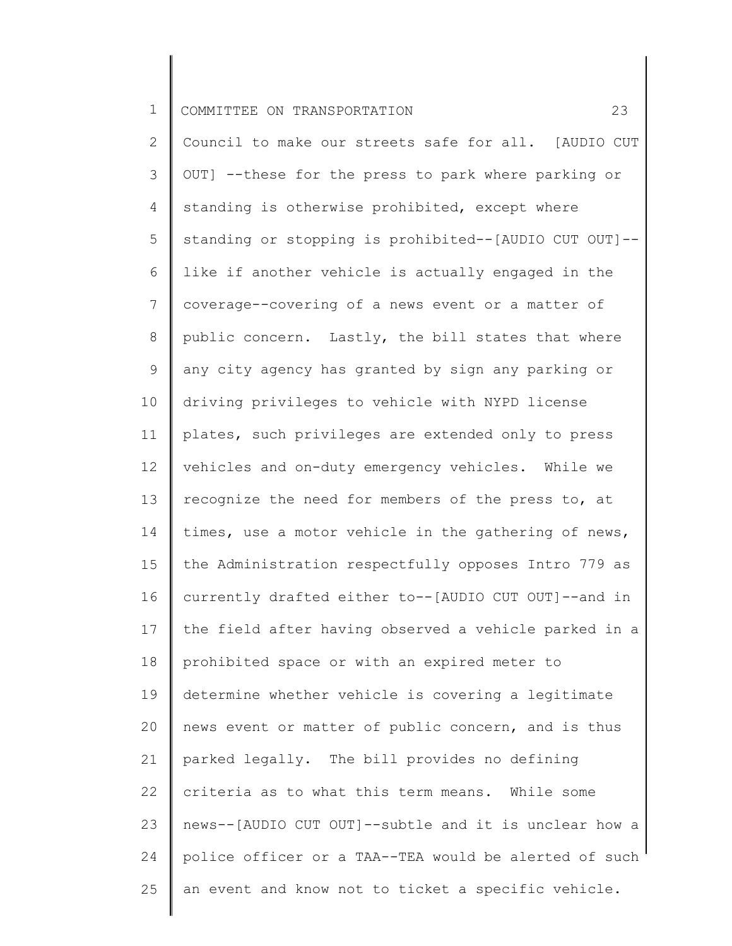2 3 4 5 6 7 8 9 10 11 12 13 14 15 16 17 18 19 20 21 22 23 24 25 Council to make our streets safe for all. [AUDIO CUT OUT] --these for the press to park where parking or standing is otherwise prohibited, except where standing or stopping is prohibited--[AUDIO CUT OUT]- like if another vehicle is actually engaged in the coverage--covering of a news event or a matter of public concern. Lastly, the bill states that where any city agency has granted by sign any parking or driving privileges to vehicle with NYPD license plates, such privileges are extended only to press vehicles and on-duty emergency vehicles. While we recognize the need for members of the press to, at times, use a motor vehicle in the gathering of news, the Administration respectfully opposes Intro 779 as currently drafted either to--[AUDIO CUT OUT]--and in the field after having observed a vehicle parked in a prohibited space or with an expired meter to determine whether vehicle is covering a legitimate news event or matter of public concern, and is thus parked legally. The bill provides no defining criteria as to what this term means. While some news--[AUDIO CUT OUT]--subtle and it is unclear how a police officer or a TAA--TEA would be alerted of such an event and know not to ticket a specific vehicle.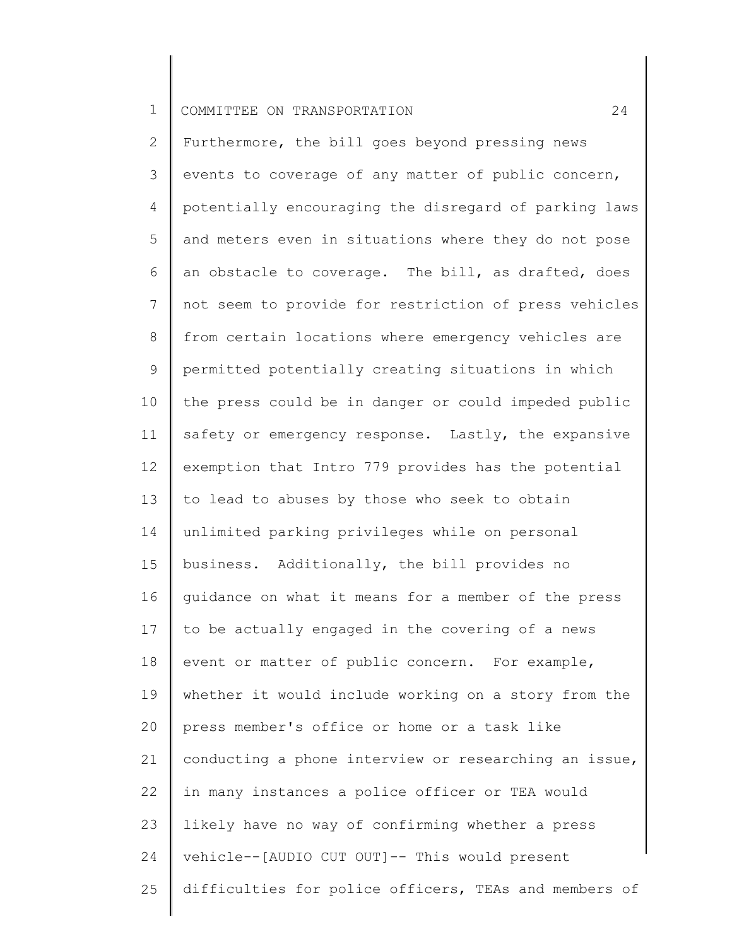2 3 4 5 6 7 8 9 10 11 12 13 14 15 16 17 18 19 20 21 22 23 24 25 Furthermore, the bill goes beyond pressing news events to coverage of any matter of public concern, potentially encouraging the disregard of parking laws and meters even in situations where they do not pose an obstacle to coverage. The bill, as drafted, does not seem to provide for restriction of press vehicles from certain locations where emergency vehicles are permitted potentially creating situations in which the press could be in danger or could impeded public safety or emergency response. Lastly, the expansive exemption that Intro 779 provides has the potential to lead to abuses by those who seek to obtain unlimited parking privileges while on personal business. Additionally, the bill provides no guidance on what it means for a member of the press to be actually engaged in the covering of a news event or matter of public concern. For example, whether it would include working on a story from the press member's office or home or a task like conducting a phone interview or researching an issue, in many instances a police officer or TEA would likely have no way of confirming whether a press vehicle--[AUDIO CUT OUT]-- This would present difficulties for police officers, TEAs and members of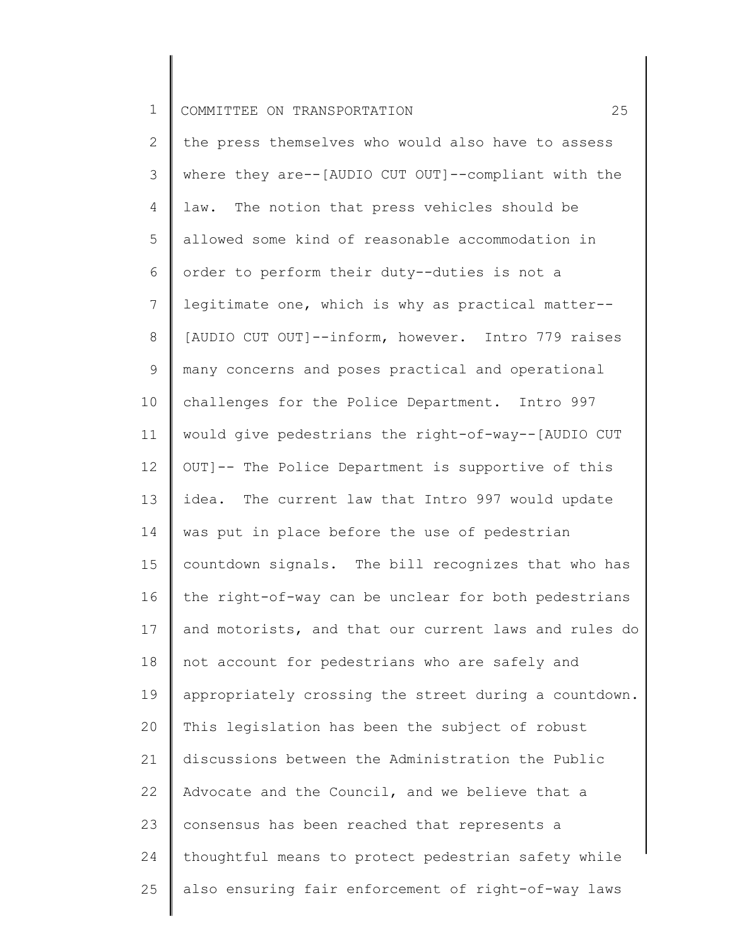2 3 4 5 6 7 8 9 10 11 12 13 14 15 16 17 18 19 20 21 22 23 24 25 the press themselves who would also have to assess where they are--[AUDIO CUT OUT]--compliant with the law. The notion that press vehicles should be allowed some kind of reasonable accommodation in order to perform their duty--duties is not a legitimate one, which is why as practical matter-- [AUDIO CUT OUT]--inform, however. Intro 779 raises many concerns and poses practical and operational challenges for the Police Department. Intro 997 would give pedestrians the right-of-way--[AUDIO CUT OUT]-- The Police Department is supportive of this idea. The current law that Intro 997 would update was put in place before the use of pedestrian countdown signals. The bill recognizes that who has the right-of-way can be unclear for both pedestrians and motorists, and that our current laws and rules do not account for pedestrians who are safely and appropriately crossing the street during a countdown. This legislation has been the subject of robust discussions between the Administration the Public Advocate and the Council, and we believe that a consensus has been reached that represents a thoughtful means to protect pedestrian safety while also ensuring fair enforcement of right-of-way laws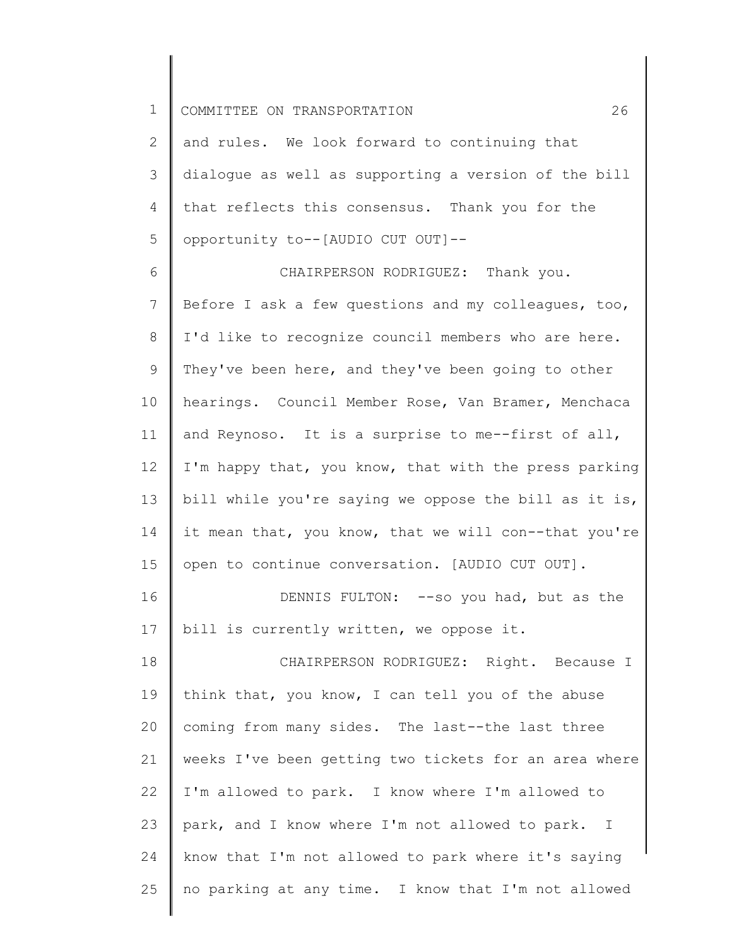2 3 4 5 and rules. We look forward to continuing that dialogue as well as supporting a version of the bill that reflects this consensus. Thank you for the opportunity to--[AUDIO CUT OUT]--

6 7 8 9 10 11 12 13 14 15 CHAIRPERSON RODRIGUEZ: Thank you. Before I ask a few questions and my colleagues, too, I'd like to recognize council members who are here. They've been here, and they've been going to other hearings. Council Member Rose, Van Bramer, Menchaca and Reynoso. It is a surprise to me--first of all, I'm happy that, you know, that with the press parking bill while you're saying we oppose the bill as it is, it mean that, you know, that we will con--that you're open to continue conversation. [AUDIO CUT OUT].

16 17 DENNIS FULTON: --so you had, but as the bill is currently written, we oppose it.

18 19 20 21 22 23 24 25 CHAIRPERSON RODRIGUEZ: Right. Because I think that, you know, I can tell you of the abuse coming from many sides. The last--the last three weeks I've been getting two tickets for an area where I'm allowed to park. I know where I'm allowed to park, and I know where I'm not allowed to park. I know that I'm not allowed to park where it's saying no parking at any time. I know that I'm not allowed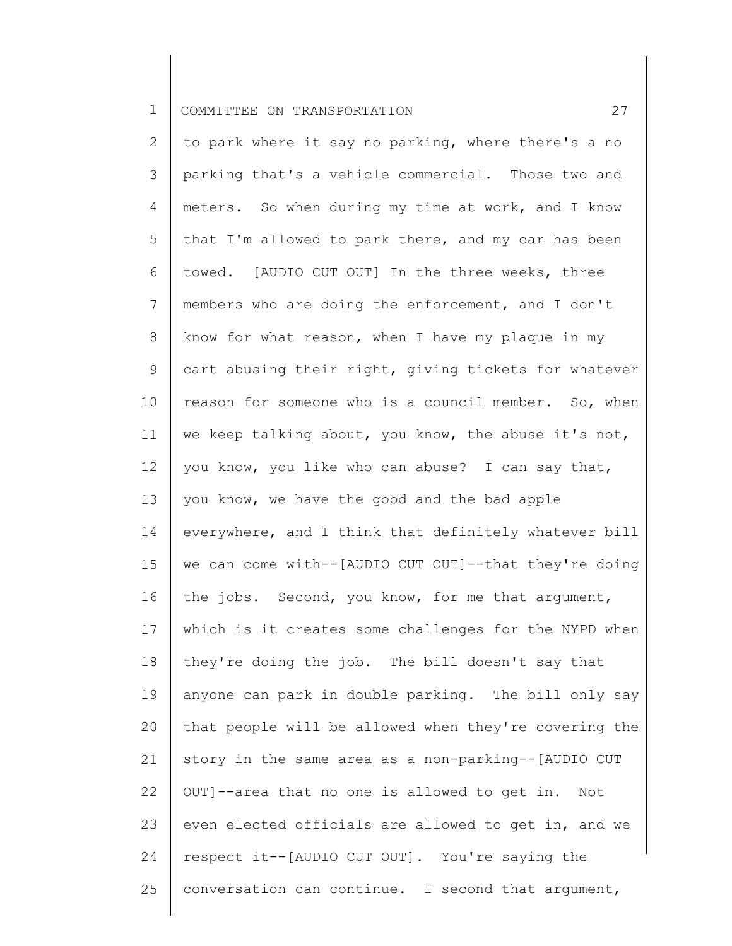2 3 4 5 6 7 8 9 10 11 12 13 14 15 16 17 18 19 20 21 22 23 24 25 to park where it say no parking, where there's a no parking that's a vehicle commercial. Those two and meters. So when during my time at work, and I know that I'm allowed to park there, and my car has been towed. [AUDIO CUT OUT] In the three weeks, three members who are doing the enforcement, and I don't know for what reason, when I have my plaque in my cart abusing their right, giving tickets for whatever reason for someone who is a council member. So, when we keep talking about, you know, the abuse it's not, you know, you like who can abuse? I can say that, you know, we have the good and the bad apple everywhere, and I think that definitely whatever bill we can come with--[AUDIO CUT OUT]--that they're doing the jobs. Second, you know, for me that argument, which is it creates some challenges for the NYPD when they're doing the job. The bill doesn't say that anyone can park in double parking. The bill only say that people will be allowed when they're covering the story in the same area as a non-parking--[AUDIO CUT OUT]--area that no one is allowed to get in. Not even elected officials are allowed to get in, and we respect it--[AUDIO CUT OUT]. You're saying the conversation can continue. I second that argument,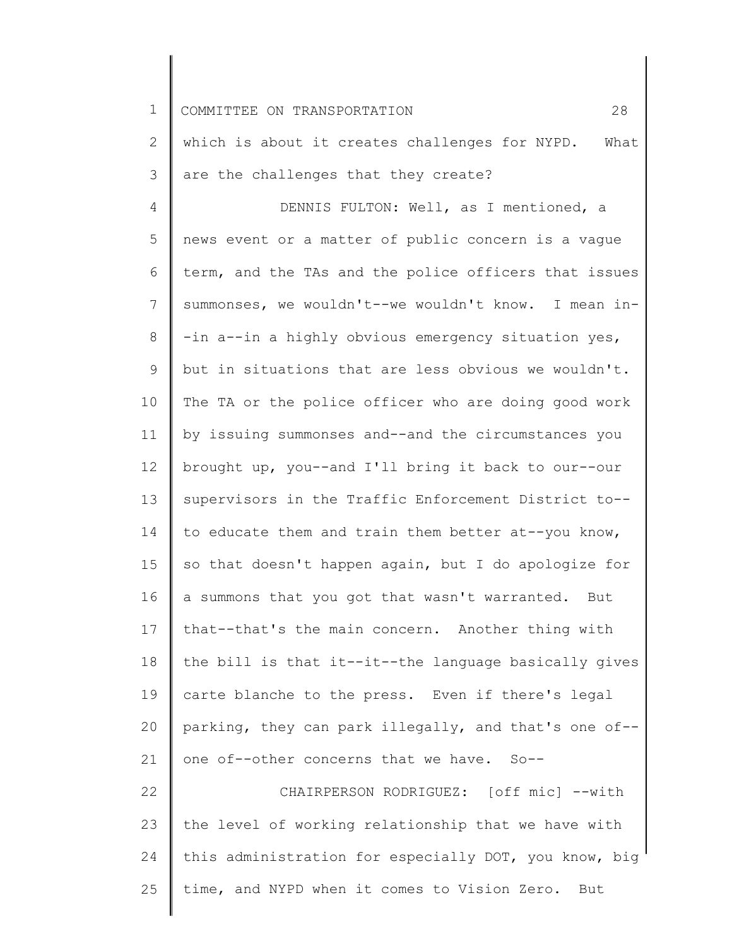1 2 3 4 5 6 7 8 9 10 11 12 13 14 15 16 17 18 19 20 21 22 23 24 COMMITTEE ON TRANSPORTATION 28 which is about it creates challenges for NYPD. What are the challenges that they create? DENNIS FULTON: Well, as I mentioned, a news event or a matter of public concern is a vague term, and the TAs and the police officers that issues summonses, we wouldn't--we wouldn't know. I mean in- -in a--in a highly obvious emergency situation yes, but in situations that are less obvious we wouldn't. The TA or the police officer who are doing good work by issuing summonses and--and the circumstances you brought up, you--and I'll bring it back to our--our supervisors in the Traffic Enforcement District to- to educate them and train them better at--you know, so that doesn't happen again, but I do apologize for a summons that you got that wasn't warranted. But that--that's the main concern. Another thing with the bill is that it--it--the language basically gives carte blanche to the press. Even if there's legal parking, they can park illegally, and that's one of- one of--other concerns that we have. So-- CHAIRPERSON RODRIGUEZ: [off mic] --with the level of working relationship that we have with this administration for especially DOT, you know, big

time, and NYPD when it comes to Vision Zero. But

25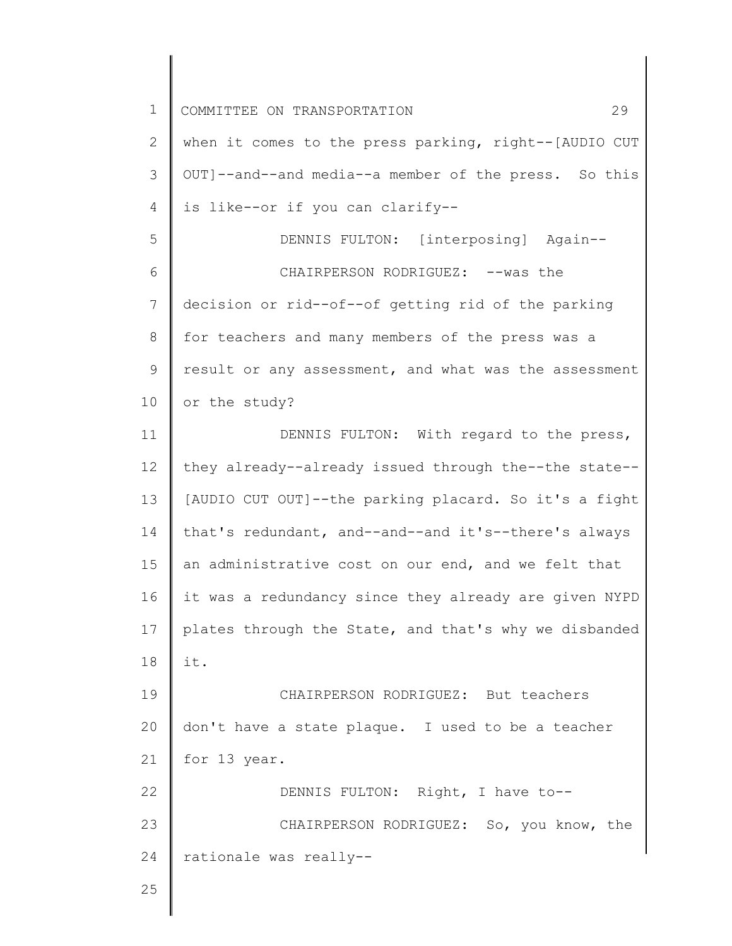1 2 3 4 5 6 7 8 9 10 11 12 13 14 15 16 17 18 19 20 21 22 23 24 25 COMMITTEE ON TRANSPORTATION 29 when it comes to the press parking, right--[AUDIO CUT OUT]--and--and media--a member of the press. So this is like--or if you can clarify-- DENNIS FULTON: [interposing] Again-- CHAIRPERSON RODRIGUEZ: --was the decision or rid--of--of getting rid of the parking for teachers and many members of the press was a result or any assessment, and what was the assessment or the study? DENNIS FULTON: With regard to the press, they already--already issued through the--the state-- [AUDIO CUT OUT]--the parking placard. So it's a fight that's redundant, and--and--and it's--there's always an administrative cost on our end, and we felt that it was a redundancy since they already are given NYPD plates through the State, and that's why we disbanded it. CHAIRPERSON RODRIGUEZ: But teachers don't have a state plaque. I used to be a teacher for 13 year. DENNIS FULTON: Right, I have to-- CHAIRPERSON RODRIGUEZ: So, you know, the rationale was really--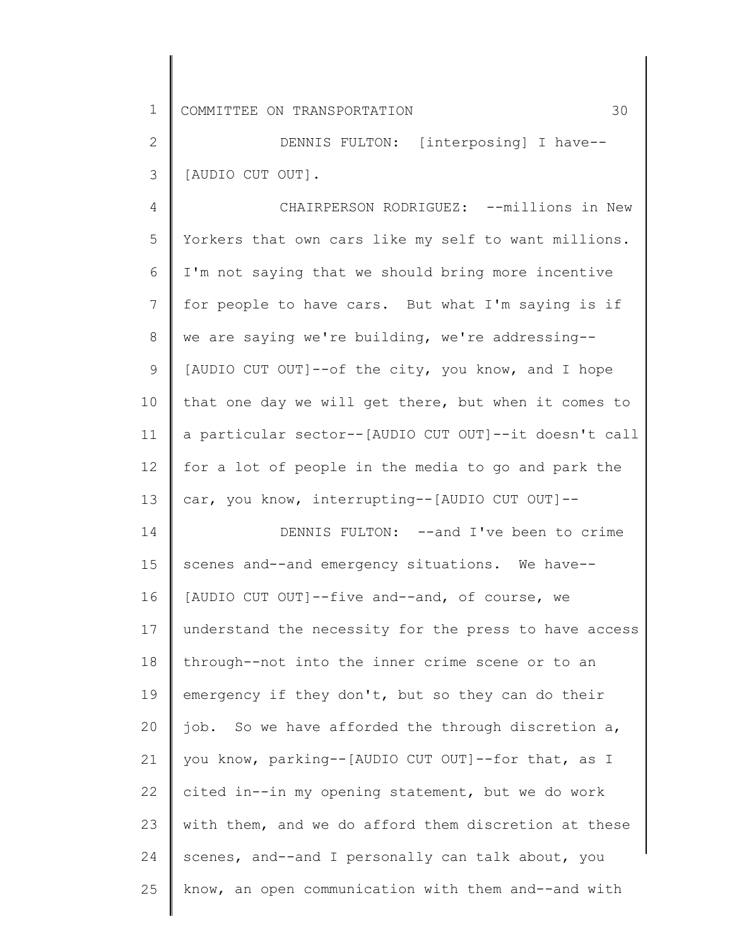2 3 DENNIS FULTON: [interposing] I have-- [AUDIO CUT OUT].

4 5 6 7 8 9 10 11 12 13 CHAIRPERSON RODRIGUEZ: --millions in New Yorkers that own cars like my self to want millions. I'm not saying that we should bring more incentive for people to have cars. But what I'm saying is if we are saying we're building, we're addressing-- [AUDIO CUT OUT]--of the city, you know, and I hope that one day we will get there, but when it comes to a particular sector--[AUDIO CUT OUT]--it doesn't call for a lot of people in the media to go and park the car, you know, interrupting--[AUDIO CUT OUT]--

14 15 16 17 18 19 20 21 22 23 24 25 DENNIS FULTON: --and I've been to crime scenes and--and emergency situations. We have-- [AUDIO CUT OUT]--five and--and, of course, we understand the necessity for the press to have access through--not into the inner crime scene or to an emergency if they don't, but so they can do their job. So we have afforded the through discretion a, you know, parking--[AUDIO CUT OUT]--for that, as I cited in--in my opening statement, but we do work with them, and we do afford them discretion at these scenes, and--and I personally can talk about, you know, an open communication with them and--and with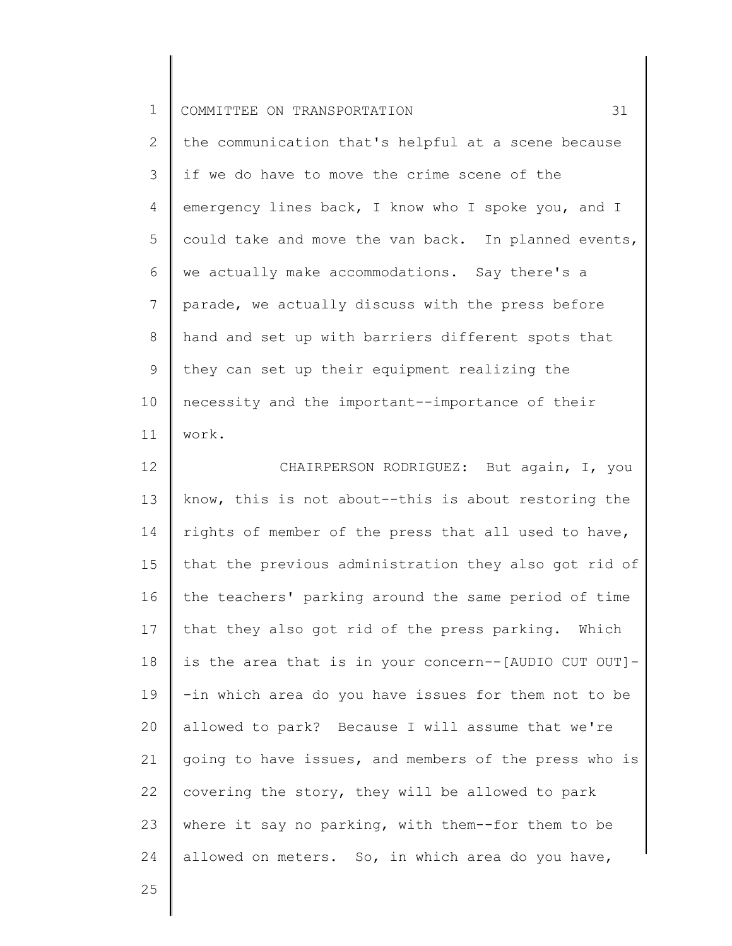| COMMITTEE ON TRANSPORTATION<br><b>_</b> |  |
|-----------------------------------------|--|
|-----------------------------------------|--|

2 3 4 5 6 7 8 9 10 11 the communication that's helpful at a scene because if we do have to move the crime scene of the emergency lines back, I know who I spoke you, and I could take and move the van back. In planned events, we actually make accommodations. Say there's a parade, we actually discuss with the press before hand and set up with barriers different spots that they can set up their equipment realizing the necessity and the important--importance of their work.

12 13 14 15 16 17 18 19 20 21 22 23 24 CHAIRPERSON RODRIGUEZ: But again, I, you know, this is not about--this is about restoring the rights of member of the press that all used to have, that the previous administration they also got rid of the teachers' parking around the same period of time that they also got rid of the press parking. Which is the area that is in your concern--[AUDIO CUT OUT]- -in which area do you have issues for them not to be allowed to park? Because I will assume that we're going to have issues, and members of the press who is covering the story, they will be allowed to park where it say no parking, with them--for them to be allowed on meters. So, in which area do you have,

25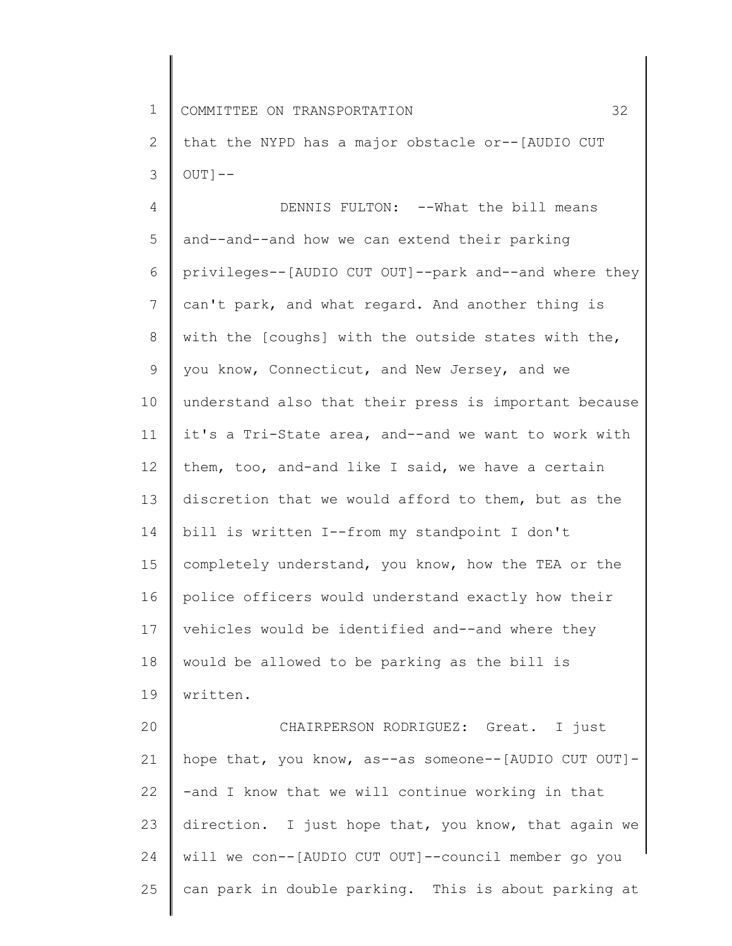2 3 that the NYPD has a major obstacle or--[AUDIO CUT  $OUT]$  --

4 5 6 7 8 9 10 11 12 13 14 15 16 17 18 19 20 21 22 23 24 25 DENNIS FULTON: --What the bill means and--and--and how we can extend their parking privileges--[AUDIO CUT OUT]--park and--and where they can't park, and what regard. And another thing is with the [coughs] with the outside states with the, you know, Connecticut, and New Jersey, and we understand also that their press is important because it's a Tri-State area, and--and we want to work with them, too, and-and like I said, we have a certain discretion that we would afford to them, but as the bill is written I--from my standpoint I don't completely understand, you know, how the TEA or the police officers would understand exactly how their vehicles would be identified and--and where they would be allowed to be parking as the bill is written. CHAIRPERSON RODRIGUEZ: Great. I just hope that, you know, as--as someone--[AUDIO CUT OUT]- -and I know that we will continue working in that direction. I just hope that, you know, that again we will we con--[AUDIO CUT OUT]--council member go you can park in double parking. This is about parking at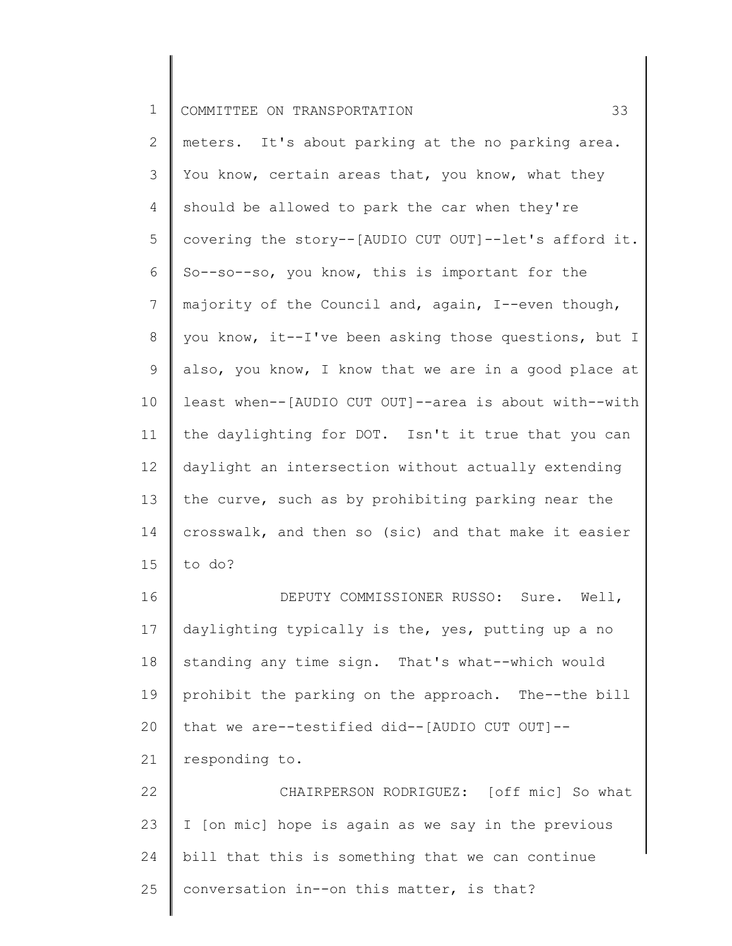2 3 4 5 6 7 8 9 10 11 12 13 14 15 meters. It's about parking at the no parking area. You know, certain areas that, you know, what they should be allowed to park the car when they're covering the story--[AUDIO CUT OUT]--let's afford it. So--so--so, you know, this is important for the majority of the Council and, again, I--even though, you know, it--I've been asking those questions, but I also, you know, I know that we are in a good place at least when--[AUDIO CUT OUT]--area is about with--with the daylighting for DOT. Isn't it true that you can daylight an intersection without actually extending the curve, such as by prohibiting parking near the crosswalk, and then so (sic) and that make it easier to do?

16 17 18 19 20 21 DEPUTY COMMISSIONER RUSSO: Sure. Well, daylighting typically is the, yes, putting up a no standing any time sign. That's what--which would prohibit the parking on the approach. The--the bill that we are--testified did--[AUDIO CUT OUT]- responding to.

22 23 24 25 CHAIRPERSON RODRIGUEZ: [off mic] So what I [on mic] hope is again as we say in the previous bill that this is something that we can continue conversation in--on this matter, is that?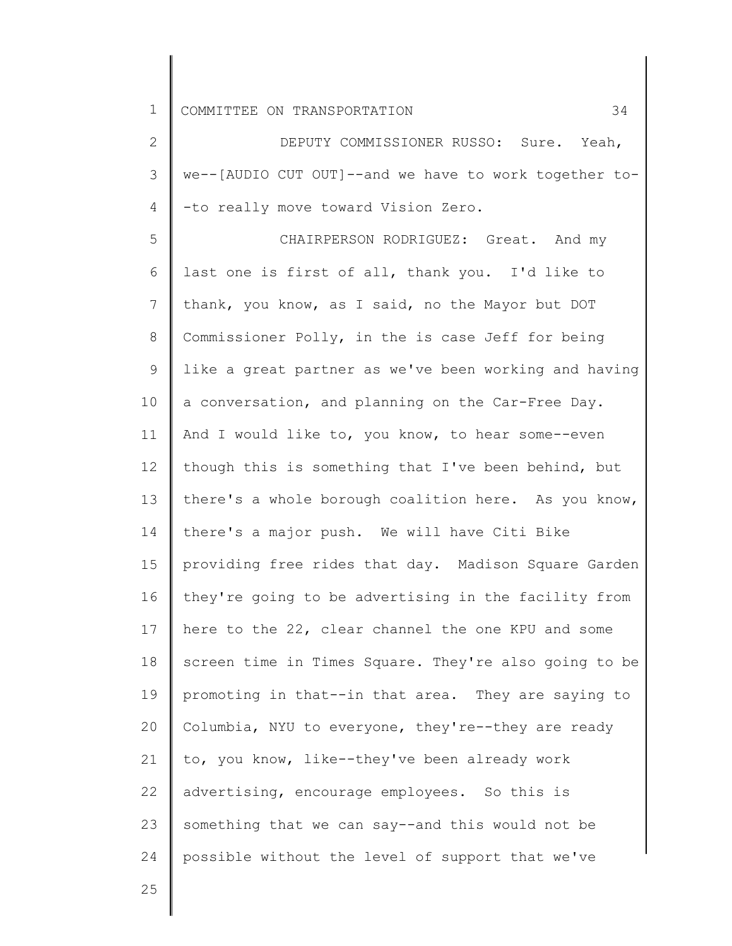| 2 $\parallel$ | DEPUTY COMMISSIONER RUSSO: Sure. Yeah,                    |
|---------------|-----------------------------------------------------------|
|               | 3   we--[AUDIO CUT OUT]--and we have to work together to- |
|               | 4   -to really move toward Vision Zero.                   |

5 6 7 8 9 10 11 12 13 14 15 16 17 18 19 20 21 22 23 24 CHAIRPERSON RODRIGUEZ: Great. And my last one is first of all, thank you. I'd like to thank, you know, as I said, no the Mayor but DOT Commissioner Polly, in the is case Jeff for being like a great partner as we've been working and having a conversation, and planning on the Car-Free Day. And I would like to, you know, to hear some--even though this is something that I've been behind, but there's a whole borough coalition here. As you know, there's a major push. We will have Citi Bike providing free rides that day. Madison Square Garden they're going to be advertising in the facility from here to the 22, clear channel the one KPU and some screen time in Times Square. They're also going to be promoting in that--in that area. They are saying to Columbia, NYU to everyone, they're--they are ready to, you know, like--they've been already work advertising, encourage employees. So this is something that we can say--and this would not be possible without the level of support that we've

25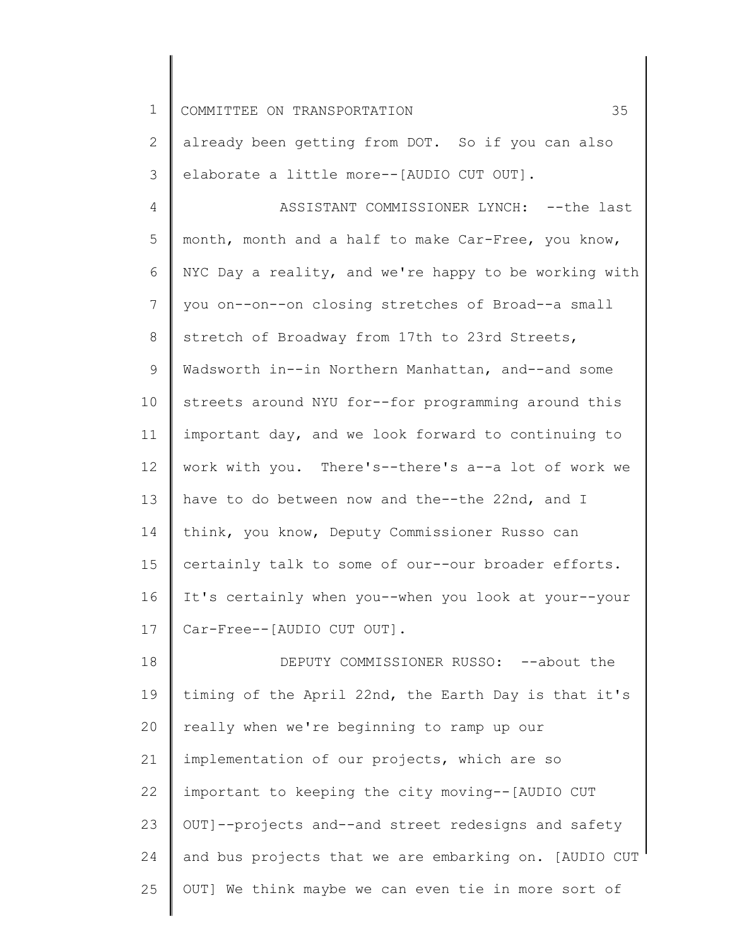| $\mathbf 1$    | 35<br>COMMITTEE ON TRANSPORTATION                     |
|----------------|-------------------------------------------------------|
| $\mathbf{2}$   | already been getting from DOT. So if you can also     |
| 3              | elaborate a little more--[AUDIO CUT OUT].             |
| $\overline{4}$ | ASSISTANT COMMISSIONER LYNCH: -- the last             |
| 5              | month, month and a half to make Car-Free, you know,   |
| 6              | NYC Day a reality, and we're happy to be working with |
| $\overline{7}$ | you on--on--on closing stretches of Broad--a small    |
| 8              | stretch of Broadway from 17th to 23rd Streets,        |
| $\mathsf 9$    | Wadsworth in--in Northern Manhattan, and--and some    |
| 10             | streets around NYU for--for programming around this   |
| 11             | important day, and we look forward to continuing to   |
| 12             | work with you. There's--there's a--a lot of work we   |
| 13             | have to do between now and the--the 22nd, and I       |
| 14             | think, you know, Deputy Commissioner Russo can        |
| 15             | certainly talk to some of our--our broader efforts.   |
| 16             | It's certainly when you--when you look at your--your  |
| 17             | Car-Free--[AUDIO CUT OUT].                            |
| 18             | DEPUTY COMMISSIONER RUSSO: --about the                |
| 19             | timing of the April 22nd, the Earth Day is that it's  |
| 20             | really when we're beginning to ramp up our            |
| 21             | implementation of our projects, which are so          |
| 22             | important to keeping the city moving--[AUDIO CUT      |
| 23             | OUT]--projects and--and street redesigns and safety   |
| 24             | and bus projects that we are embarking on. [AUDIO CUT |
| 25             | OUT] We think maybe we can even tie in more sort of   |
|                |                                                       |

║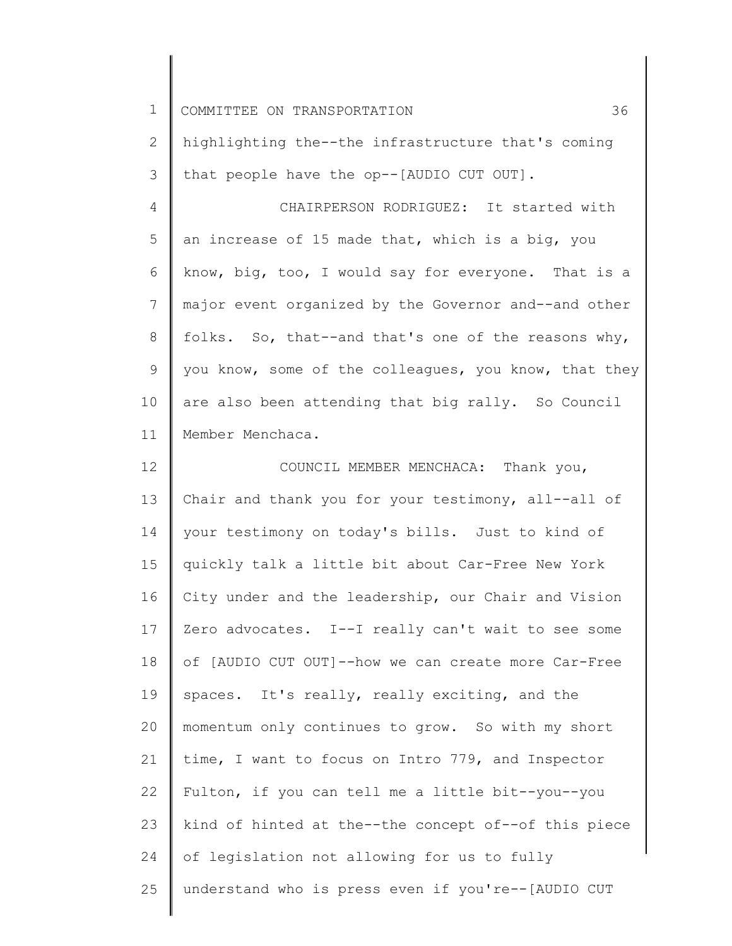| $\mathbf 1$    | 36<br>COMMITTEE ON TRANSPORTATION                     |
|----------------|-------------------------------------------------------|
| $\mathbf{2}$   | highlighting the--the infrastructure that's coming    |
| 3              | that people have the op--[AUDIO CUT OUT].             |
| $\overline{4}$ | CHAIRPERSON RODRIGUEZ: It started with                |
| 5              | an increase of 15 made that, which is a big, you      |
| 6              | know, big, too, I would say for everyone. That is a   |
| 7              | major event organized by the Governor and--and other  |
| 8              | folks. So, that--and that's one of the reasons why,   |
| $\mathsf 9$    | you know, some of the colleagues, you know, that they |
| 10             | are also been attending that big rally. So Council    |
| 11             | Member Menchaca.                                      |
| 12             | COUNCIL MEMBER MENCHACA: Thank you,                   |
| 13             | Chair and thank you for your testimony, all--all of   |
| 14             | your testimony on today's bills. Just to kind of      |
| 15             | quickly talk a little bit about Car-Free New York     |
| 16             | City under and the leadership, our Chair and Vision   |
| 17             | Zero advocates. I--I really can't wait to see some    |
| 18             | of [AUDIO CUT OUT]--how we can create more Car-Free   |
| 19             | spaces. It's really, really exciting, and the         |
| 20             | momentum only continues to grow. So with my short     |
| 21             | time, I want to focus on Intro 779, and Inspector     |
| 22             | Fulton, if you can tell me a little bit--you--you     |
| 23             | kind of hinted at the--the concept of--of this piece  |
| 24             | of legislation not allowing for us to fully           |
| 25             | understand who is press even if you're--[AUDIO CUT    |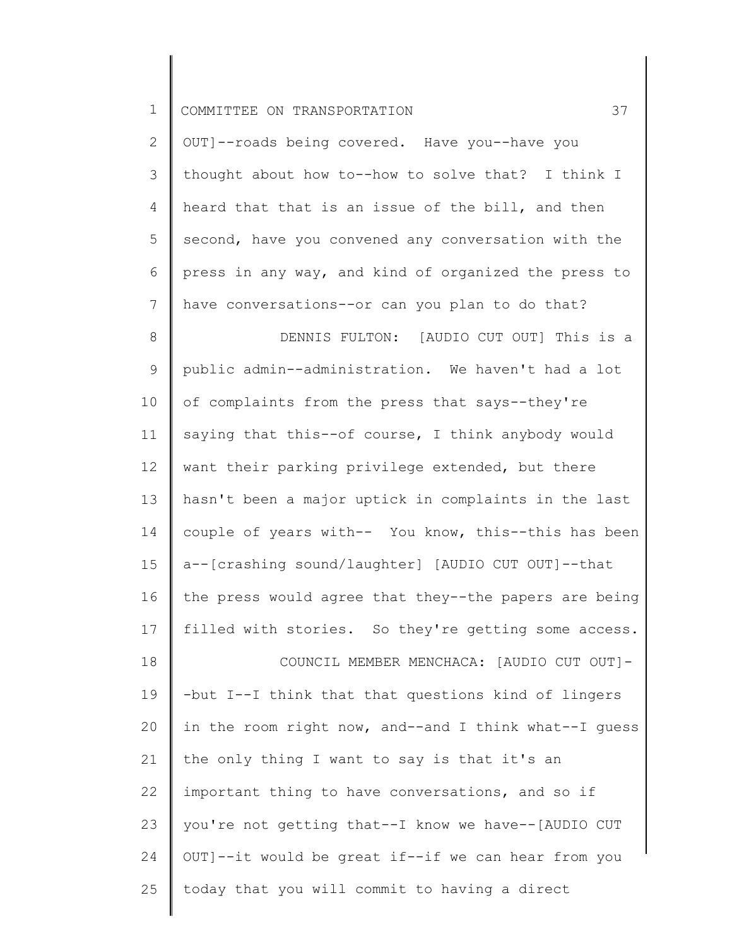| ᅩ |  |  | COMMITTEE ON TRANSPORTATION |  |
|---|--|--|-----------------------------|--|
|---|--|--|-----------------------------|--|

24

25

2 3 4 5 6 7 OUT]--roads being covered. Have you--have you thought about how to--how to solve that? I think I heard that that is an issue of the bill, and then second, have you convened any conversation with the press in any way, and kind of organized the press to have conversations--or can you plan to do that?

8 9 10 11 12 13 14 15 16 17 18 19 20 21 22 23 DENNIS FULTON: [AUDIO CUT OUT] This is a public admin--administration. We haven't had a lot of complaints from the press that says--they're saying that this--of course, I think anybody would want their parking privilege extended, but there hasn't been a major uptick in complaints in the last couple of years with-- You know, this--this has been a--[crashing sound/laughter] [AUDIO CUT OUT]--that the press would agree that they--the papers are being filled with stories. So they're getting some access. COUNCIL MEMBER MENCHACA: [AUDIO CUT OUT]- -but I--I think that that questions kind of lingers in the room right now, and--and I think what--I guess the only thing I want to say is that it's an important thing to have conversations, and so if you're not getting that--I know we have--[AUDIO CUT

OUT]--it would be great if--if we can hear from you

today that you will commit to having a direct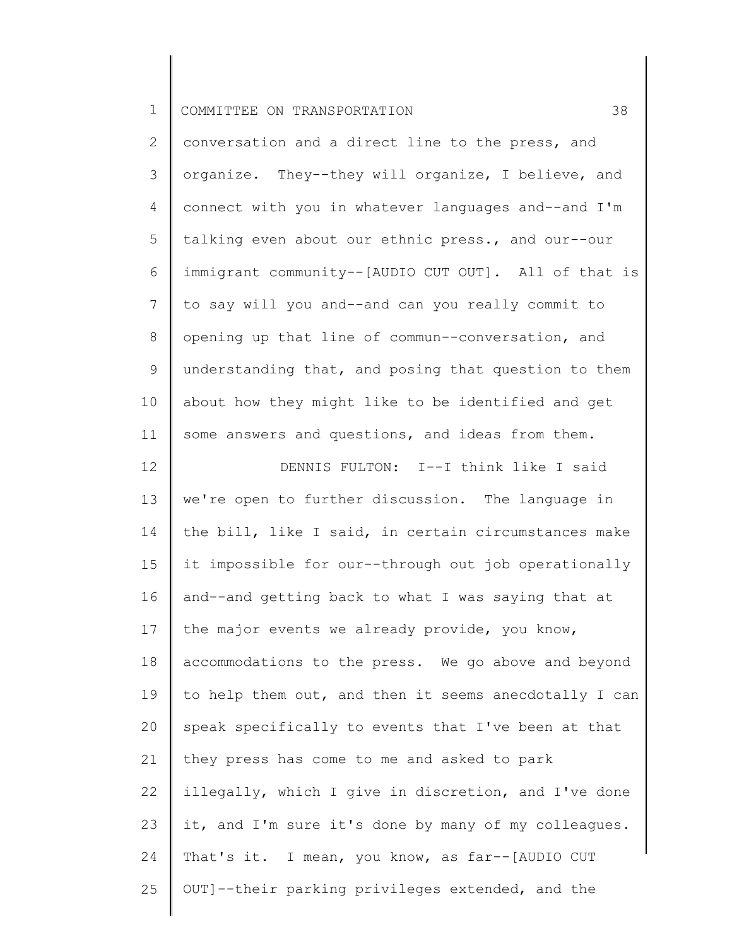| ᅩ |  |  | COMMITTEE ON TRANSPORTATION |  |
|---|--|--|-----------------------------|--|
|---|--|--|-----------------------------|--|

2 3 4 5 6 7 8 9 10 11 conversation and a direct line to the press, and organize. They--they will organize, I believe, and connect with you in whatever languages and--and I'm talking even about our ethnic press., and our--our immigrant community--[AUDIO CUT OUT]. All of that is to say will you and--and can you really commit to opening up that line of commun--conversation, and understanding that, and posing that question to them about how they might like to be identified and get some answers and questions, and ideas from them.

12 13 14 15 16 17 18 19 20 21 22 23 24 25 DENNIS FULTON: I--I think like I said we're open to further discussion. The language in the bill, like I said, in certain circumstances make it impossible for our--through out job operationally and--and getting back to what I was saying that at the major events we already provide, you know, accommodations to the press. We go above and beyond to help them out, and then it seems anecdotally I can speak specifically to events that I've been at that they press has come to me and asked to park illegally, which I give in discretion, and I've done it, and I'm sure it's done by many of my colleagues. That's it. I mean, you know, as far--[AUDIO CUT OUT]--their parking privileges extended, and the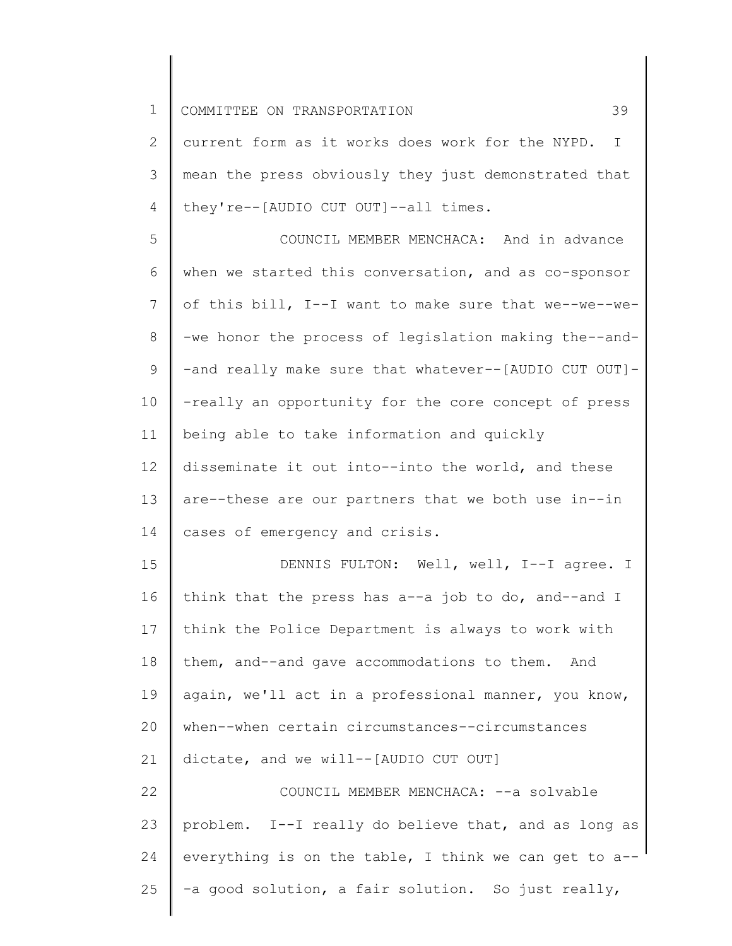2 3 4 current form as it works does work for the NYPD. I mean the press obviously they just demonstrated that they're--[AUDIO CUT OUT]--all times.

5 6 7 8 9 10 11 12 13 14 COUNCIL MEMBER MENCHACA: And in advance when we started this conversation, and as co-sponsor of this bill, I--I want to make sure that we--we--we- -we honor the process of legislation making the--and- -and really make sure that whatever--[AUDIO CUT OUT]--really an opportunity for the core concept of press being able to take information and quickly disseminate it out into--into the world, and these are--these are our partners that we both use in--in cases of emergency and crisis.

15 16 17 18 19 20 21 22 DENNIS FULTON: Well, well, I--I agree. I think that the press has a--a job to do, and--and I think the Police Department is always to work with them, and--and gave accommodations to them. And again, we'll act in a professional manner, you know, when--when certain circumstances--circumstances dictate, and we will--[AUDIO CUT OUT] COUNCIL MEMBER MENCHACA: --a solvable

23 24 25 problem. I--I really do believe that, and as long as everything is on the table, I think we can get to a-- -a good solution, a fair solution. So just really,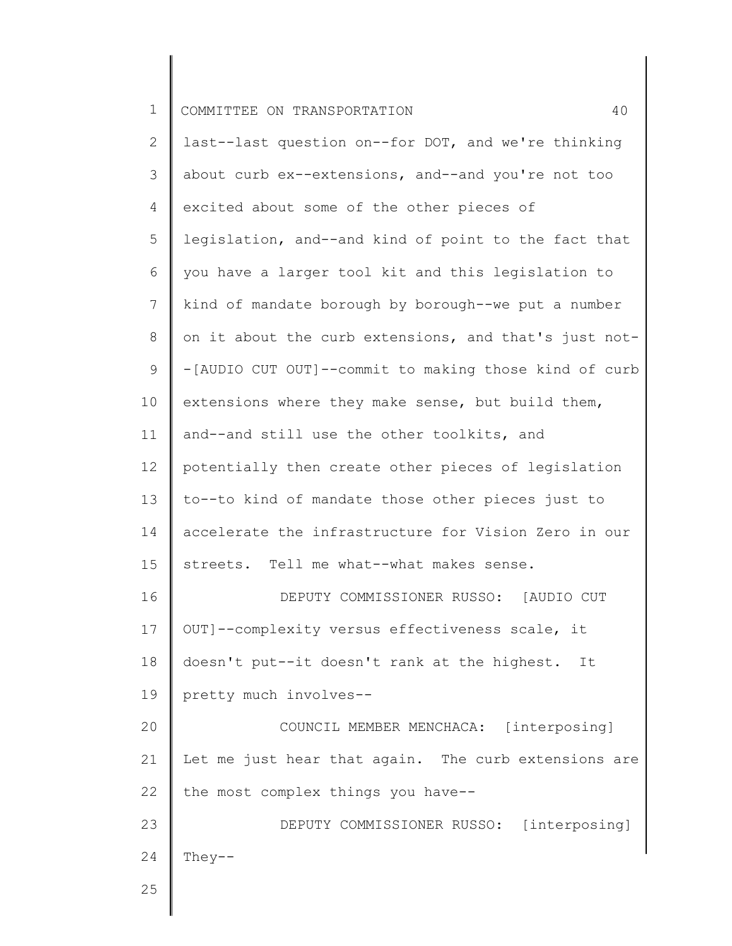| ᅩ |  |  | COMMITTEE ON TRANSPORTATION |  |
|---|--|--|-----------------------------|--|
|---|--|--|-----------------------------|--|

2 3 4 5 6 7 8 9 10 11 12 13 14 15 16 17 18 19 20 21 22 23 24 last--last question on--for DOT, and we're thinking about curb ex--extensions, and--and you're not too excited about some of the other pieces of legislation, and--and kind of point to the fact that you have a larger tool kit and this legislation to kind of mandate borough by borough--we put a number on it about the curb extensions, and that's just not- -[AUDIO CUT OUT]--commit to making those kind of curb extensions where they make sense, but build them, and--and still use the other toolkits, and potentially then create other pieces of legislation to--to kind of mandate those other pieces just to accelerate the infrastructure for Vision Zero in our streets. Tell me what--what makes sense. DEPUTY COMMISSIONER RUSSO: [AUDIO CUT OUT]--complexity versus effectiveness scale, it doesn't put--it doesn't rank at the highest. It pretty much involves-- COUNCIL MEMBER MENCHACA: [interposing] Let me just hear that again. The curb extensions are the most complex things you have-- DEPUTY COMMISSIONER RUSSO: [interposing] They--

25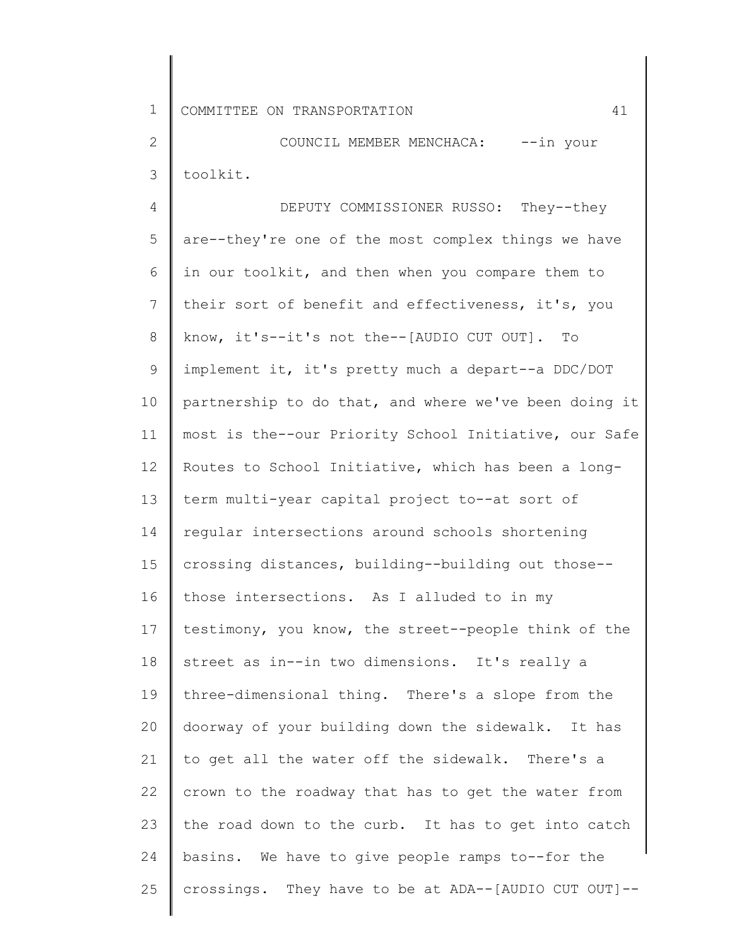2 3 COUNCIL MEMBER MENCHACA: -- in your toolkit.

4 5 6 7 8 9 10 11 12 13 14 15 16 17 18 19 20 21 22 23 24 25 DEPUTY COMMISSIONER RUSSO: They--they are--they're one of the most complex things we have in our toolkit, and then when you compare them to their sort of benefit and effectiveness, it's, you know, it's--it's not the--[AUDIO CUT OUT]. To implement it, it's pretty much a depart--a DDC/DOT partnership to do that, and where we've been doing it most is the--our Priority School Initiative, our Safe Routes to School Initiative, which has been a longterm multi-year capital project to--at sort of regular intersections around schools shortening crossing distances, building--building out those- those intersections. As I alluded to in my testimony, you know, the street--people think of the street as in--in two dimensions. It's really a three-dimensional thing. There's a slope from the doorway of your building down the sidewalk. It has to get all the water off the sidewalk. There's a crown to the roadway that has to get the water from the road down to the curb. It has to get into catch basins. We have to give people ramps to--for the crossings. They have to be at ADA--[AUDIO CUT OUT]--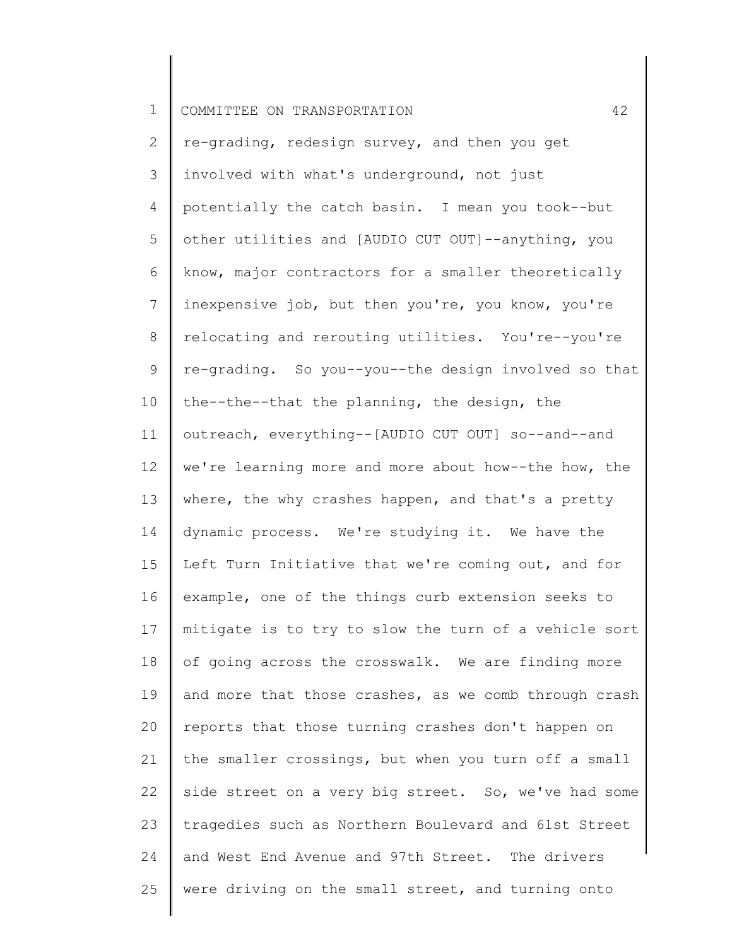2 3 4 5 6 7 8 9 10 11 12 13 14 15 16 17 18 19 20 21 22 23 24 25 re-grading, redesign survey, and then you get involved with what's underground, not just potentially the catch basin. I mean you took--but other utilities and [AUDIO CUT OUT]--anything, you know, major contractors for a smaller theoretically inexpensive job, but then you're, you know, you're relocating and rerouting utilities. You're--you're re-grading. So you--you--the design involved so that the--the--that the planning, the design, the outreach, everything--[AUDIO CUT OUT] so--and--and we're learning more and more about how--the how, the where, the why crashes happen, and that's a pretty dynamic process. We're studying it. We have the Left Turn Initiative that we're coming out, and for example, one of the things curb extension seeks to mitigate is to try to slow the turn of a vehicle sort of going across the crosswalk. We are finding more and more that those crashes, as we comb through crash reports that those turning crashes don't happen on the smaller crossings, but when you turn off a small side street on a very big street. So, we've had some tragedies such as Northern Boulevard and 61st Street and West End Avenue and 97th Street. The drivers were driving on the small street, and turning onto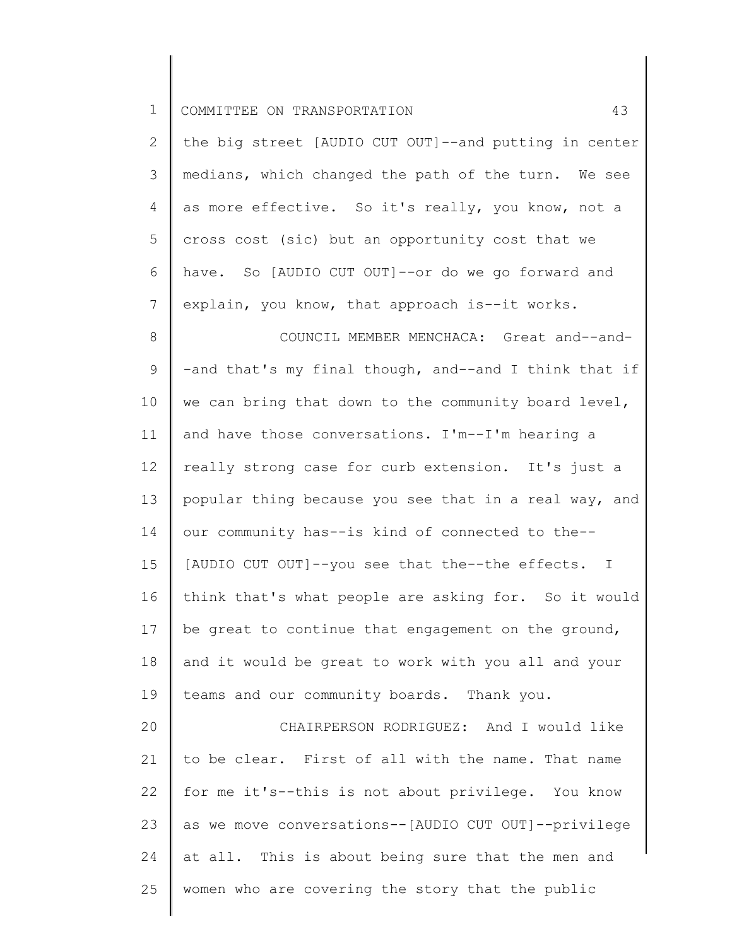| ᅩ |  | COMMITTEE ON TRANSPORTATION |  |
|---|--|-----------------------------|--|
|   |  |                             |  |

 $\parallel$ 

| $\mathbf{2}$   | the big street [AUDIO CUT OUT]--and putting in center           |
|----------------|-----------------------------------------------------------------|
| 3              | medians, which changed the path of the turn. We see             |
| 4              | as more effective. So it's really, you know, not a              |
| 5              | cross cost (sic) but an opportunity cost that we                |
| 6              | have. So [AUDIO CUT OUT]--or do we go forward and               |
| $\overline{7}$ | explain, you know, that approach is--it works.                  |
| 8              | COUNCIL MEMBER MENCHACA: Great and--and-                        |
| $\mathsf 9$    | -and that's my final though, and--and I think that if           |
| 10             | we can bring that down to the community board level,            |
| 11             | and have those conversations. I'm--I'm hearing a                |
| 12             | really strong case for curb extension. It's just a              |
| 13             | popular thing because you see that in a real way, and           |
| 14             | our community has--is kind of connected to the--                |
| 15             | [AUDIO CUT OUT]--you see that the--the effects.<br>$\mathbf{I}$ |
| 16             | think that's what people are asking for. So it would            |
| 17             | be great to continue that engagement on the ground,             |
| 18             | and it would be great to work with you all and your             |
| 19             | teams and our community boards. Thank you.                      |
| 20             | CHAIRPERSON RODRIGUEZ: And I would like                         |
| 21             | to be clear. First of all with the name. That name              |
| 22             | for me it's--this is not about privilege. You know              |
| 23             | as we move conversations -- [AUDIO CUT OUT]--privilege          |
| 24             | at all. This is about being sure that the men and               |
| 25             | women who are covering the story that the public                |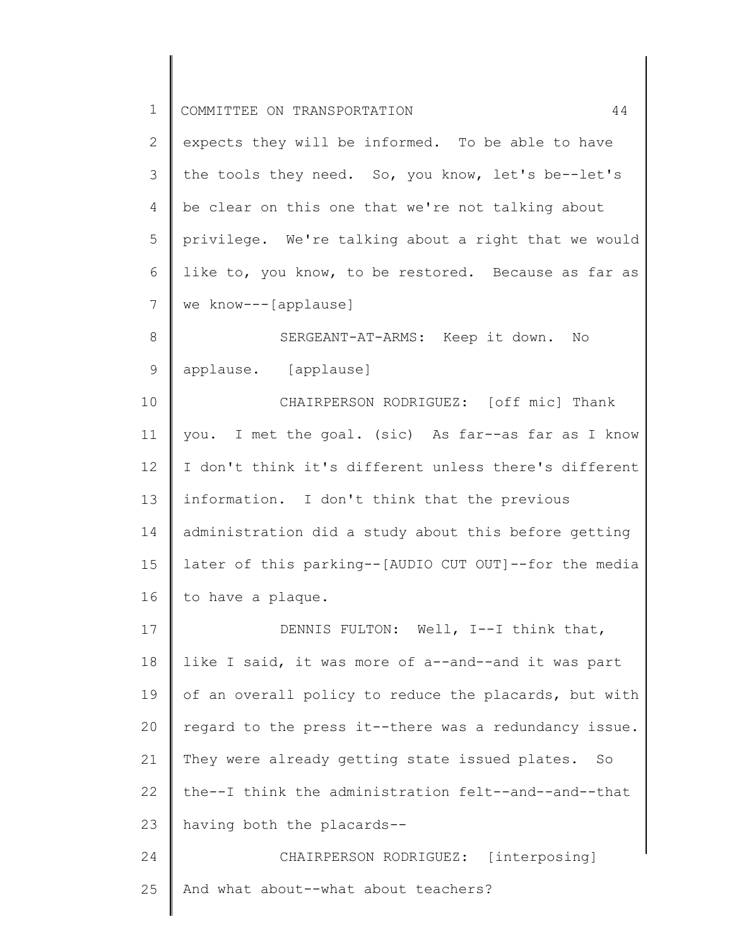| $\mathbf 1$    | 44<br>COMMITTEE ON TRANSPORTATION                     |
|----------------|-------------------------------------------------------|
| $\mathbf{2}$   | expects they will be informed. To be able to have     |
| 3              | the tools they need. So, you know, let's be--let's    |
| $\overline{4}$ | be clear on this one that we're not talking about     |
| 5              | privilege. We're talking about a right that we would  |
| 6              | like to, you know, to be restored. Because as far as  |
| 7              | we know---[applause]                                  |
| $\,8\,$        | SERGEANT-AT-ARMS: Keep it down.<br>No                 |
| $\mathsf 9$    | applause. [applause]                                  |
| 10             | CHAIRPERSON RODRIGUEZ: [off mic] Thank                |
| 11             | you. I met the goal. (sic) As far--as far as I know   |
| 12             | I don't think it's different unless there's different |
| 13             | information. I don't think that the previous          |
| 14             | administration did a study about this before getting  |
| 15             | later of this parking--[AUDIO CUT OUT]--for the media |
| 16             | to have a plaque.                                     |
| 17             | DENNIS FULTON: Well, I--I think that,                 |
| 18             | like I said, it was more of a--and--and it was part   |
| 19             | of an overall policy to reduce the placards, but with |
| 20             | regard to the press it--there was a redundancy issue. |
| 21             | They were already getting state issued plates. So     |
| 22             | the--I think the administration felt--and--and--that  |
| 23             | having both the placards--                            |
| 24             | CHAIRPERSON RODRIGUEZ: [interposing]                  |
| 25             | And what about--what about teachers?                  |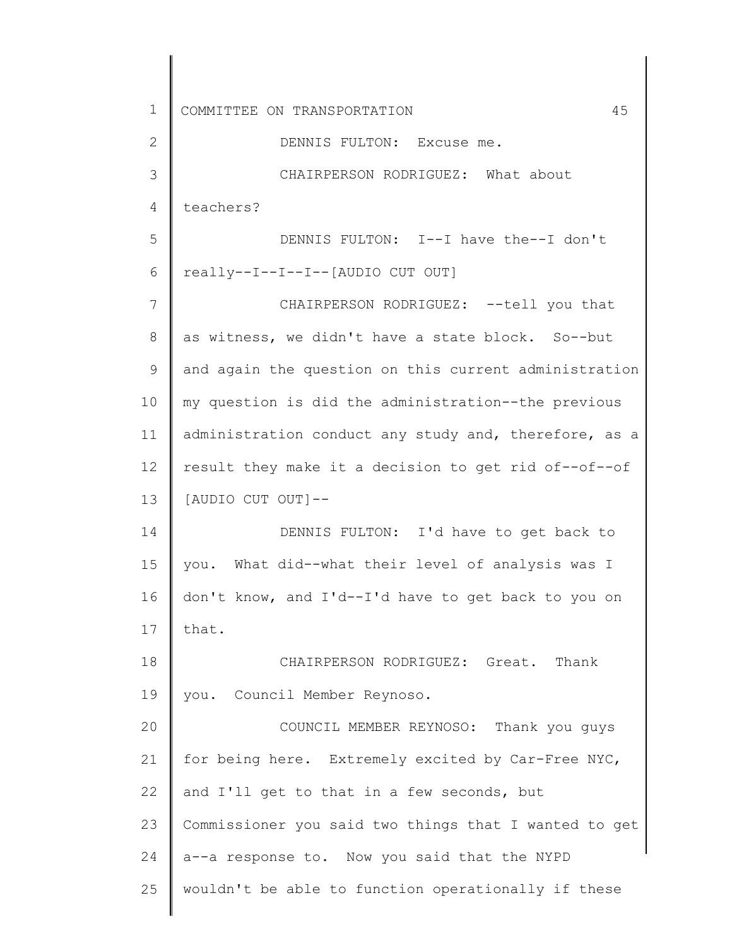1 2 3 4 5 6 7 8 9 10 11 12 13 14 15 16 17 18 19 20 21 22 23 24 25 COMMITTEE ON TRANSPORTATION 45 DENNIS FULTON: Excuse me. CHAIRPERSON RODRIGUEZ: What about teachers? DENNIS FULTON: I--I have the--I don't really--I--I--I--[AUDIO CUT OUT] CHAIRPERSON RODRIGUEZ: --tell you that as witness, we didn't have a state block. So--but and again the question on this current administration my question is did the administration--the previous administration conduct any study and, therefore, as a result they make it a decision to get rid of--of--of [AUDIO CUT OUT]-- DENNIS FULTON: I'd have to get back to you. What did--what their level of analysis was I don't know, and I'd--I'd have to get back to you on that. CHAIRPERSON RODRIGUEZ: Great. Thank you. Council Member Reynoso. COUNCIL MEMBER REYNOSO: Thank you guys for being here. Extremely excited by Car-Free NYC, and I'll get to that in a few seconds, but Commissioner you said two things that I wanted to get a--a response to. Now you said that the NYPD wouldn't be able to function operationally if these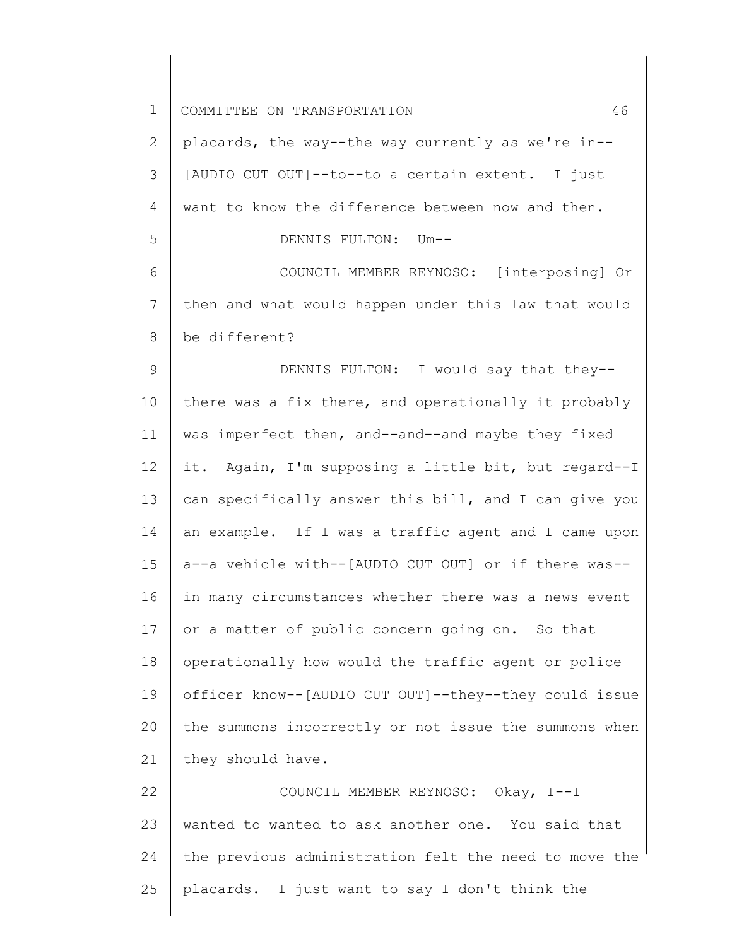1 2 3 4 5 6 7 8 9 10 11 12 13 14 15 16 17 18 19 20 21 22 23 24 25 COMMITTEE ON TRANSPORTATION 46 placards, the way--the way currently as we're in-- [AUDIO CUT OUT]--to--to a certain extent. I just want to know the difference between now and then. DENNIS FULTON: Um-- COUNCIL MEMBER REYNOSO: [interposing] Or then and what would happen under this law that would be different? DENNIS FULTON: I would say that they- there was a fix there, and operationally it probably was imperfect then, and--and--and maybe they fixed it. Again, I'm supposing a little bit, but regard--I can specifically answer this bill, and I can give you an example. If I was a traffic agent and I came upon a--a vehicle with--[AUDIO CUT OUT] or if there was- in many circumstances whether there was a news event or a matter of public concern going on. So that operationally how would the traffic agent or police officer know--[AUDIO CUT OUT]--they--they could issue the summons incorrectly or not issue the summons when they should have. COUNCIL MEMBER REYNOSO: Okay, I--I wanted to wanted to ask another one. You said that the previous administration felt the need to move the placards. I just want to say I don't think the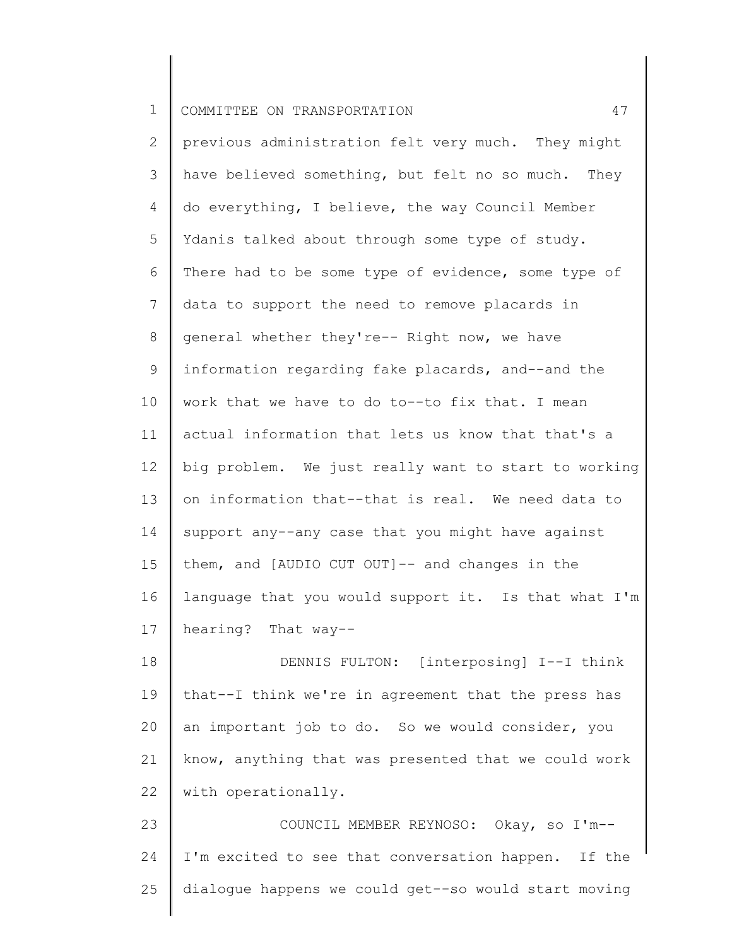2 3 4 5 6 7 8 9 10 11 12 13 14 15 16 17 previous administration felt very much. They might have believed something, but felt no so much. They do everything, I believe, the way Council Member Ydanis talked about through some type of study. There had to be some type of evidence, some type of data to support the need to remove placards in general whether they're-- Right now, we have information regarding fake placards, and--and the work that we have to do to--to fix that. I mean actual information that lets us know that that's a big problem. We just really want to start to working on information that--that is real. We need data to support any--any case that you might have against them, and [AUDIO CUT OUT]-- and changes in the language that you would support it. Is that what I'm hearing? That way--

18 19 20 21 22 DENNIS FULTON: [interposing] I--I think that--I think we're in agreement that the press has an important job to do. So we would consider, you know, anything that was presented that we could work with operationally.

23 24 25 COUNCIL MEMBER REYNOSO: Okay, so I'm-- I'm excited to see that conversation happen. If the dialogue happens we could get--so would start moving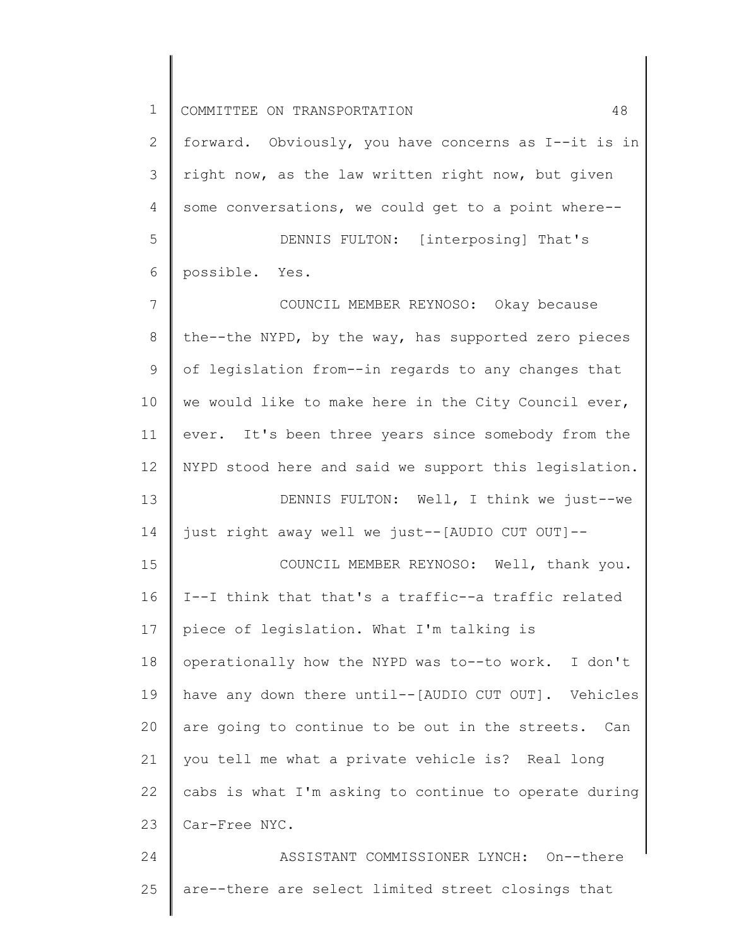2 3 4 forward. Obviously, you have concerns as I--it is in right now, as the law written right now, but given some conversations, we could get to a point where--

5 6 DENNIS FULTON: [interposing] That's possible. Yes.

7 8 9 10 11 12 13 14 15 16 17 18 19 20 21 22 23 24 COUNCIL MEMBER REYNOSO: Okay because the--the NYPD, by the way, has supported zero pieces of legislation from--in regards to any changes that we would like to make here in the City Council ever, ever. It's been three years since somebody from the NYPD stood here and said we support this legislation. DENNIS FULTON: Well, I think we just--we just right away well we just--[AUDIO CUT OUT]-- COUNCIL MEMBER REYNOSO: Well, thank you. I--I think that that's a traffic--a traffic related piece of legislation. What I'm talking is operationally how the NYPD was to--to work. I don't have any down there until--[AUDIO CUT OUT]. Vehicles are going to continue to be out in the streets. Can you tell me what a private vehicle is? Real long cabs is what I'm asking to continue to operate during Car-Free NYC. ASSISTANT COMMISSIONER LYNCH: On--there

25

are--there are select limited street closings that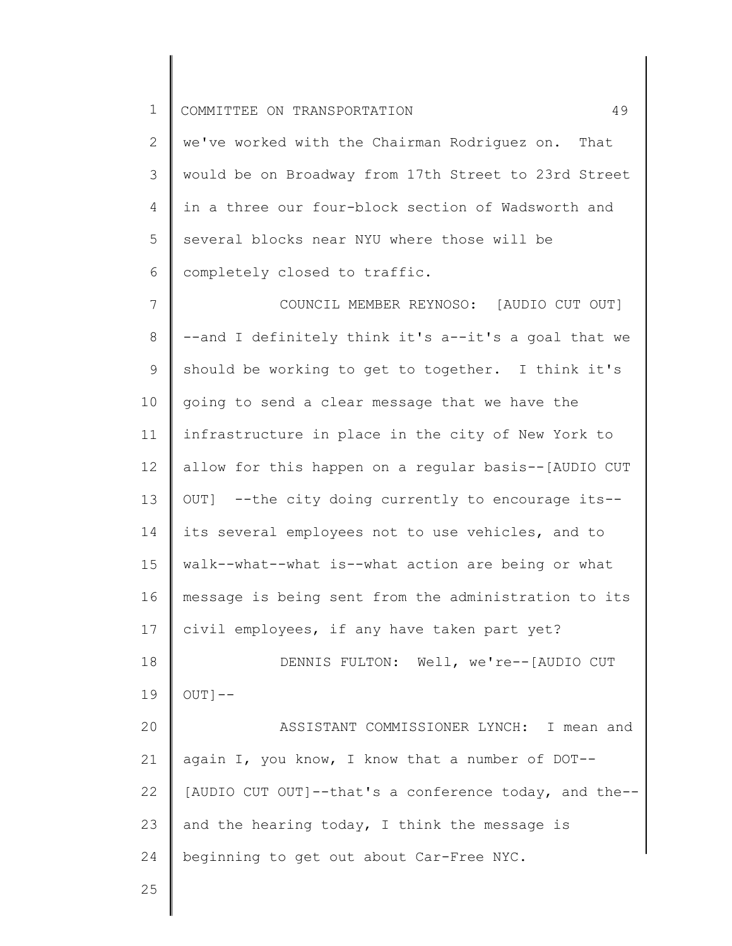2 3 4 5 6 we've worked with the Chairman Rodriguez on. That would be on Broadway from 17th Street to 23rd Street in a three our four-block section of Wadsworth and several blocks near NYU where those will be completely closed to traffic.

7 8 9 10 11 12 13 14 15 16 17 18 19 20 21 22 23 24 COUNCIL MEMBER REYNOSO: [AUDIO CUT OUT] --and I definitely think it's a--it's a goal that we should be working to get to together. I think it's going to send a clear message that we have the infrastructure in place in the city of New York to allow for this happen on a regular basis--[AUDIO CUT OUT] --the city doing currently to encourage its- its several employees not to use vehicles, and to walk--what--what is--what action are being or what message is being sent from the administration to its civil employees, if any have taken part yet? DENNIS FULTON: Well, we're--[AUDIO CUT  $OUT$ ]  $--$ ASSISTANT COMMISSIONER LYNCH: I mean and again I, you know, I know that a number of DOT-- [AUDIO CUT OUT]--that's a conference today, and the- and the hearing today, I think the message is beginning to get out about Car-Free NYC.

25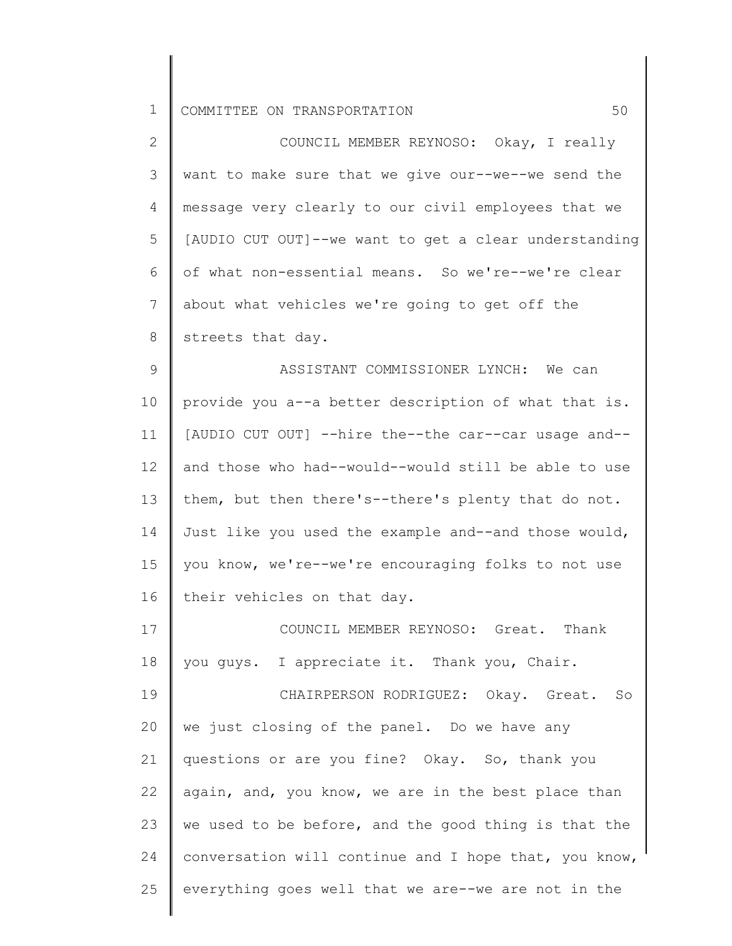| $\mathbf{2}$    | COUNCIL MEMBER REYNOSO: Okay, I really                |
|-----------------|-------------------------------------------------------|
| 3               | want to make sure that we give our--we--we send the   |
| 4               | message very clearly to our civil employees that we   |
| 5               | [AUDIO CUT OUT]--we want to get a clear understanding |
| 6               | of what non-essential means. So we're--we're clear    |
| $\overline{7}$  | about what vehicles we're going to get off the        |
| 8               | streets that day.                                     |
| $\mathsf 9$     | ASSISTANT COMMISSIONER LYNCH: We can                  |
| 10              | provide you a--a better description of what that is.  |
| 11              | [AUDIO CUT OUT] --hire the--the car--car usage and--  |
| 12 <sup>°</sup> | and those who had--would--would still be able to use  |
| 13              | them, but then there's--there's plenty that do not.   |
| 14              | Just like you used the example and--and those would,  |
| 15              | you know, we're--we're encouraging folks to not use   |
| 16              | their vehicles on that day.                           |
| 17              | COUNCIL MEMBER REYNOSO: Great. Thank                  |
| $18\,$          | you guys. I appreciate it. Thank you, Chair.          |
| 19              | CHAIRPERSON RODRIGUEZ: Okay. Great.<br>So             |
| 20              | we just closing of the panel. Do we have any          |
| 21              | questions or are you fine? Okay. So, thank you        |
| 22              | again, and, you know, we are in the best place than   |

23 24 25 we used to be before, and the good thing is that the conversation will continue and I hope that, you know, everything goes well that we are--we are not in the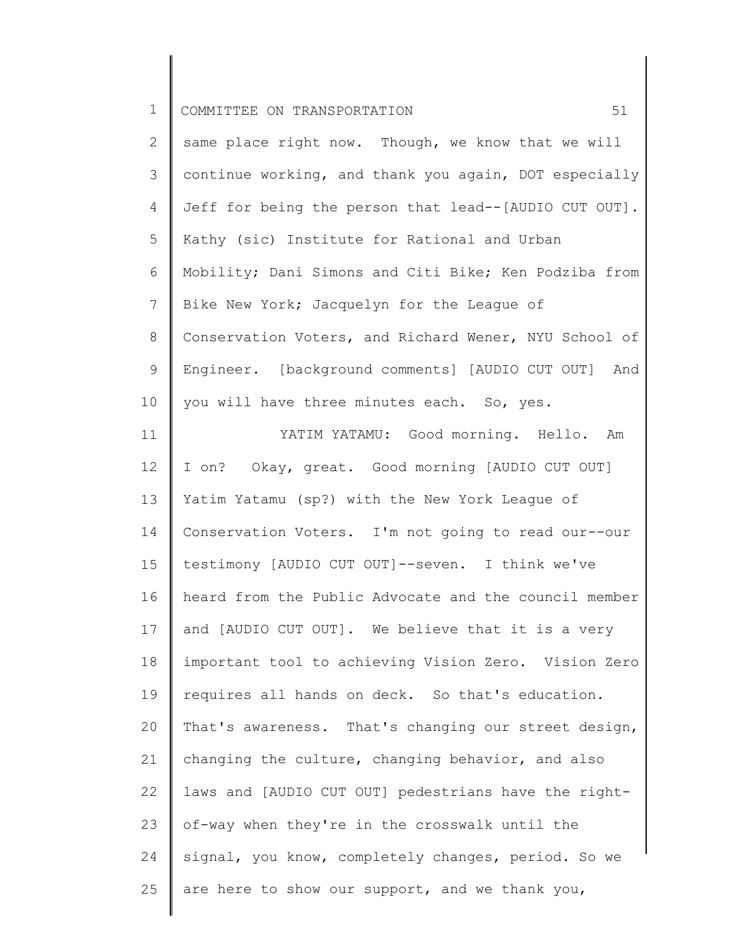| $\overline{2}$ | same place right now. Though, we know that we will    |
|----------------|-------------------------------------------------------|
| 3              | continue working, and thank you again, DOT especially |
| 4              | Jeff for being the person that lead--[AUDIO CUT OUT]. |
| 5              | Kathy (sic) Institute for Rational and Urban          |
| 6              | Mobility; Dani Simons and Citi Bike; Ken Podziba from |
| 7              | Bike New York; Jacquelyn for the League of            |
| $8\,$          | Conservation Voters, and Richard Wener, NYU School of |
| $\mathsf 9$    | Engineer. [background comments] [AUDIO CUT OUT] And   |
| 10             | you will have three minutes each. So, yes.            |
| 11             | YATIM YATAMU: Good morning. Hello. Am                 |
| 12             | I on? Okay, great. Good morning [AUDIO CUT OUT]       |
| 13             | Yatim Yatamu (sp?) with the New York League of        |
| 14             | Conservation Voters. I'm not going to read our--our   |
| 15             | testimony [AUDIO CUT OUT]--seven. I think we've       |
| 16             | heard from the Public Advocate and the council member |
| 17             | and [AUDIO CUT OUT]. We believe that it is a very     |
| 18             | important tool to achieving Vision Zero. Vision Zero  |
| 19             | requires all hands on deck. So that's education.      |
| 20             | That's awareness. That's changing our street design,  |
| 21             | changing the culture, changing behavior, and also     |
| 22             | laws and [AUDIO CUT OUT] pedestrians have the right-  |
| 23             | of-way when they're in the crosswalk until the        |
| 24             | signal, you know, completely changes, period. So we   |
| 25             | are here to show our support, and we thank you,       |
|                |                                                       |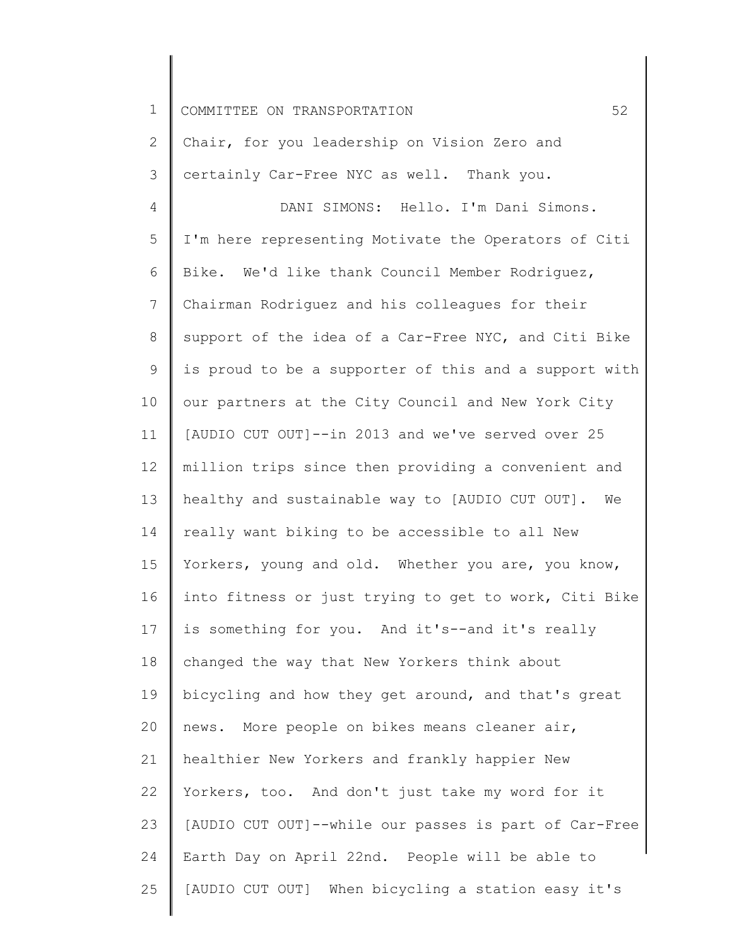2 3 Chair, for you leadership on Vision Zero and certainly Car-Free NYC as well. Thank you.

4 5 6 7 8 9 10 11 12 13 14 15 16 17 18 19 20 21 22 23 24 25 DANI SIMONS: Hello. I'm Dani Simons. I'm here representing Motivate the Operators of Citi Bike. We'd like thank Council Member Rodriguez, Chairman Rodriguez and his colleagues for their support of the idea of a Car-Free NYC, and Citi Bike is proud to be a supporter of this and a support with our partners at the City Council and New York City [AUDIO CUT OUT]--in 2013 and we've served over 25 million trips since then providing a convenient and healthy and sustainable way to [AUDIO CUT OUT]. We really want biking to be accessible to all New Yorkers, young and old. Whether you are, you know, into fitness or just trying to get to work, Citi Bike is something for you. And it's--and it's really changed the way that New Yorkers think about bicycling and how they get around, and that's great news. More people on bikes means cleaner air, healthier New Yorkers and frankly happier New Yorkers, too. And don't just take my word for it [AUDIO CUT OUT]--while our passes is part of Car-Free Earth Day on April 22nd. People will be able to [AUDIO CUT OUT] When bicycling a station easy it's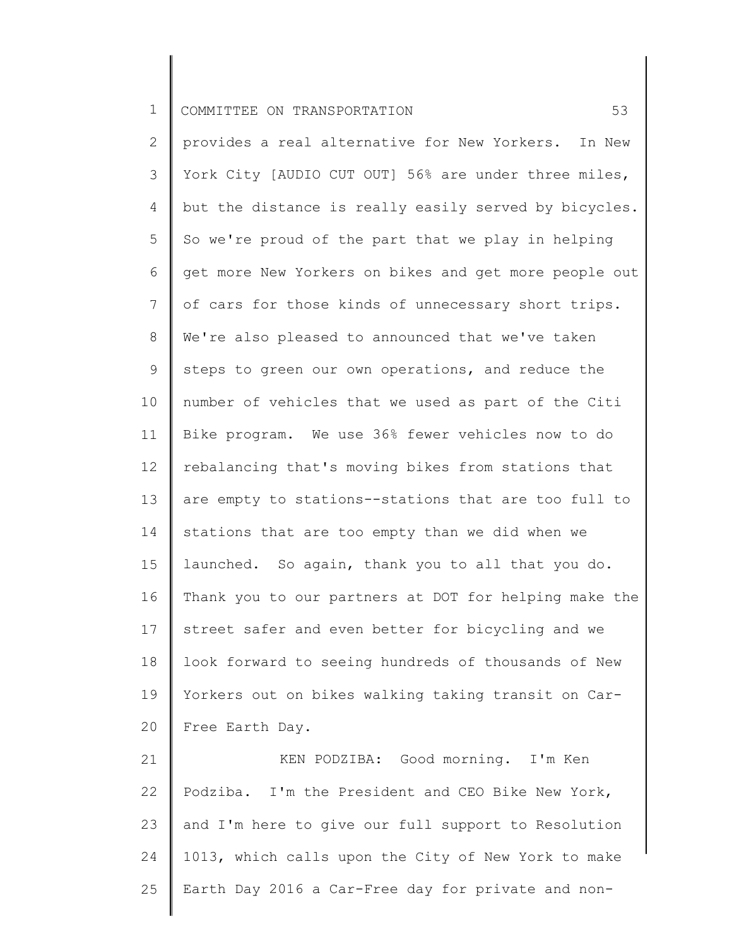2 3 4 5 6 7 8 9 10 11 12 13 14 15 16 17 18 19 20 provides a real alternative for New Yorkers. In New York City [AUDIO CUT OUT] 56% are under three miles, but the distance is really easily served by bicycles. So we're proud of the part that we play in helping get more New Yorkers on bikes and get more people out of cars for those kinds of unnecessary short trips. We're also pleased to announced that we've taken steps to green our own operations, and reduce the number of vehicles that we used as part of the Citi Bike program. We use 36% fewer vehicles now to do rebalancing that's moving bikes from stations that are empty to stations--stations that are too full to stations that are too empty than we did when we launched. So again, thank you to all that you do. Thank you to our partners at DOT for helping make the street safer and even better for bicycling and we look forward to seeing hundreds of thousands of New Yorkers out on bikes walking taking transit on Car-Free Earth Day.

21 22 23 24 25 KEN PODZIBA: Good morning. I'm Ken Podziba. I'm the President and CEO Bike New York, and I'm here to give our full support to Resolution 1013, which calls upon the City of New York to make Earth Day 2016 a Car-Free day for private and non-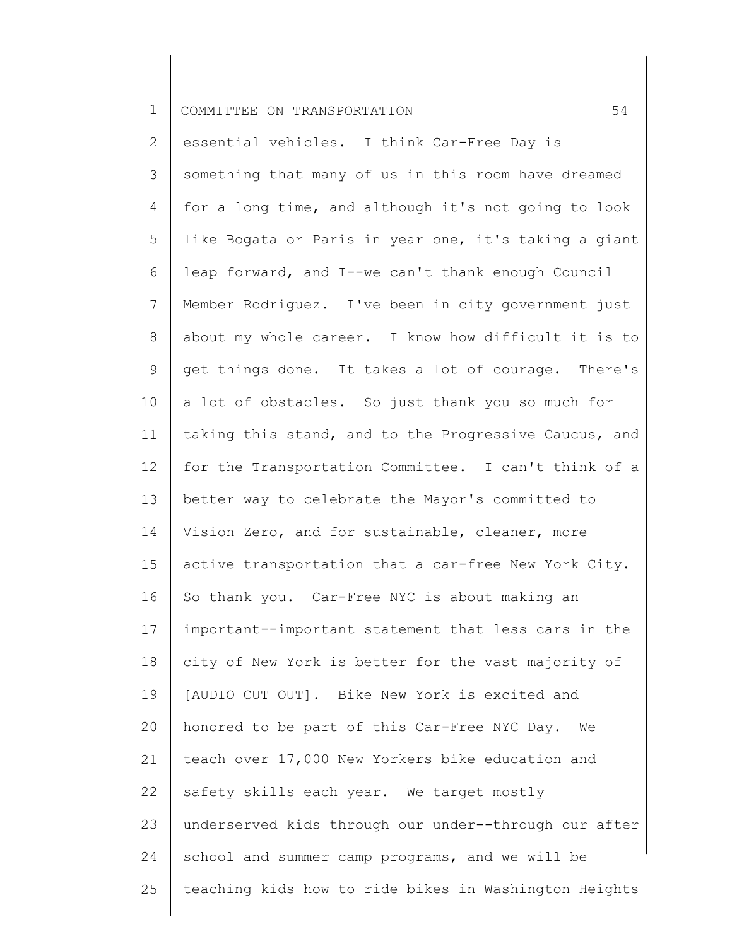2 3 4 5 6 7 8 9 10 11 12 13 14 15 16 17 18 19 20 21 22 23 24 25 essential vehicles. I think Car-Free Day is something that many of us in this room have dreamed for a long time, and although it's not going to look like Bogata or Paris in year one, it's taking a giant leap forward, and I--we can't thank enough Council Member Rodriguez. I've been in city government just about my whole career. I know how difficult it is to get things done. It takes a lot of courage. There's a lot of obstacles. So just thank you so much for taking this stand, and to the Progressive Caucus, and for the Transportation Committee. I can't think of a better way to celebrate the Mayor's committed to Vision Zero, and for sustainable, cleaner, more active transportation that a car-free New York City. So thank you. Car-Free NYC is about making an important--important statement that less cars in the city of New York is better for the vast majority of [AUDIO CUT OUT]. Bike New York is excited and honored to be part of this Car-Free NYC Day. We teach over 17,000 New Yorkers bike education and safety skills each year. We target mostly underserved kids through our under--through our after school and summer camp programs, and we will be teaching kids how to ride bikes in Washington Heights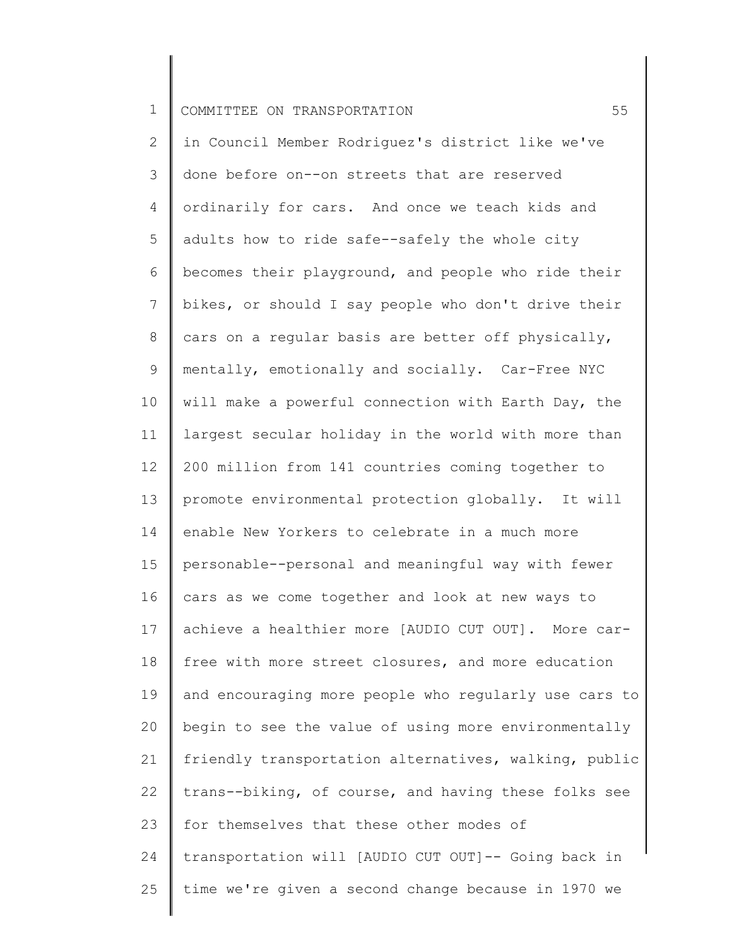2 3 4 5 6 7 8 9 10 11 12 13 14 15 16 17 18 19 20 21 22 23 24 25 in Council Member Rodriguez's district like we've done before on--on streets that are reserved ordinarily for cars. And once we teach kids and adults how to ride safe--safely the whole city becomes their playground, and people who ride their bikes, or should I say people who don't drive their cars on a regular basis are better off physically, mentally, emotionally and socially. Car-Free NYC will make a powerful connection with Earth Day, the largest secular holiday in the world with more than 200 million from 141 countries coming together to promote environmental protection globally. It will enable New Yorkers to celebrate in a much more personable--personal and meaningful way with fewer cars as we come together and look at new ways to achieve a healthier more [AUDIO CUT OUT]. More carfree with more street closures, and more education and encouraging more people who regularly use cars to begin to see the value of using more environmentally friendly transportation alternatives, walking, public trans--biking, of course, and having these folks see for themselves that these other modes of transportation will [AUDIO CUT OUT]-- Going back in time we're given a second change because in 1970 we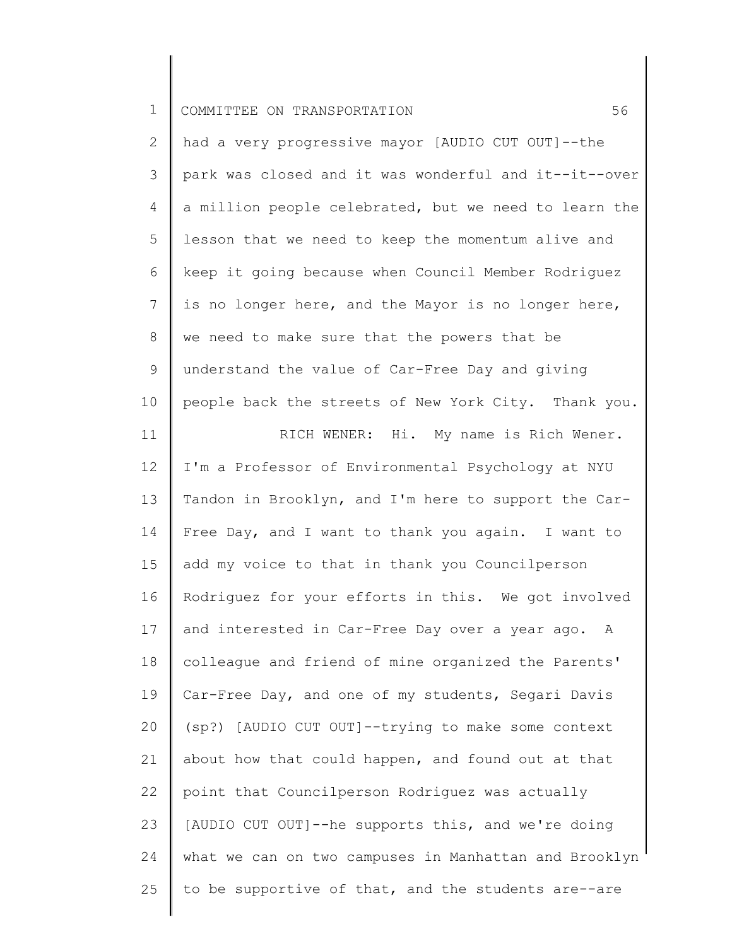| 2              | had a very progressive mayor [AUDIO CUT OUT]--the     |
|----------------|-------------------------------------------------------|
| 3              | park was closed and it was wonderful and it--it--over |
| 4              | a million people celebrated, but we need to learn the |
| 5              | lesson that we need to keep the momentum alive and    |
| 6              | keep it going because when Council Member Rodriguez   |
| $\overline{7}$ | is no longer here, and the Mayor is no longer here,   |
| 8              | we need to make sure that the powers that be          |
| 9              | understand the value of Car-Free Day and giving       |
| 10             | people back the streets of New York City. Thank you.  |
| 11             | RICH WENER: Hi. My name is Rich Wener.                |
| 12             | I'm a Professor of Environmental Psychology at NYU    |
| 13             | Tandon in Brooklyn, and I'm here to support the Car-  |
| 14             | Free Day, and I want to thank you again. I want to    |
| 15             | add my voice to that in thank you Councilperson       |
| 16             | Rodriquez for your efforts in this. We got involved   |
| 17             | and interested in Car-Free Day over a year ago. A     |
| 18             | colleague and friend of mine organized the Parents'   |
| 19             | Car-Free Day, and one of my students, Segari Davis    |
| 20             | (sp?) [AUDIO CUT OUT]--trying to make some context    |
| 21             | about how that could happen, and found out at that    |
| 22             | point that Councilperson Rodriguez was actually       |
| 23             | [AUDIO CUT OUT]--he supports this, and we're doing    |
| 24             | what we can on two campuses in Manhattan and Brooklyn |
| 25             | to be supportive of that, and the students are--are   |
|                |                                                       |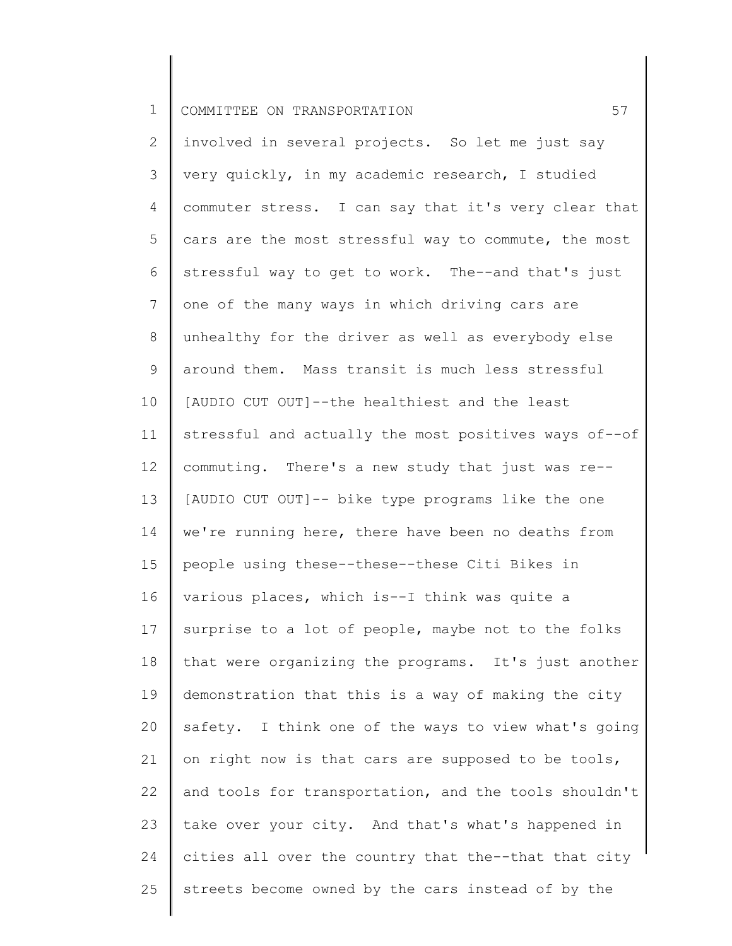2 3 4 5 6 7 8 9 10 11 12 13 14 15 16 17 18 19 20 21 22 23 24 25 involved in several projects. So let me just say very quickly, in my academic research, I studied commuter stress. I can say that it's very clear that cars are the most stressful way to commute, the most stressful way to get to work. The--and that's just one of the many ways in which driving cars are unhealthy for the driver as well as everybody else around them. Mass transit is much less stressful [AUDIO CUT OUT]--the healthiest and the least stressful and actually the most positives ways of--of commuting. There's a new study that just was re-- [AUDIO CUT OUT]-- bike type programs like the one we're running here, there have been no deaths from people using these--these--these Citi Bikes in various places, which is--I think was quite a surprise to a lot of people, maybe not to the folks that were organizing the programs. It's just another demonstration that this is a way of making the city safety. I think one of the ways to view what's going on right now is that cars are supposed to be tools, and tools for transportation, and the tools shouldn't take over your city. And that's what's happened in cities all over the country that the--that that city streets become owned by the cars instead of by the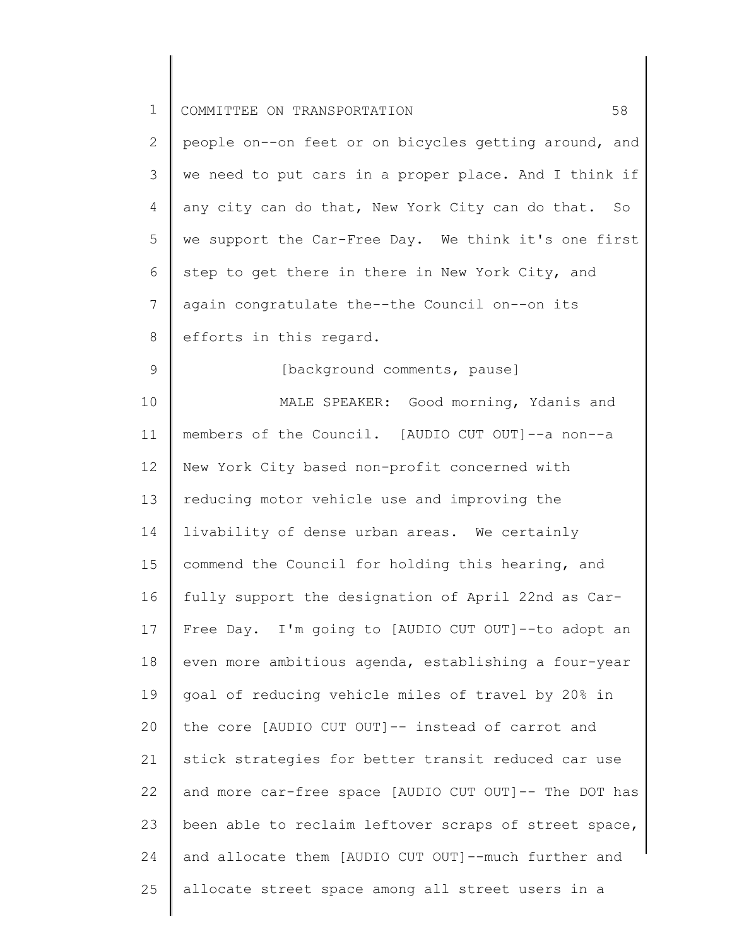| $\mathbf 1$  | 58<br>COMMITTEE ON TRANSPORTATION                     |
|--------------|-------------------------------------------------------|
| $\mathbf{2}$ | people on--on feet or on bicycles getting around, and |
| 3            | we need to put cars in a proper place. And I think if |
| 4            | any city can do that, New York City can do that. So   |
| 5            | we support the Car-Free Day. We think it's one first  |
| 6            | step to get there in there in New York City, and      |
| 7            | again congratulate the--the Council on--on its        |
| 8            | efforts in this regard.                               |
| $\mathsf 9$  | [background comments, pause]                          |
| 10           | MALE SPEAKER: Good morning, Ydanis and                |
| 11           | members of the Council. [AUDIO CUT OUT]--a non--a     |
| 12           | New York City based non-profit concerned with         |
| 13           | reducing motor vehicle use and improving the          |
| 14           | livability of dense urban areas. We certainly         |
| 15           | commend the Council for holding this hearing, and     |
| 16           | fully support the designation of April 22nd as Car-   |
| 17           | Free Day. I'm going to [AUDIO CUT OUT]--to adopt an   |
| 18           | even more ambitious agenda, establishing a four-year  |
| 19           | goal of reducing vehicle miles of travel by 20% in    |
| 20           | the core [AUDIO CUT OUT]-- instead of carrot and      |
| 21           | stick strategies for better transit reduced car use   |
| 22           | and more car-free space [AUDIO CUT OUT]-- The DOT has |
| 23           | been able to reclaim leftover scraps of street space, |
| 24           | and allocate them [AUDIO CUT OUT]--much further and   |
| 25           | allocate street space among all street users in a     |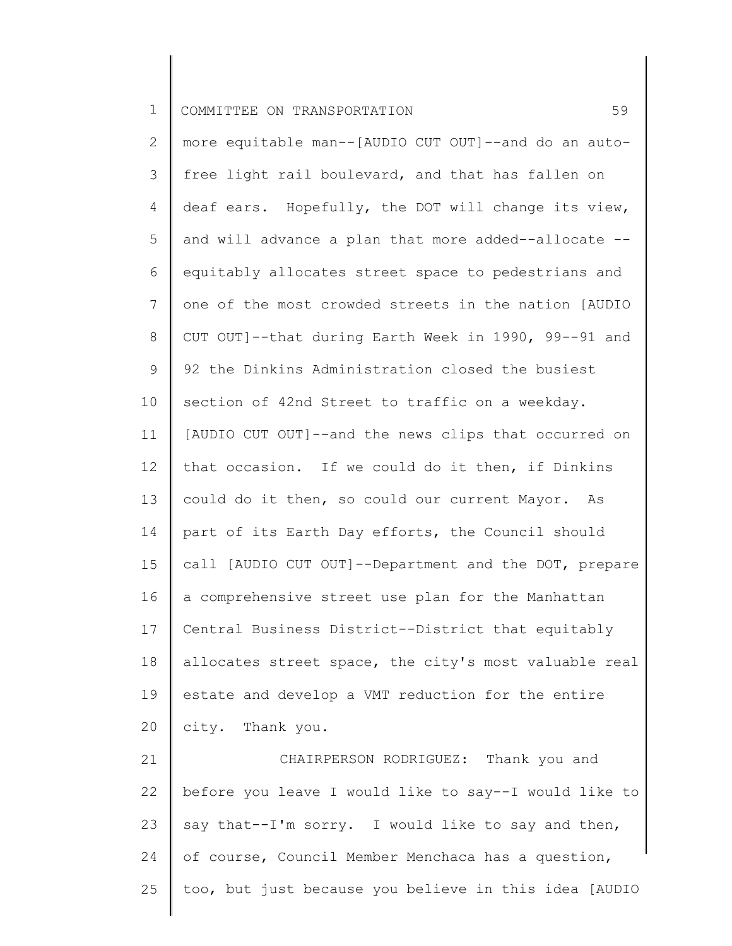2 3 4 5 6 7 8 9 10 11 12 13 14 15 16 17 18 19 20 more equitable man--[AUDIO CUT OUT]--and do an autofree light rail boulevard, and that has fallen on deaf ears. Hopefully, the DOT will change its view, and will advance a plan that more added--allocate - equitably allocates street space to pedestrians and one of the most crowded streets in the nation [AUDIO CUT OUT]--that during Earth Week in 1990, 99--91 and 92 the Dinkins Administration closed the busiest section of 42nd Street to traffic on a weekday. [AUDIO CUT OUT]--and the news clips that occurred on that occasion. If we could do it then, if Dinkins could do it then, so could our current Mayor. As part of its Earth Day efforts, the Council should call [AUDIO CUT OUT]--Department and the DOT, prepare a comprehensive street use plan for the Manhattan Central Business District--District that equitably allocates street space, the city's most valuable real estate and develop a VMT reduction for the entire city. Thank you.

21 22 23 24 25 CHAIRPERSON RODRIGUEZ: Thank you and before you leave I would like to say--I would like to say that--I'm sorry. I would like to say and then, of course, Council Member Menchaca has a question, too, but just because you believe in this idea [AUDIO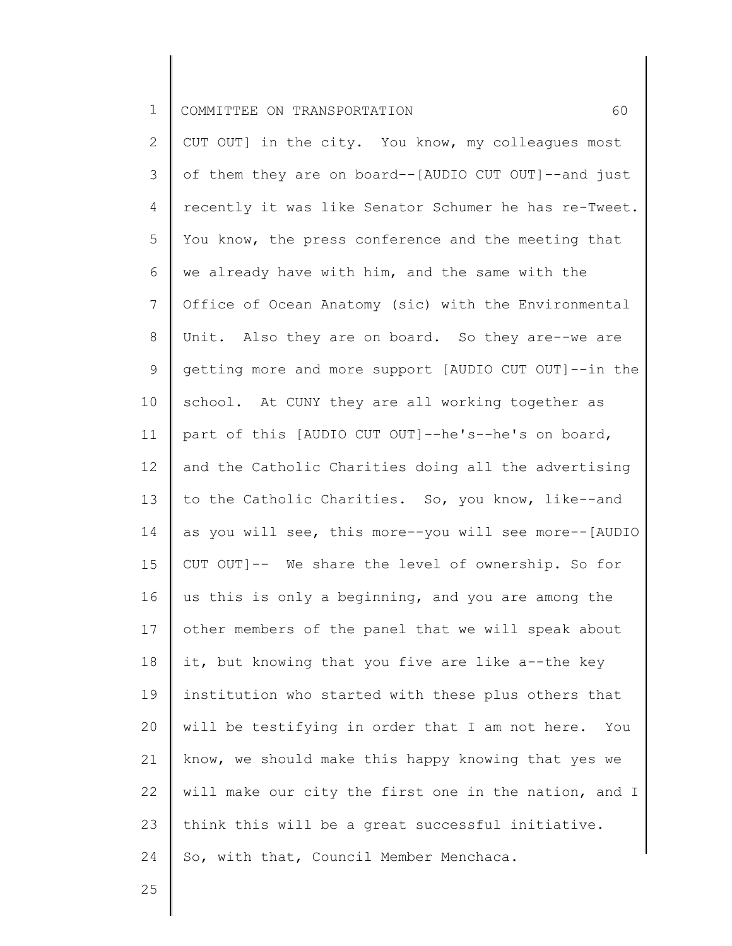2 3 4 5 6 7 8 9 10 11 12 13 14 15 16 17 18 19 20 21 22 23 24 CUT OUT] in the city. You know, my colleagues most of them they are on board--[AUDIO CUT OUT]--and just recently it was like Senator Schumer he has re-Tweet. You know, the press conference and the meeting that we already have with him, and the same with the Office of Ocean Anatomy (sic) with the Environmental Unit. Also they are on board. So they are--we are getting more and more support [AUDIO CUT OUT]--in the school. At CUNY they are all working together as part of this [AUDIO CUT OUT]--he's--he's on board, and the Catholic Charities doing all the advertising to the Catholic Charities. So, you know, like--and as you will see, this more--you will see more--[AUDIO CUT OUT]-- We share the level of ownership. So for us this is only a beginning, and you are among the other members of the panel that we will speak about it, but knowing that you five are like a--the key institution who started with these plus others that will be testifying in order that I am not here. You know, we should make this happy knowing that yes we will make our city the first one in the nation, and I think this will be a great successful initiative. So, with that, Council Member Menchaca.

25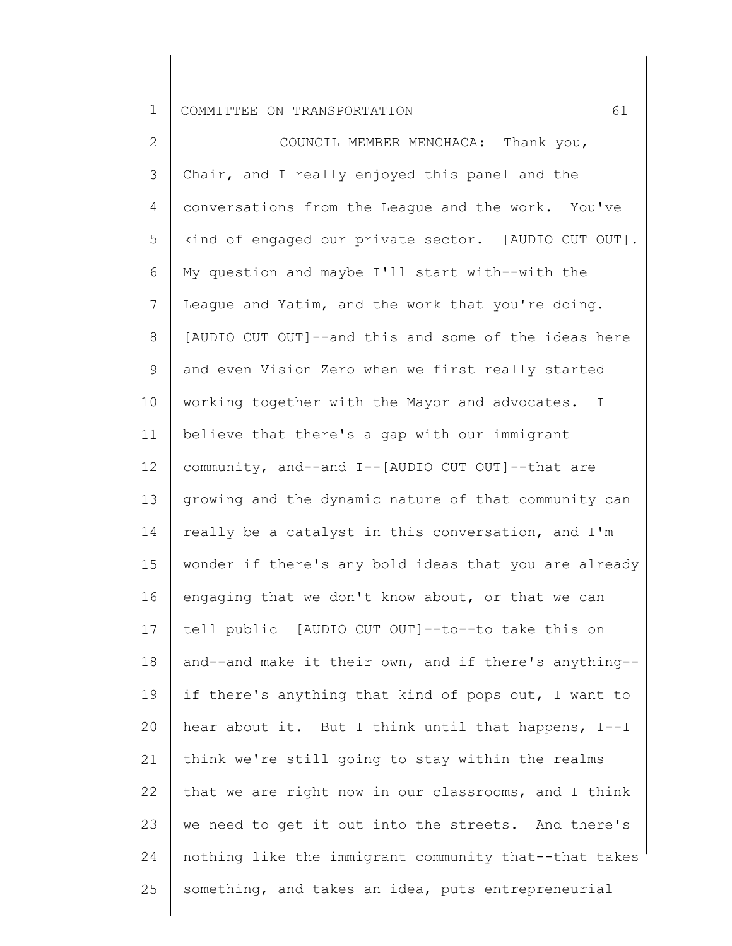2 3 4 5 6 7 8 9 10 11 12 13 14 15 16 17 18 19 20 21 22 23 24 25 COUNCIL MEMBER MENCHACA: Thank you, Chair, and I really enjoyed this panel and the conversations from the League and the work. You've kind of engaged our private sector. [AUDIO CUT OUT]. My question and maybe I'll start with--with the League and Yatim, and the work that you're doing. [AUDIO CUT OUT]--and this and some of the ideas here and even Vision Zero when we first really started working together with the Mayor and advocates. I believe that there's a gap with our immigrant community, and--and I--[AUDIO CUT OUT]--that are growing and the dynamic nature of that community can really be a catalyst in this conversation, and I'm wonder if there's any bold ideas that you are already engaging that we don't know about, or that we can tell public [AUDIO CUT OUT]--to--to take this on and--and make it their own, and if there's anything- if there's anything that kind of pops out, I want to hear about it. But I think until that happens, I--I think we're still going to stay within the realms that we are right now in our classrooms, and I think we need to get it out into the streets. And there's nothing like the immigrant community that--that takes something, and takes an idea, puts entrepreneurial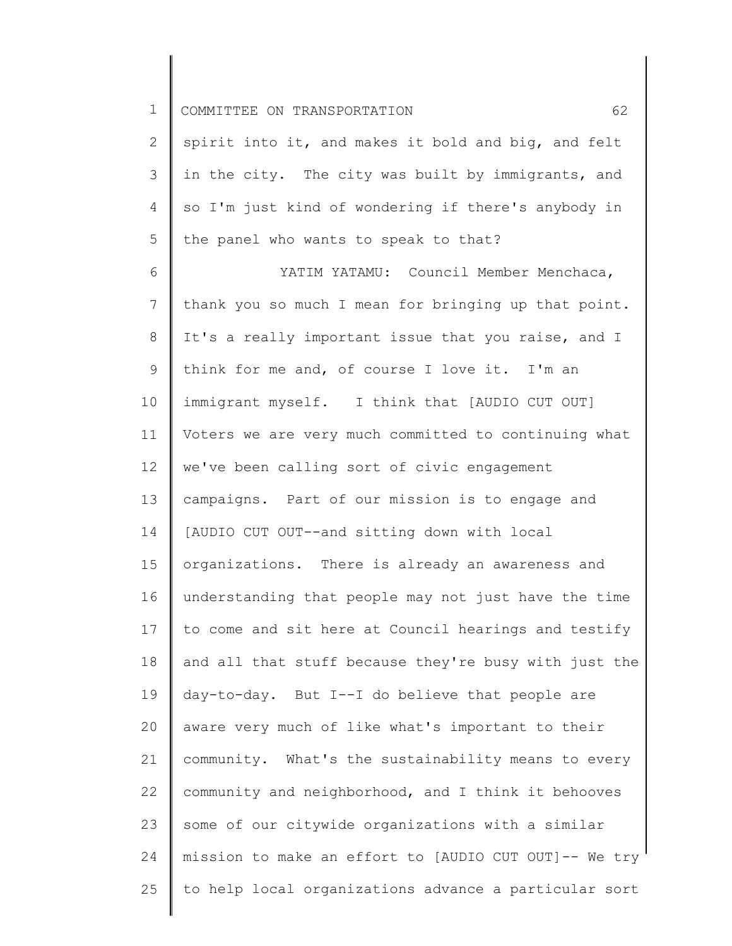2 3 4 5 spirit into it, and makes it bold and big, and felt in the city. The city was built by immigrants, and so I'm just kind of wondering if there's anybody in the panel who wants to speak to that?

6 7 8 9 10 11 12 13 14 15 16 17 18 19 20 21 22 23 24 25 YATIM YATAMU: Council Member Menchaca, thank you so much I mean for bringing up that point. It's a really important issue that you raise, and I think for me and, of course I love it. I'm an immigrant myself. I think that [AUDIO CUT OUT] Voters we are very much committed to continuing what we've been calling sort of civic engagement campaigns. Part of our mission is to engage and [AUDIO CUT OUT--and sitting down with local organizations. There is already an awareness and understanding that people may not just have the time to come and sit here at Council hearings and testify and all that stuff because they're busy with just the day-to-day. But I--I do believe that people are aware very much of like what's important to their community. What's the sustainability means to every community and neighborhood, and I think it behooves some of our citywide organizations with a similar mission to make an effort to [AUDIO CUT OUT]-- We try to help local organizations advance a particular sort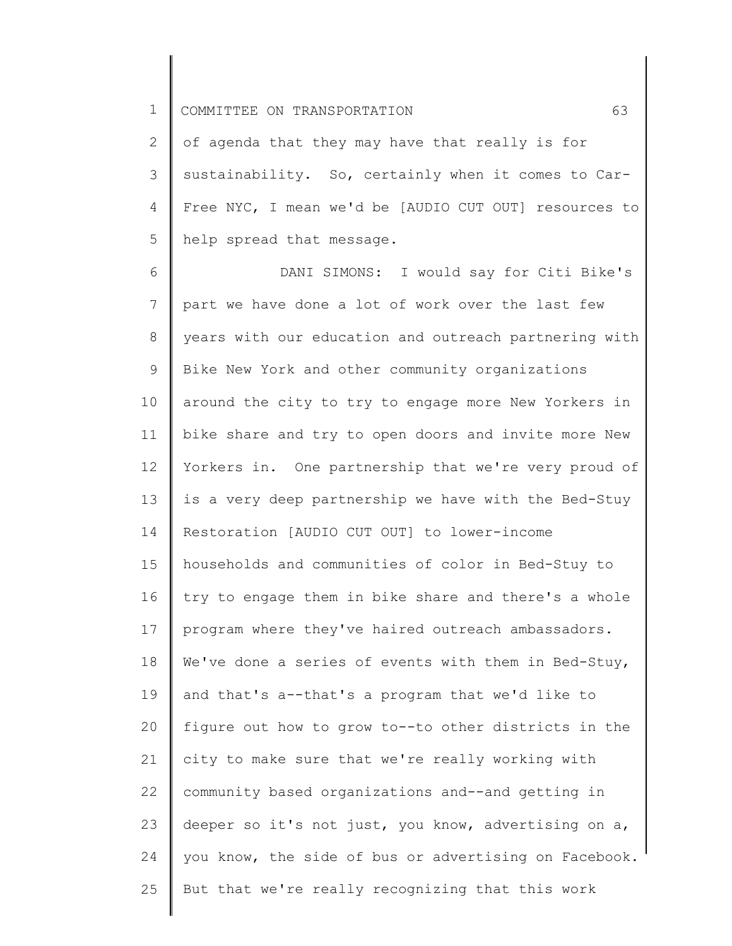2 3 4 5 of agenda that they may have that really is for sustainability. So, certainly when it comes to Car-Free NYC, I mean we'd be [AUDIO CUT OUT] resources to help spread that message.

6 7 8 9 10 11 12 13 14 15 16 17 18 19 20 21 22 23 24 25 DANI SIMONS: I would say for Citi Bike's part we have done a lot of work over the last few years with our education and outreach partnering with Bike New York and other community organizations around the city to try to engage more New Yorkers in bike share and try to open doors and invite more New Yorkers in. One partnership that we're very proud of is a very deep partnership we have with the Bed-Stuy Restoration [AUDIO CUT OUT] to lower-income households and communities of color in Bed-Stuy to try to engage them in bike share and there's a whole program where they've haired outreach ambassadors. We've done a series of events with them in Bed-Stuy, and that's a--that's a program that we'd like to figure out how to grow to--to other districts in the city to make sure that we're really working with community based organizations and--and getting in deeper so it's not just, you know, advertising on a, you know, the side of bus or advertising on Facebook. But that we're really recognizing that this work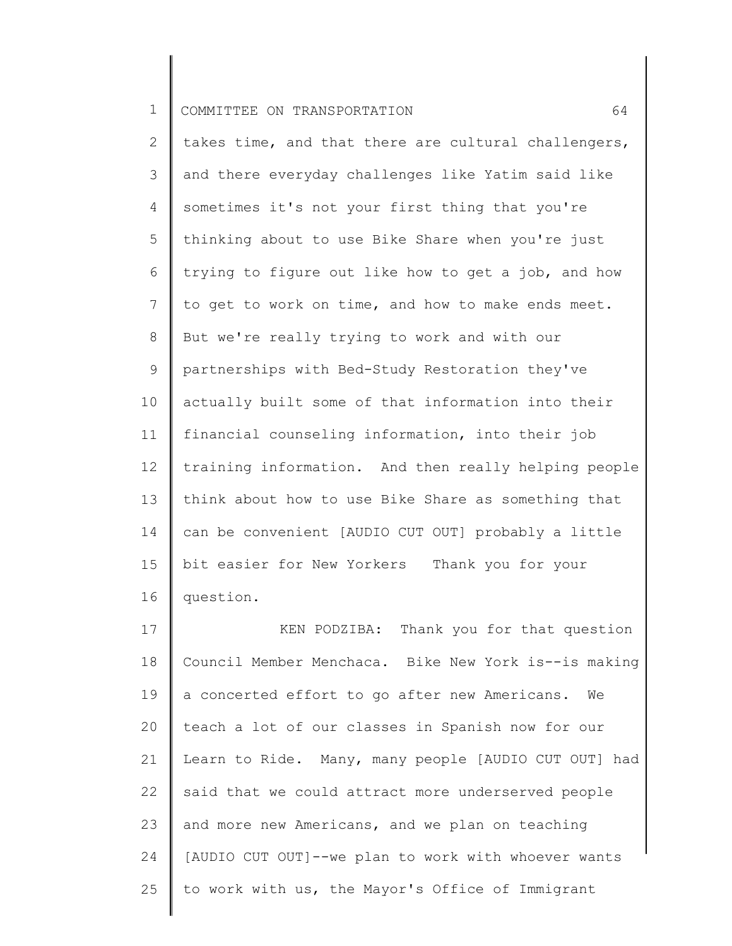2 3 4 5 6 7 8 9 10 11 12 13 14 15 16 takes time, and that there are cultural challengers, and there everyday challenges like Yatim said like sometimes it's not your first thing that you're thinking about to use Bike Share when you're just trying to figure out like how to get a job, and how to get to work on time, and how to make ends meet. But we're really trying to work and with our partnerships with Bed-Study Restoration they've actually built some of that information into their financial counseling information, into their job training information. And then really helping people think about how to use Bike Share as something that can be convenient [AUDIO CUT OUT] probably a little bit easier for New Yorkers Thank you for your question.

17 18 19 20 21 22 23 24 25 KEN PODZIBA: Thank you for that question Council Member Menchaca. Bike New York is--is making a concerted effort to go after new Americans. We teach a lot of our classes in Spanish now for our Learn to Ride. Many, many people [AUDIO CUT OUT] had said that we could attract more underserved people and more new Americans, and we plan on teaching [AUDIO CUT OUT]--we plan to work with whoever wants to work with us, the Mayor's Office of Immigrant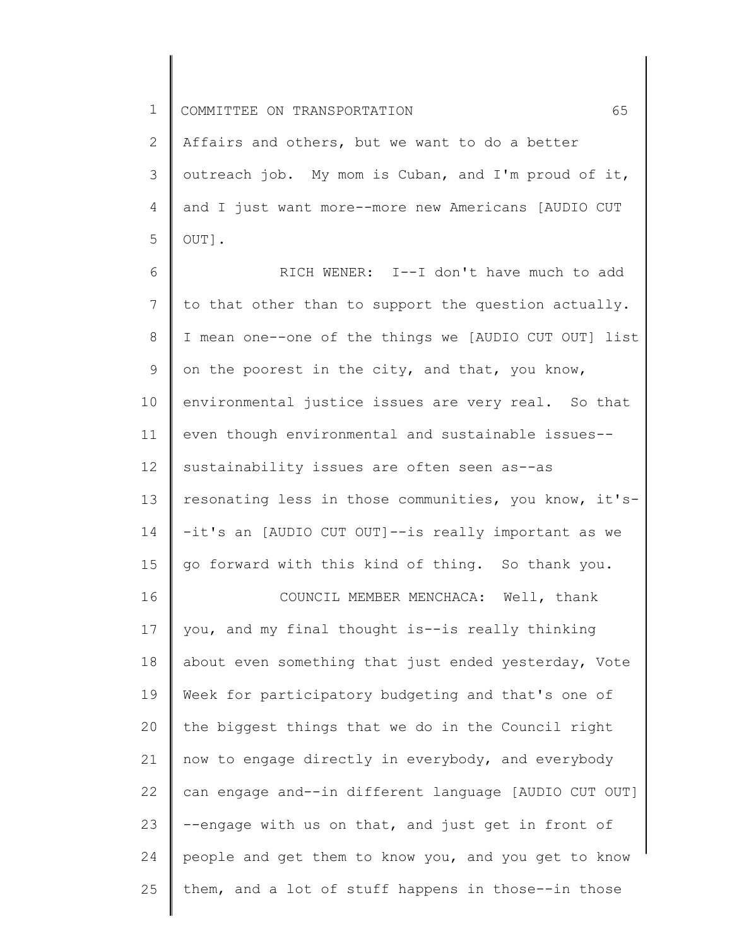2 3 4 5 Affairs and others, but we want to do a better outreach job. My mom is Cuban, and I'm proud of it, and I just want more--more new Americans [AUDIO CUT OUT].

6 7 8 9 10 11 12 13 14 15 16 17 18 19 20 21 22 23 24 25 RICH WENER: I--I don't have much to add to that other than to support the question actually. I mean one--one of the things we [AUDIO CUT OUT] list on the poorest in the city, and that, you know, environmental justice issues are very real. So that even though environmental and sustainable issues- sustainability issues are often seen as--as resonating less in those communities, you know, it's- -it's an [AUDIO CUT OUT]--is really important as we go forward with this kind of thing. So thank you. COUNCIL MEMBER MENCHACA: Well, thank you, and my final thought is--is really thinking about even something that just ended yesterday, Vote Week for participatory budgeting and that's one of the biggest things that we do in the Council right now to engage directly in everybody, and everybody can engage and--in different language [AUDIO CUT OUT] --engage with us on that, and just get in front of people and get them to know you, and you get to know them, and a lot of stuff happens in those--in those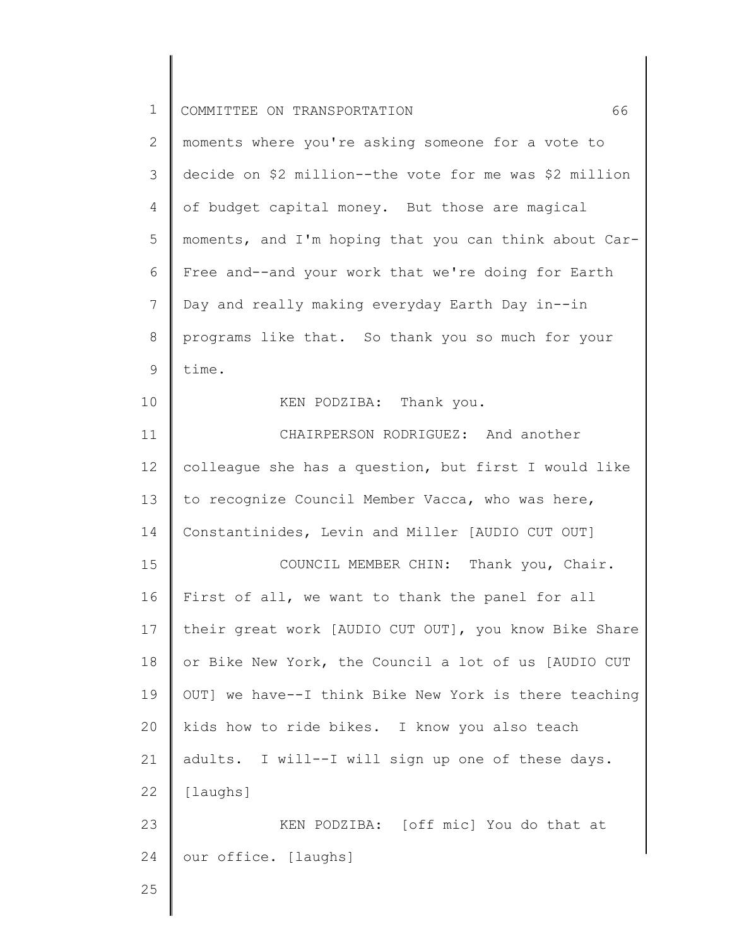25

2 3 4 5 6 7 8 9 10 11 12 13 14 15 16 17 18 19 20 21 22 23 24 moments where you're asking someone for a vote to decide on \$2 million--the vote for me was \$2 million of budget capital money. But those are magical moments, and I'm hoping that you can think about Car-Free and--and your work that we're doing for Earth Day and really making everyday Earth Day in--in programs like that. So thank you so much for your time. KEN PODZIBA: Thank you. CHAIRPERSON RODRIGUEZ: And another colleague she has a question, but first I would like to recognize Council Member Vacca, who was here, Constantinides, Levin and Miller [AUDIO CUT OUT] COUNCIL MEMBER CHIN: Thank you, Chair. First of all, we want to thank the panel for all their great work [AUDIO CUT OUT], you know Bike Share or Bike New York, the Council a lot of us [AUDIO CUT OUT] we have--I think Bike New York is there teaching kids how to ride bikes. I know you also teach adults. I will--I will sign up one of these days. [laughs] KEN PODZIBA: [off mic] You do that at our office. [laughs]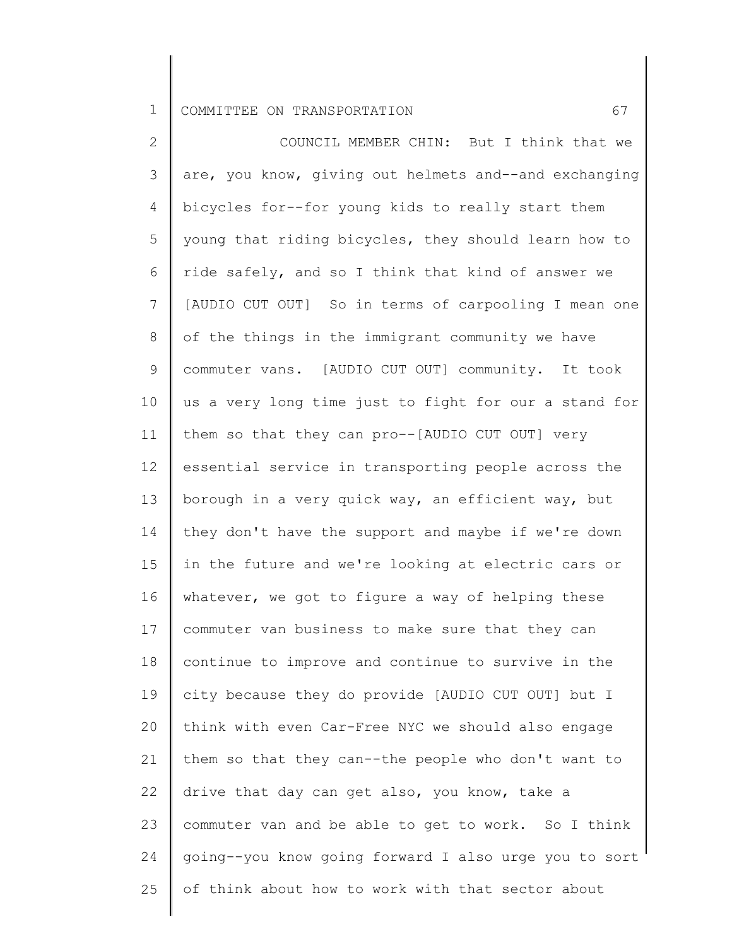2 3 4 5 6 7 8 9 10 11 12 13 14 15 16 17 18 19 20 21 22 23 24 25 COUNCIL MEMBER CHIN: But I think that we are, you know, giving out helmets and--and exchanging bicycles for--for young kids to really start them young that riding bicycles, they should learn how to ride safely, and so I think that kind of answer we [AUDIO CUT OUT] So in terms of carpooling I mean one of the things in the immigrant community we have commuter vans. [AUDIO CUT OUT] community. It took us a very long time just to fight for our a stand for them so that they can pro--[AUDIO CUT OUT] very essential service in transporting people across the borough in a very quick way, an efficient way, but they don't have the support and maybe if we're down in the future and we're looking at electric cars or whatever, we got to figure a way of helping these commuter van business to make sure that they can continue to improve and continue to survive in the city because they do provide [AUDIO CUT OUT] but I think with even Car-Free NYC we should also engage them so that they can--the people who don't want to drive that day can get also, you know, take a commuter van and be able to get to work. So I think going--you know going forward I also urge you to sort of think about how to work with that sector about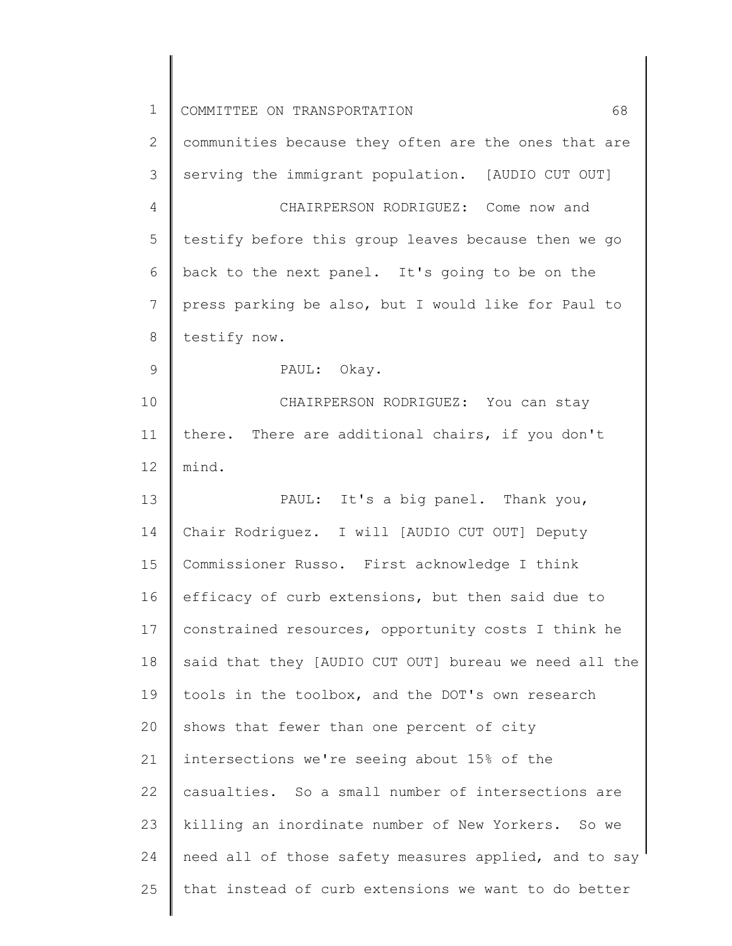| $\mathbf 1$ | 68<br>COMMITTEE ON TRANSPORTATION                     |
|-------------|-------------------------------------------------------|
| 2           | communities because they often are the ones that are  |
| 3           | serving the immigrant population. [AUDIO CUT OUT]     |
| 4           | CHAIRPERSON RODRIGUEZ: Come now and                   |
| 5           | testify before this group leaves because then we go   |
| 6           | back to the next panel. It's going to be on the       |
| 7           | press parking be also, but I would like for Paul to   |
| 8           | testify now.                                          |
| 9           | PAUL: Okay.                                           |
| 10          | CHAIRPERSON RODRIGUEZ: You can stay                   |
| 11          | there. There are additional chairs, if you don't      |
| 12          | mind.                                                 |
| 13          | PAUL: It's a big panel. Thank you,                    |
| 14          | Chair Rodriguez. I will [AUDIO CUT OUT] Deputy        |
| 15          | Commissioner Russo. First acknowledge I think         |
| 16          | efficacy of curb extensions, but then said due to     |
| 17          | constrained resources, opportunity costs I think he   |
| 18          | said that they [AUDIO CUT OUT] bureau we need all the |
| 19          | tools in the toolbox, and the DOT's own research      |
| 20          | shows that fewer than one percent of city             |
| 21          | intersections we're seeing about 15% of the           |
| 22          | casualties. So a small number of intersections are    |
| 23          | killing an inordinate number of New Yorkers. So we    |
| 24          | need all of those safety measures applied, and to say |
| 25          | that instead of curb extensions we want to do better  |
|             |                                                       |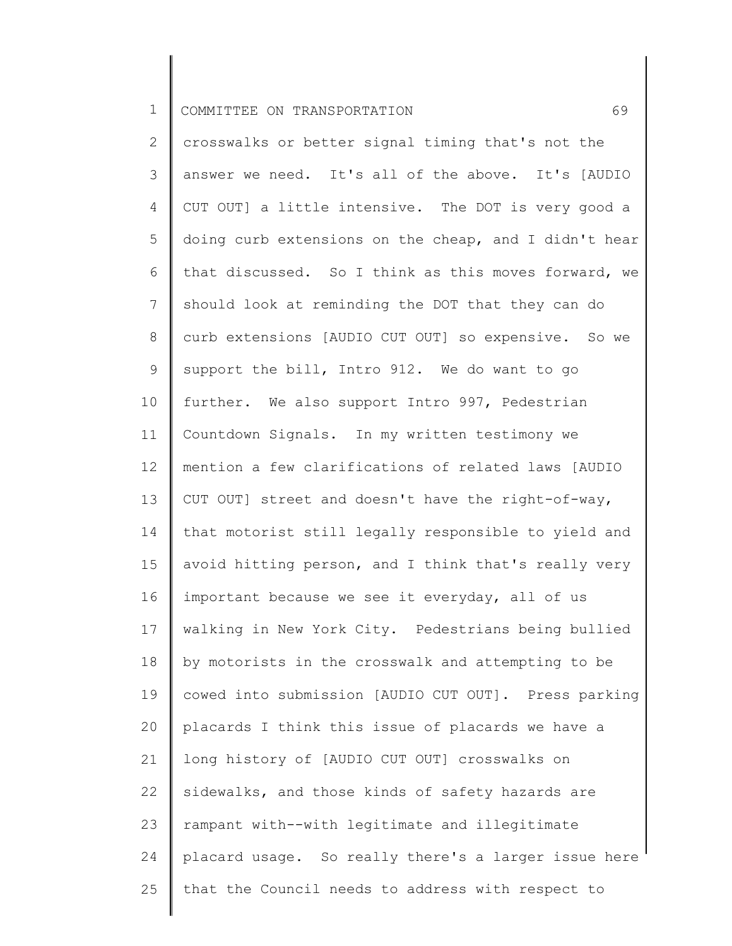2 3 4 5 6 7 8 9 10 11 12 13 14 15 16 17 18 19 20 21 22 23 24 25 crosswalks or better signal timing that's not the answer we need. It's all of the above. It's [AUDIO CUT OUT] a little intensive. The DOT is very good a doing curb extensions on the cheap, and I didn't hear that discussed. So I think as this moves forward, we should look at reminding the DOT that they can do curb extensions [AUDIO CUT OUT] so expensive. So we support the bill, Intro 912. We do want to go further. We also support Intro 997, Pedestrian Countdown Signals. In my written testimony we mention a few clarifications of related laws [AUDIO CUT OUT] street and doesn't have the right-of-way, that motorist still legally responsible to yield and avoid hitting person, and I think that's really very important because we see it everyday, all of us walking in New York City. Pedestrians being bullied by motorists in the crosswalk and attempting to be cowed into submission [AUDIO CUT OUT]. Press parking placards I think this issue of placards we have a long history of [AUDIO CUT OUT] crosswalks on sidewalks, and those kinds of safety hazards are rampant with--with legitimate and illegitimate placard usage. So really there's a larger issue here that the Council needs to address with respect to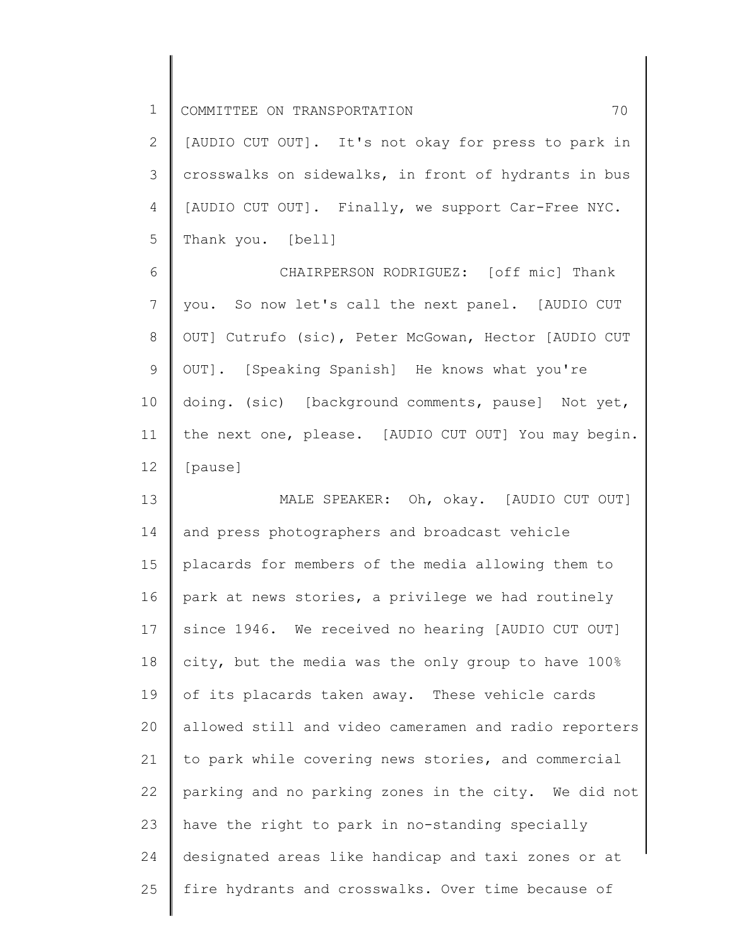2 3 4 5 [AUDIO CUT OUT]. It's not okay for press to park in crosswalks on sidewalks, in front of hydrants in bus [AUDIO CUT OUT]. Finally, we support Car-Free NYC. Thank you. [bell]

6 7 8 9 10 11 12 CHAIRPERSON RODRIGUEZ: [off mic] Thank you. So now let's call the next panel. [AUDIO CUT OUT] Cutrufo (sic), Peter McGowan, Hector [AUDIO CUT OUT]. [Speaking Spanish] He knows what you're doing. (sic) [background comments, pause] Not yet, the next one, please. [AUDIO CUT OUT] You may begin. [pause]

13 14 15 16 17 18 19 20 21 22 23 24 25 MALE SPEAKER: Oh, okay. [AUDIO CUT OUT] and press photographers and broadcast vehicle placards for members of the media allowing them to park at news stories, a privilege we had routinely since 1946. We received no hearing [AUDIO CUT OUT] city, but the media was the only group to have 100% of its placards taken away. These vehicle cards allowed still and video cameramen and radio reporters to park while covering news stories, and commercial parking and no parking zones in the city. We did not have the right to park in no-standing specially designated areas like handicap and taxi zones or at fire hydrants and crosswalks. Over time because of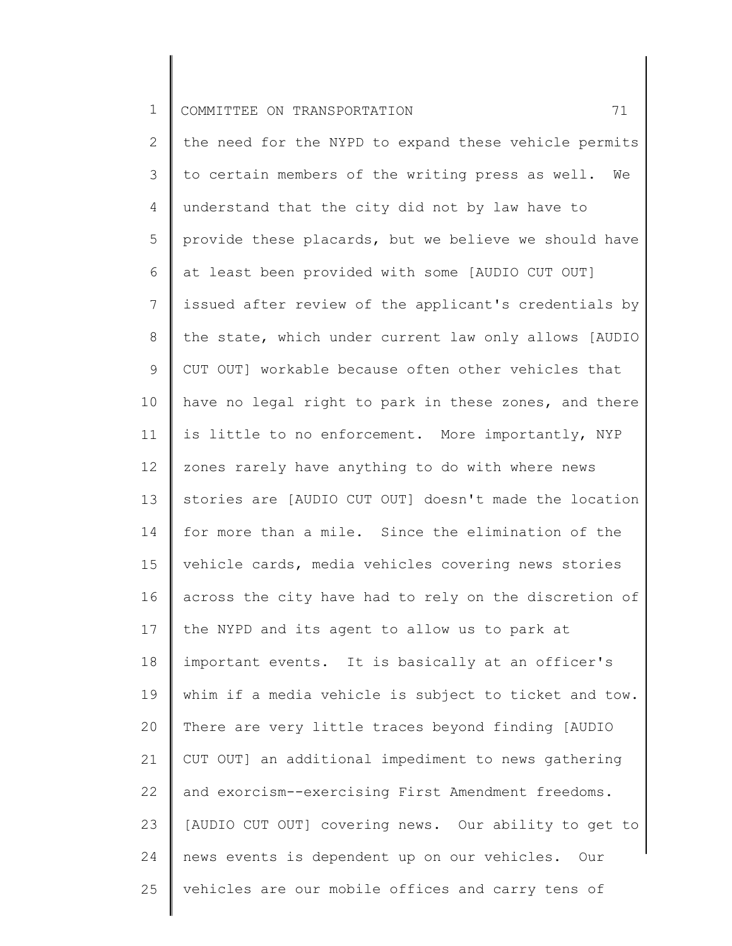2 3 4 5 6 7 8 9 10 11 12 13 14 15 16 17 18 19 20 21 22 23 24 25 the need for the NYPD to expand these vehicle permits to certain members of the writing press as well. We understand that the city did not by law have to provide these placards, but we believe we should have at least been provided with some [AUDIO CUT OUT] issued after review of the applicant's credentials by the state, which under current law only allows [AUDIO CUT OUT] workable because often other vehicles that have no legal right to park in these zones, and there is little to no enforcement. More importantly, NYP zones rarely have anything to do with where news stories are [AUDIO CUT OUT] doesn't made the location for more than a mile. Since the elimination of the vehicle cards, media vehicles covering news stories across the city have had to rely on the discretion of the NYPD and its agent to allow us to park at important events. It is basically at an officer's whim if a media vehicle is subject to ticket and tow. There are very little traces beyond finding [AUDIO CUT OUT] an additional impediment to news gathering and exorcism--exercising First Amendment freedoms. [AUDIO CUT OUT] covering news. Our ability to get to news events is dependent up on our vehicles. Our vehicles are our mobile offices and carry tens of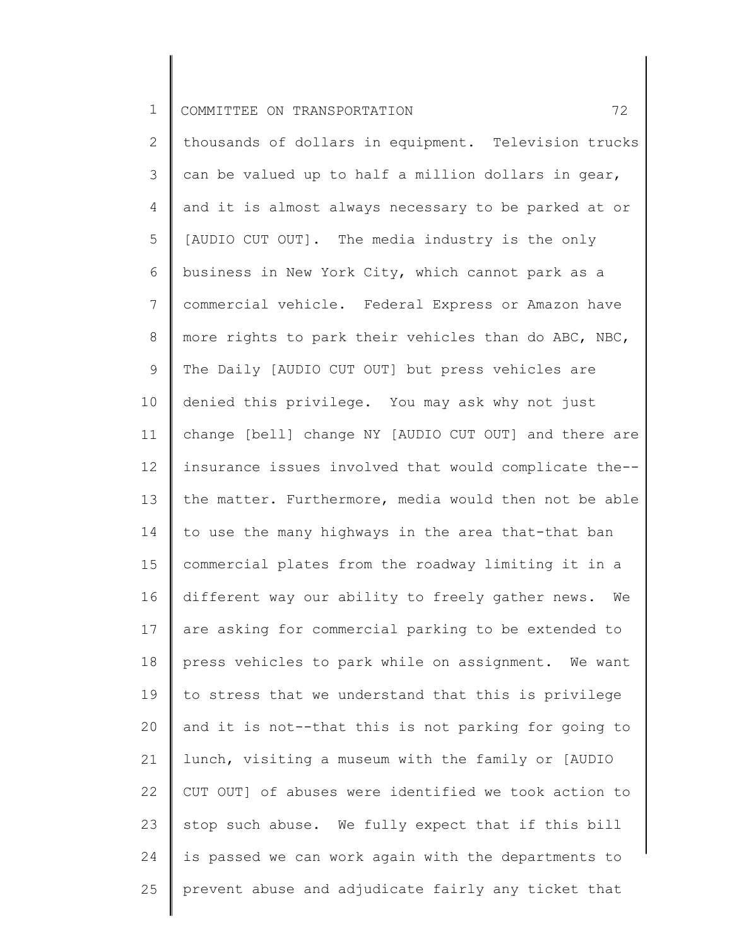2 3 4 5 6 7 8 9 10 11 12 13 14 15 16 17 18 19 20 21 22 23 24 25 thousands of dollars in equipment. Television trucks can be valued up to half a million dollars in gear, and it is almost always necessary to be parked at or [AUDIO CUT OUT]. The media industry is the only business in New York City, which cannot park as a commercial vehicle. Federal Express or Amazon have more rights to park their vehicles than do ABC, NBC, The Daily [AUDIO CUT OUT] but press vehicles are denied this privilege. You may ask why not just change [bell] change NY [AUDIO CUT OUT] and there are insurance issues involved that would complicate the- the matter. Furthermore, media would then not be able to use the many highways in the area that-that ban commercial plates from the roadway limiting it in a different way our ability to freely gather news. We are asking for commercial parking to be extended to press vehicles to park while on assignment. We want to stress that we understand that this is privilege and it is not--that this is not parking for going to lunch, visiting a museum with the family or [AUDIO CUT OUT] of abuses were identified we took action to stop such abuse. We fully expect that if this bill is passed we can work again with the departments to prevent abuse and adjudicate fairly any ticket that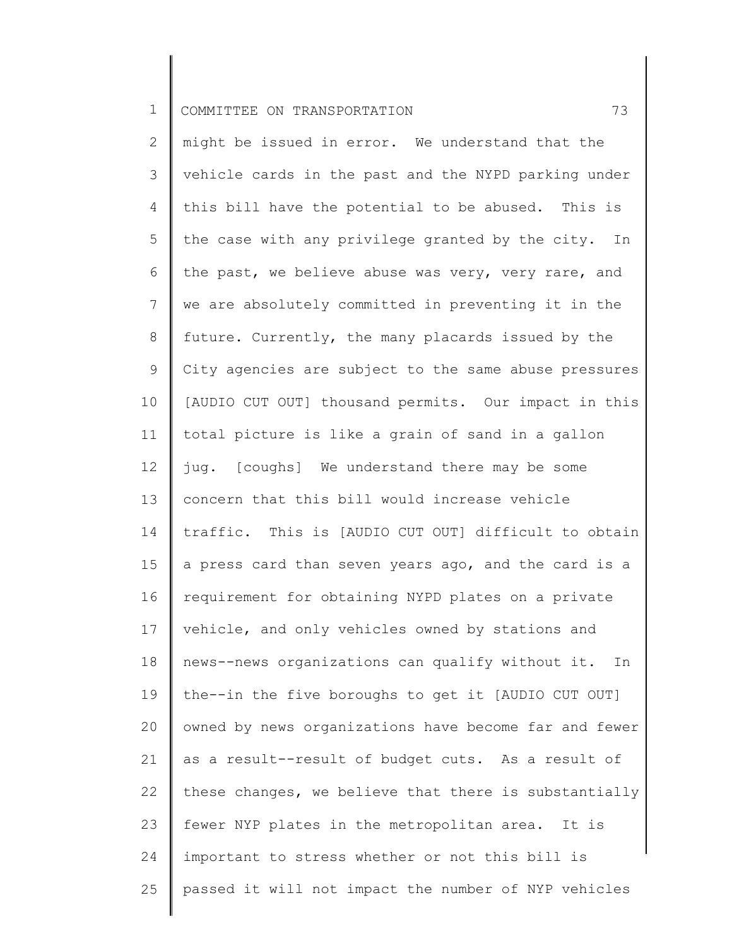2 3 4 5 6 7 8 9 10 11 12 13 14 15 16 17 18 19 20 21 22 23 24 25 might be issued in error. We understand that the vehicle cards in the past and the NYPD parking under this bill have the potential to be abused. This is the case with any privilege granted by the city. In the past, we believe abuse was very, very rare, and we are absolutely committed in preventing it in the future. Currently, the many placards issued by the City agencies are subject to the same abuse pressures [AUDIO CUT OUT] thousand permits. Our impact in this total picture is like a grain of sand in a gallon jug. [coughs] We understand there may be some concern that this bill would increase vehicle traffic. This is [AUDIO CUT OUT] difficult to obtain a press card than seven years ago, and the card is a requirement for obtaining NYPD plates on a private vehicle, and only vehicles owned by stations and news--news organizations can qualify without it. In the--in the five boroughs to get it [AUDIO CUT OUT] owned by news organizations have become far and fewer as a result--result of budget cuts. As a result of these changes, we believe that there is substantially fewer NYP plates in the metropolitan area. It is important to stress whether or not this bill is passed it will not impact the number of NYP vehicles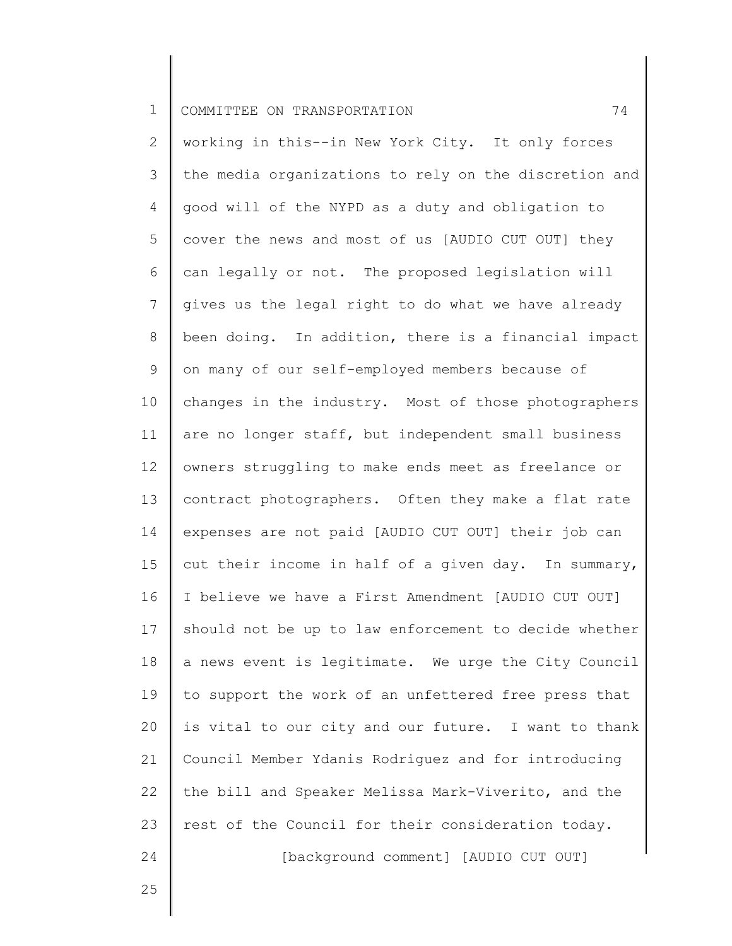2 3 4 5 6 7 8 9 10 11 12 13 14 15 16 17 18 19 20 21 22 23 24 working in this--in New York City. It only forces the media organizations to rely on the discretion and good will of the NYPD as a duty and obligation to cover the news and most of us [AUDIO CUT OUT] they can legally or not. The proposed legislation will gives us the legal right to do what we have already been doing. In addition, there is a financial impact on many of our self-employed members because of changes in the industry. Most of those photographers are no longer staff, but independent small business owners struggling to make ends meet as freelance or contract photographers. Often they make a flat rate expenses are not paid [AUDIO CUT OUT] their job can cut their income in half of a given day. In summary, I believe we have a First Amendment [AUDIO CUT OUT] should not be up to law enforcement to decide whether a news event is legitimate. We urge the City Council to support the work of an unfettered free press that is vital to our city and our future. I want to thank Council Member Ydanis Rodriguez and for introducing the bill and Speaker Melissa Mark-Viverito, and the rest of the Council for their consideration today. [background comment] [AUDIO CUT OUT]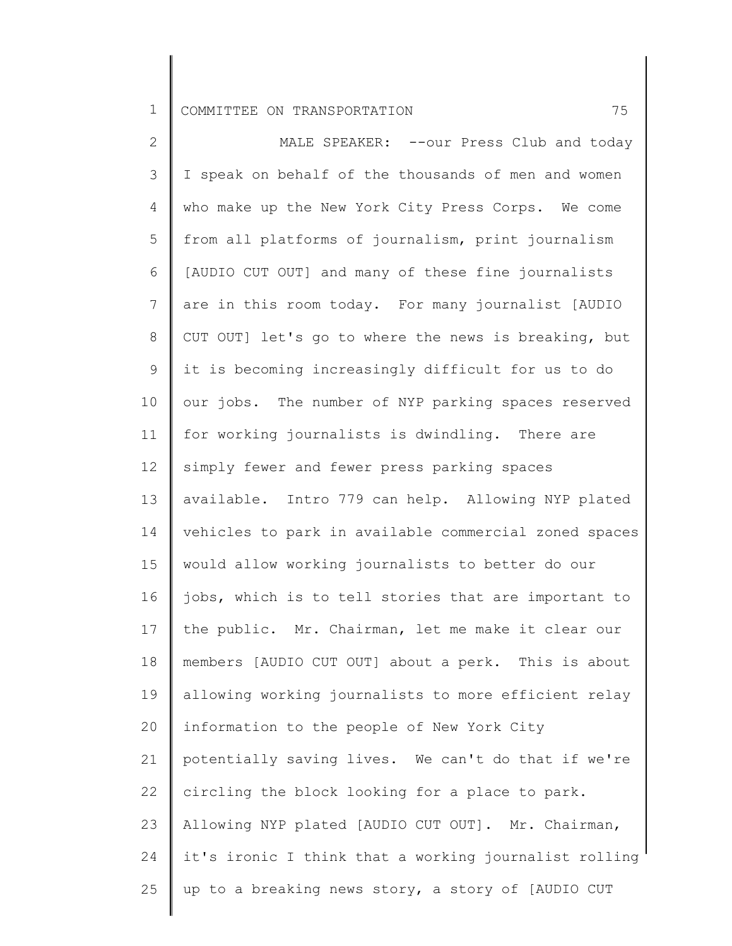2 3 4 5 6 7 8 9 10 11 12 13 14 15 16 17 18 19 20 21 22 23 24 25 MALE SPEAKER: --our Press Club and today I speak on behalf of the thousands of men and women who make up the New York City Press Corps. We come from all platforms of journalism, print journalism [AUDIO CUT OUT] and many of these fine journalists are in this room today. For many journalist [AUDIO CUT OUT] let's go to where the news is breaking, but it is becoming increasingly difficult for us to do our jobs. The number of NYP parking spaces reserved for working journalists is dwindling. There are simply fewer and fewer press parking spaces available. Intro 779 can help. Allowing NYP plated vehicles to park in available commercial zoned spaces would allow working journalists to better do our jobs, which is to tell stories that are important to the public. Mr. Chairman, let me make it clear our members [AUDIO CUT OUT] about a perk. This is about allowing working journalists to more efficient relay information to the people of New York City potentially saving lives. We can't do that if we're circling the block looking for a place to park. Allowing NYP plated [AUDIO CUT OUT]. Mr. Chairman, it's ironic I think that a working journalist rolling up to a breaking news story, a story of [AUDIO CUT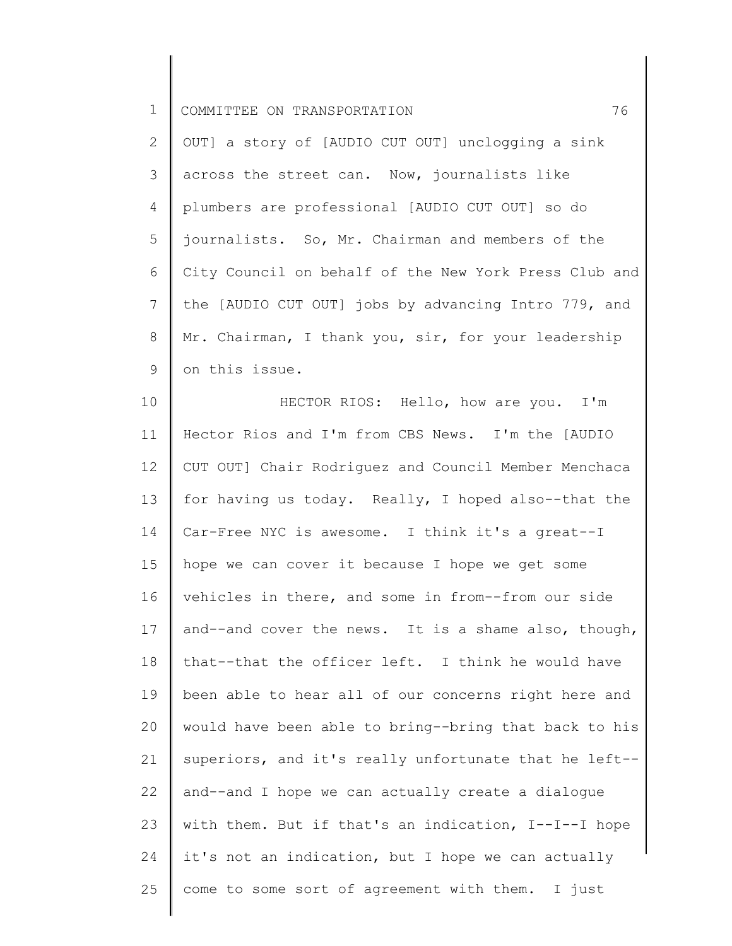2 3 4 5 6 7 8 9 OUT] a story of [AUDIO CUT OUT] unclogging a sink across the street can. Now, journalists like plumbers are professional [AUDIO CUT OUT] so do journalists. So, Mr. Chairman and members of the City Council on behalf of the New York Press Club and the [AUDIO CUT OUT] jobs by advancing Intro 779, and Mr. Chairman, I thank you, sir, for your leadership on this issue.

10 11 12 13 14 15 16 17 18 19 20 21 22 23 24 25 HECTOR RIOS: Hello, how are you. I'm Hector Rios and I'm from CBS News. I'm the [AUDIO CUT OUT] Chair Rodriguez and Council Member Menchaca for having us today. Really, I hoped also--that the Car-Free NYC is awesome. I think it's a great--I hope we can cover it because I hope we get some vehicles in there, and some in from--from our side and--and cover the news. It is a shame also, though, that--that the officer left. I think he would have been able to hear all of our concerns right here and would have been able to bring--bring that back to his superiors, and it's really unfortunate that he left- and--and I hope we can actually create a dialogue with them. But if that's an indication, I--I--I hope it's not an indication, but I hope we can actually come to some sort of agreement with them. I just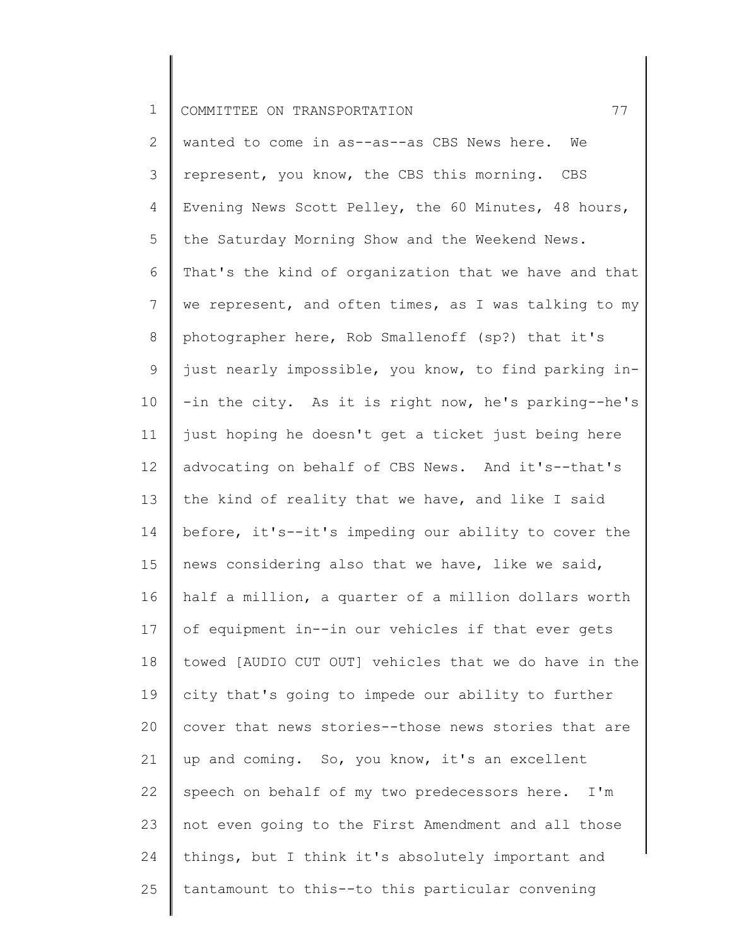2 3 4 5 6 7 8 9 10 11 12 13 14 15 16 17 18 19 20 21 22 23 24 25 wanted to come in as--as--as CBS News here. We represent, you know, the CBS this morning. CBS Evening News Scott Pelley, the 60 Minutes, 48 hours, the Saturday Morning Show and the Weekend News. That's the kind of organization that we have and that we represent, and often times, as I was talking to my photographer here, Rob Smallenoff (sp?) that it's just nearly impossible, you know, to find parking in- -in the city. As it is right now, he's parking--he's just hoping he doesn't get a ticket just being here advocating on behalf of CBS News. And it's--that's the kind of reality that we have, and like I said before, it's--it's impeding our ability to cover the news considering also that we have, like we said, half a million, a quarter of a million dollars worth of equipment in--in our vehicles if that ever gets towed [AUDIO CUT OUT] vehicles that we do have in the city that's going to impede our ability to further cover that news stories--those news stories that are up and coming. So, you know, it's an excellent speech on behalf of my two predecessors here. I'm not even going to the First Amendment and all those things, but I think it's absolutely important and tantamount to this--to this particular convening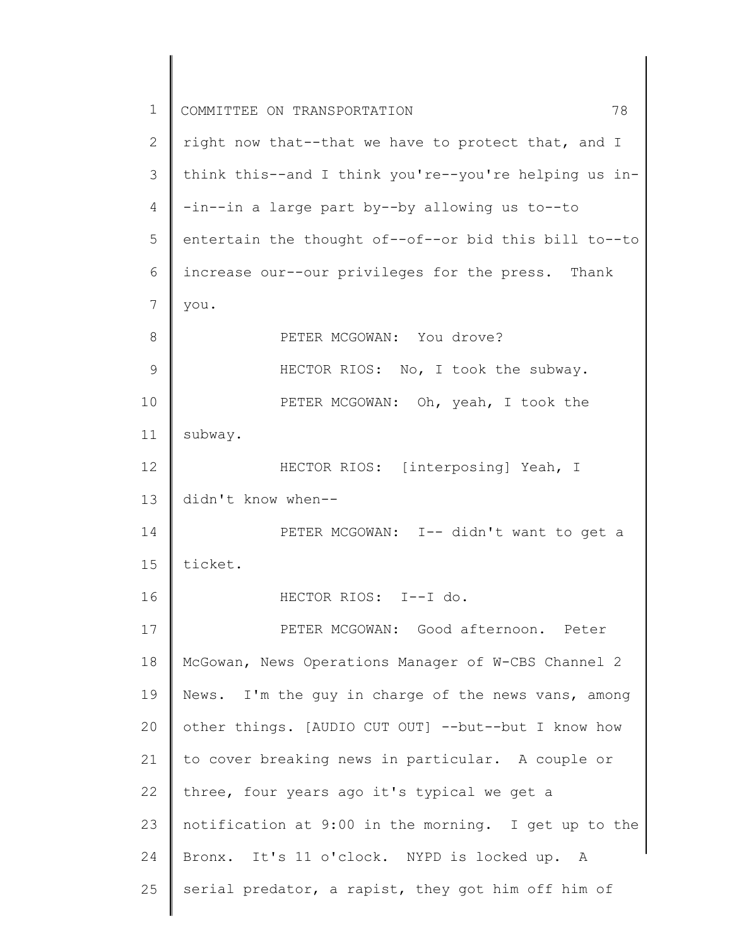| $\mathbf 1$ | 78<br>COMMITTEE ON TRANSPORTATION                     |
|-------------|-------------------------------------------------------|
| 2           | right now that--that we have to protect that, and I   |
| 3           | think this--and I think you're--you're helping us in- |
| 4           | -in--in a large part by--by allowing us to--to        |
| 5           | entertain the thought of--of--or bid this bill to--to |
| 6           | increase our--our privileges for the press. Thank     |
| 7           | you.                                                  |
| 8           | PETER MCGOWAN: You drove?                             |
| 9           | HECTOR RIOS: No, I took the subway.                   |
| 10          | PETER MCGOWAN: Oh, yeah, I took the                   |
| 11          | subway.                                               |
| 12          | HECTOR RIOS: [interposing] Yeah, I                    |
| 13          | didn't know when--                                    |
| 14          | PETER MCGOWAN: I-- didn't want to get a               |
| 15          | ticket.                                               |
| 16          | HECTOR RIOS: I--I do.                                 |
| 17          | PETER MCGOWAN: Good afternoon. Peter                  |
| 18          | McGowan, News Operations Manager of W-CBS Channel 2   |
| 19          | News. I'm the guy in charge of the news vans, among   |
| 20          | other things. [AUDIO CUT OUT] --but--but I know how   |
| 21          | to cover breaking news in particular. A couple or     |
| 22          | three, four years ago it's typical we get a           |
| 23          | notification at 9:00 in the morning. I get up to the  |
| 24          | Bronx. It's 11 o'clock. NYPD is locked up. A          |
| 25          | serial predator, a rapist, they got him off him of    |
|             |                                                       |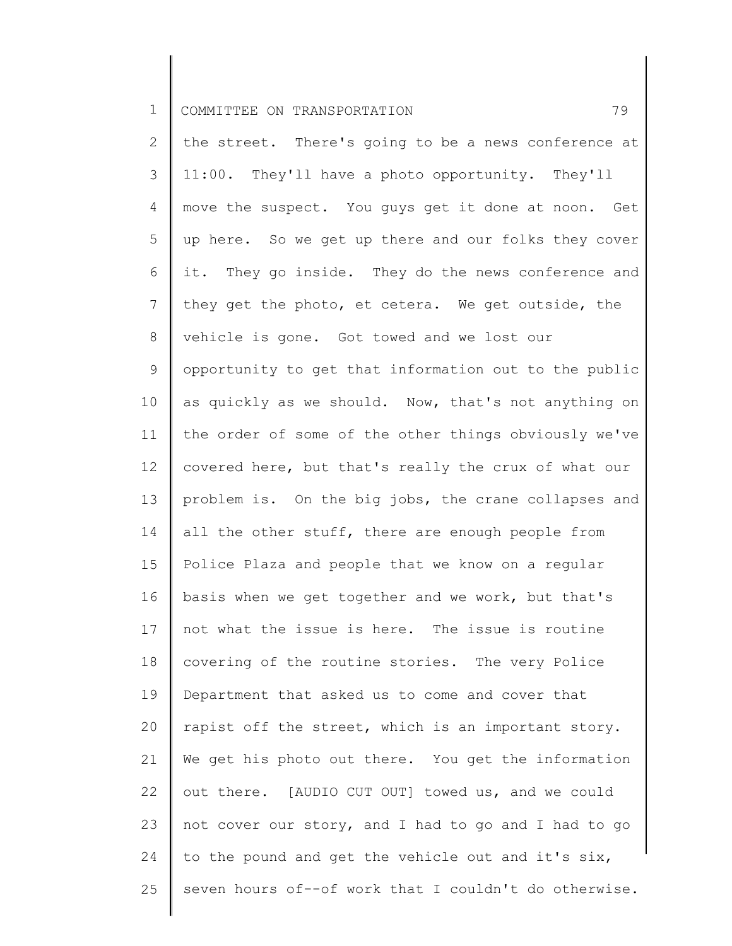2 3 4 5 6 7 8 9 10 11 12 13 14 15 16 17 18 19 20 21 22 23 24 25 the street. There's going to be a news conference at 11:00. They'll have a photo opportunity. They'll move the suspect. You guys get it done at noon. Get up here. So we get up there and our folks they cover it. They go inside. They do the news conference and they get the photo, et cetera. We get outside, the vehicle is gone. Got towed and we lost our opportunity to get that information out to the public as quickly as we should. Now, that's not anything on the order of some of the other things obviously we've covered here, but that's really the crux of what our problem is. On the big jobs, the crane collapses and all the other stuff, there are enough people from Police Plaza and people that we know on a regular basis when we get together and we work, but that's not what the issue is here. The issue is routine covering of the routine stories. The very Police Department that asked us to come and cover that rapist off the street, which is an important story. We get his photo out there. You get the information out there. [AUDIO CUT OUT] towed us, and we could not cover our story, and I had to go and I had to go to the pound and get the vehicle out and it's six, seven hours of--of work that I couldn't do otherwise.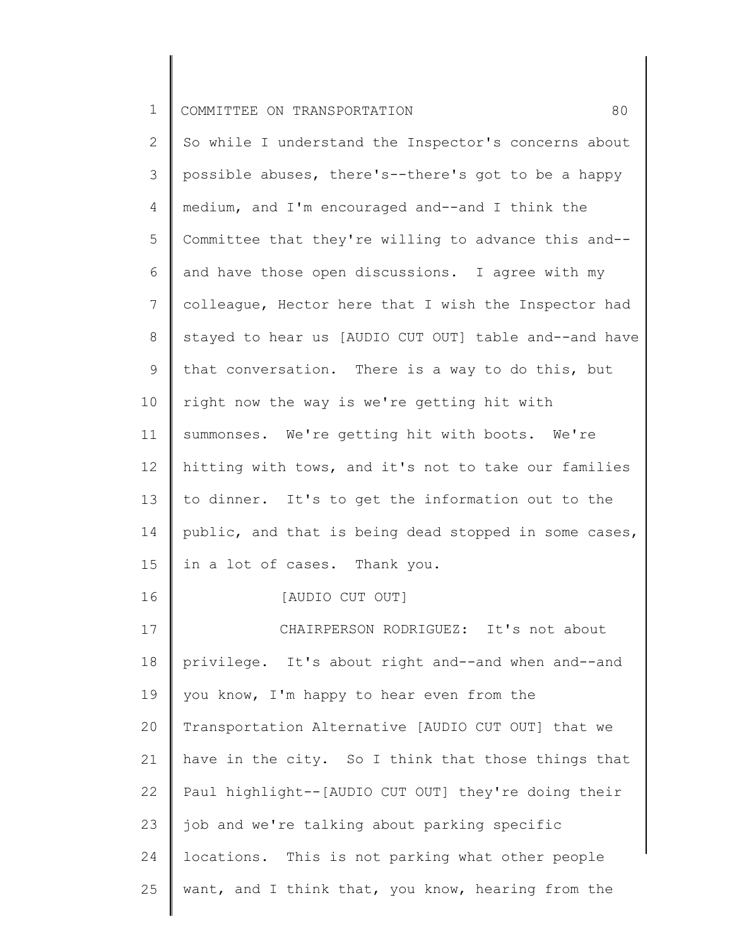| ∸ | $\mathbf{I}$ |  | COMMITTEE ON TRANSPORTATION |  |
|---|--------------|--|-----------------------------|--|
|---|--------------|--|-----------------------------|--|

2 3 4 5 6 7 8 9 10 11 12 13 14 15 16 17 18 19 20 21 22 23 24 25 So while I understand the Inspector's concerns about possible abuses, there's--there's got to be a happy medium, and I'm encouraged and--and I think the Committee that they're willing to advance this and- and have those open discussions. I agree with my colleague, Hector here that I wish the Inspector had stayed to hear us [AUDIO CUT OUT] table and--and have that conversation. There is a way to do this, but right now the way is we're getting hit with summonses. We're getting hit with boots. We're hitting with tows, and it's not to take our families to dinner. It's to get the information out to the public, and that is being dead stopped in some cases, in a lot of cases. Thank you. [AUDIO CUT OUT] CHAIRPERSON RODRIGUEZ: It's not about privilege. It's about right and--and when and--and you know, I'm happy to hear even from the Transportation Alternative [AUDIO CUT OUT] that we have in the city. So I think that those things that Paul highlight--[AUDIO CUT OUT] they're doing their job and we're talking about parking specific locations. This is not parking what other people want, and I think that, you know, hearing from the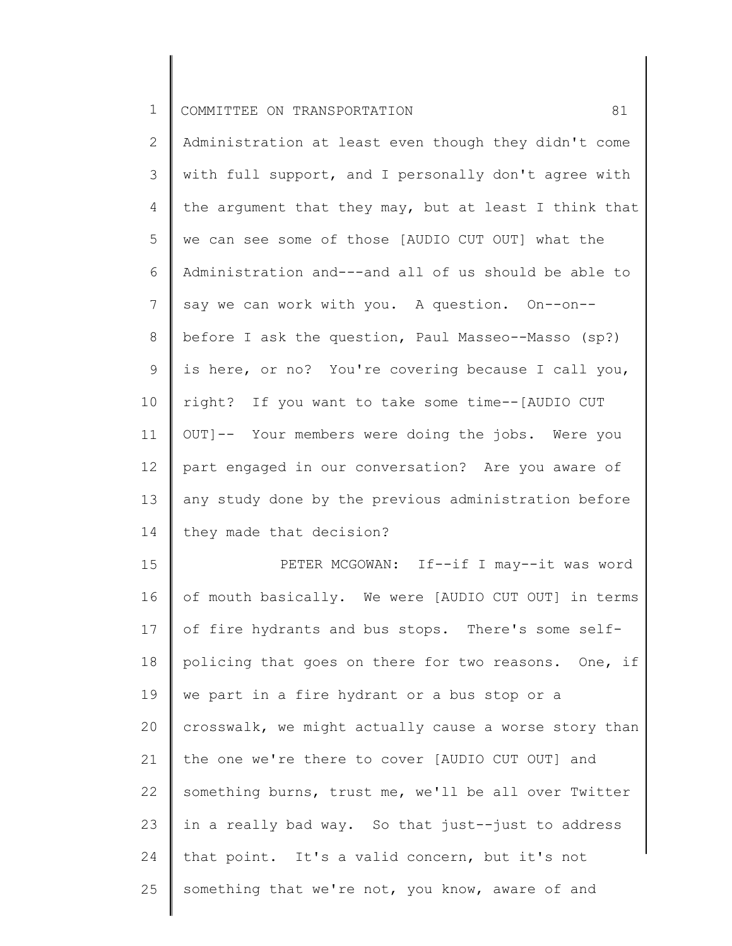2 3 4 5 6 7 8 9 10 11 12 13 14 15 16 17 18 19 20 21 22 23 24 25 Administration at least even though they didn't come with full support, and I personally don't agree with the argument that they may, but at least I think that we can see some of those [AUDIO CUT OUT] what the Administration and---and all of us should be able to say we can work with you. A question. On--on- before I ask the question, Paul Masseo--Masso (sp?) is here, or no? You're covering because I call you, right? If you want to take some time--[AUDIO CUT OUT]-- Your members were doing the jobs. Were you part engaged in our conversation? Are you aware of any study done by the previous administration before they made that decision? PETER MCGOWAN: If--if I may--it was word of mouth basically. We were [AUDIO CUT OUT] in terms of fire hydrants and bus stops. There's some selfpolicing that goes on there for two reasons. One, if we part in a fire hydrant or a bus stop or a crosswalk, we might actually cause a worse story than the one we're there to cover [AUDIO CUT OUT] and something burns, trust me, we'll be all over Twitter in a really bad way. So that just--just to address that point. It's a valid concern, but it's not something that we're not, you know, aware of and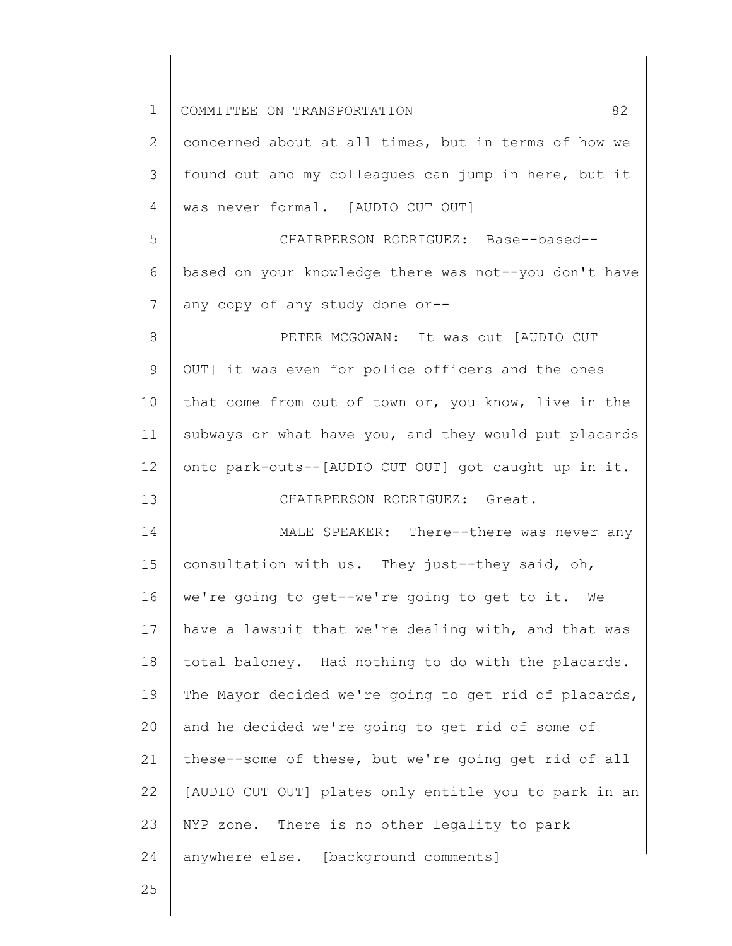| 1  | 82<br>COMMITTEE ON TRANSPORTATION                     |
|----|-------------------------------------------------------|
| 2  | concerned about at all times, but in terms of how we  |
| 3  | found out and my colleagues can jump in here, but it  |
| 4  | was never formal. [AUDIO CUT OUT]                     |
| 5  | CHAIRPERSON RODRIGUEZ: Base--based--                  |
| 6  | based on your knowledge there was not--you don't have |
| 7  | any copy of any study done or--                       |
| 8  | PETER MCGOWAN: It was out [AUDIO CUT                  |
| 9  | OUT] it was even for police officers and the ones     |
| 10 | that come from out of town or, you know, live in the  |
| 11 | subways or what have you, and they would put placards |
| 12 | onto park-outs--[AUDIO CUT OUT] got caught up in it.  |
| 13 | CHAIRPERSON RODRIGUEZ: Great.                         |
| 14 | MALE SPEAKER: There--there was never any              |
| 15 | consultation with us. They just--they said, oh,       |
| 16 | we're going to get--we're going to get to it. We      |
| 17 | have a lawsuit that we're dealing with, and that was  |
| 18 | total baloney. Had nothing to do with the placards.   |
| 19 | The Mayor decided we're going to get rid of placards, |
| 20 | and he decided we're going to get rid of some of      |
| 21 | these--some of these, but we're going get rid of all  |
| 22 | [AUDIO CUT OUT] plates only entitle you to park in an |
| 23 | NYP zone. There is no other legality to park          |
| 24 | anywhere else. [background comments]                  |
| 25 |                                                       |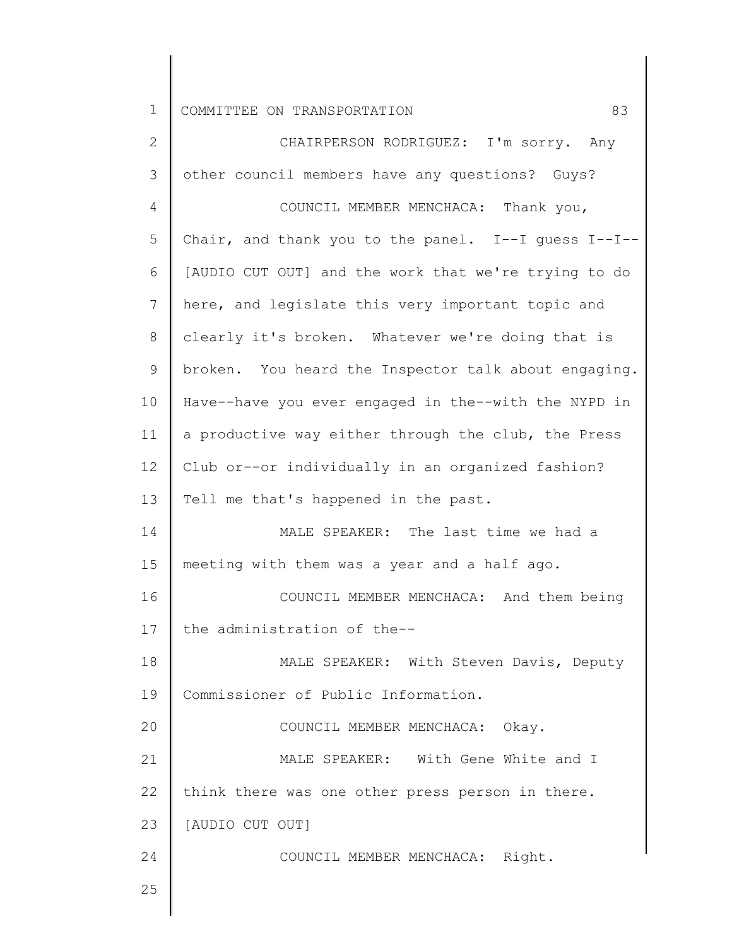| 2  | CHAIRPERSON RODRIGUEZ: I'm sorry. Any                             |
|----|-------------------------------------------------------------------|
| 3  | other council members have any questions? Guys?                   |
| 4  | COUNCIL MEMBER MENCHACA: Thank you,                               |
| 5  | Chair, and thank you to the panel. $I^{--I}$ guess $I^{--I^{--}}$ |
| 6  | [AUDIO CUT OUT] and the work that we're trying to do              |
| 7  | here, and legislate this very important topic and                 |
| 8  | clearly it's broken. Whatever we're doing that is                 |
| 9  | broken. You heard the Inspector talk about engaging.              |
| 10 | Have--have you ever engaged in the--with the NYPD in              |
| 11 | a productive way either through the club, the Press               |
| 12 | Club or--or individually in an organized fashion?                 |
| 13 | Tell me that's happened in the past.                              |
| 14 | MALE SPEAKER: The last time we had a                              |
| 15 | meeting with them was a year and a half ago.                      |
| 16 | COUNCIL MEMBER MENCHACA: And them being                           |
| 17 | the administration of the--                                       |
| 18 | MALE SPEAKER: With Steven Davis, Deputy                           |
| 19 | Commissioner of Public Information.                               |
| 20 | COUNCIL MEMBER MENCHACA: Okay.                                    |
| 21 | MALE SPEAKER: With Gene White and I                               |
| 22 | think there was one other press person in there.                  |
| 23 | [AUDIO CUT OUT]                                                   |
| 24 | COUNCIL MEMBER MENCHACA: Right.                                   |
| 25 |                                                                   |
|    |                                                                   |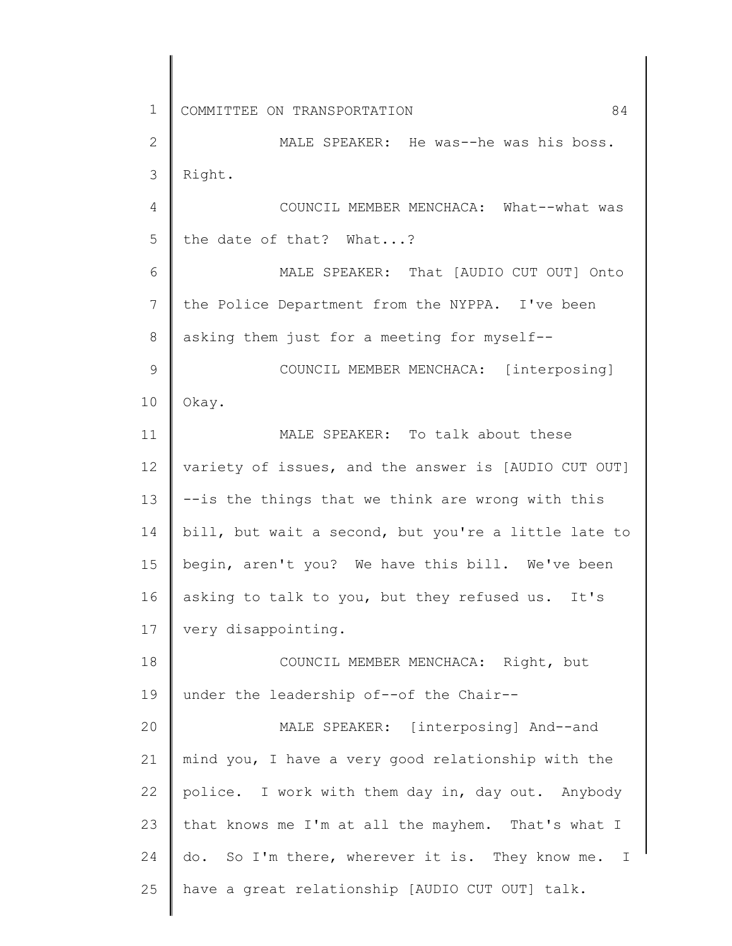1 2 3 4 5 6 7 8 9 10 11 12 13 14 15 16 17 18 19 20 21 22 23 24 25 COMMITTEE ON TRANSPORTATION 84 MALE SPEAKER: He was--he was his boss. Right. COUNCIL MEMBER MENCHACA: What--what was the date of that? What...? MALE SPEAKER: That [AUDIO CUT OUT] Onto the Police Department from the NYPPA. I've been asking them just for a meeting for myself-- COUNCIL MEMBER MENCHACA: [interposing] Okay. MALE SPEAKER: To talk about these variety of issues, and the answer is [AUDIO CUT OUT] --is the things that we think are wrong with this bill, but wait a second, but you're a little late to begin, aren't you? We have this bill. We've been asking to talk to you, but they refused us. It's very disappointing. COUNCIL MEMBER MENCHACA: Right, but under the leadership of--of the Chair-- MALE SPEAKER: [interposing] And--and mind you, I have a very good relationship with the police. I work with them day in, day out. Anybody that knows me I'm at all the mayhem. That's what I do. So I'm there, wherever it is. They know me. I have a great relationship [AUDIO CUT OUT] talk.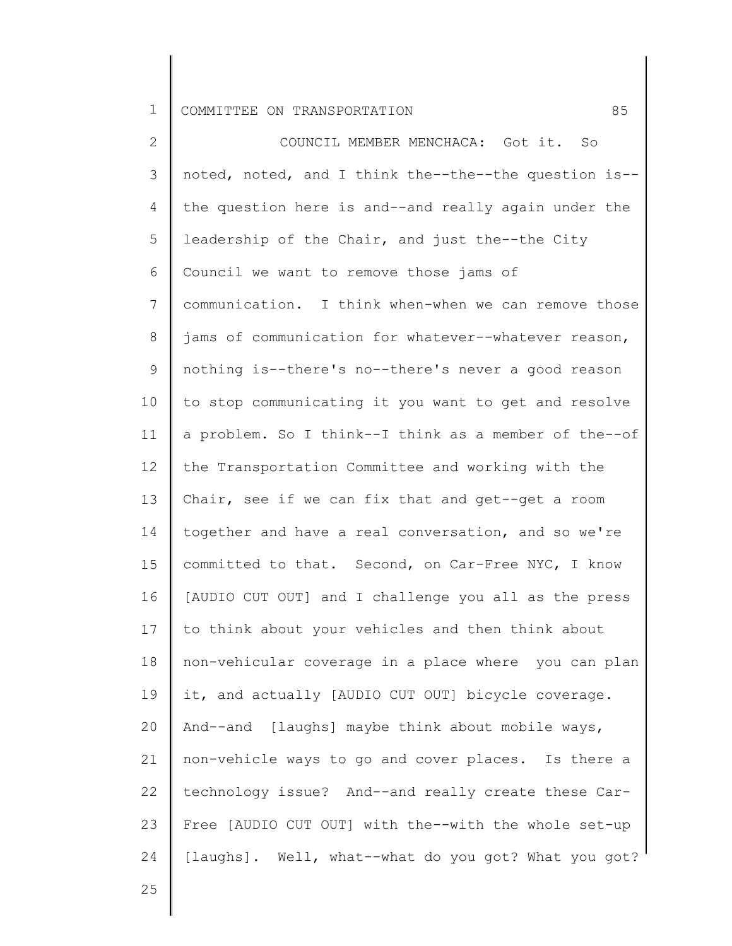2 3 4 5 6 7 8 9 10 11 12 13 14 15 16 17 18 19 20 21 22 23 24 COUNCIL MEMBER MENCHACA: Got it. So noted, noted, and I think the--the--the question is- the question here is and--and really again under the leadership of the Chair, and just the--the City Council we want to remove those jams of communication. I think when-when we can remove those jams of communication for whatever--whatever reason, nothing is--there's no--there's never a good reason to stop communicating it you want to get and resolve a problem. So I think--I think as a member of the--of the Transportation Committee and working with the Chair, see if we can fix that and get--get a room together and have a real conversation, and so we're committed to that. Second, on Car-Free NYC, I know [AUDIO CUT OUT] and I challenge you all as the press to think about your vehicles and then think about non-vehicular coverage in a place where you can plan it, and actually [AUDIO CUT OUT] bicycle coverage. And--and [laughs] maybe think about mobile ways, non-vehicle ways to go and cover places. Is there a technology issue? And--and really create these Car-Free [AUDIO CUT OUT] with the--with the whole set-up [laughs]. Well, what--what do you got? What you got?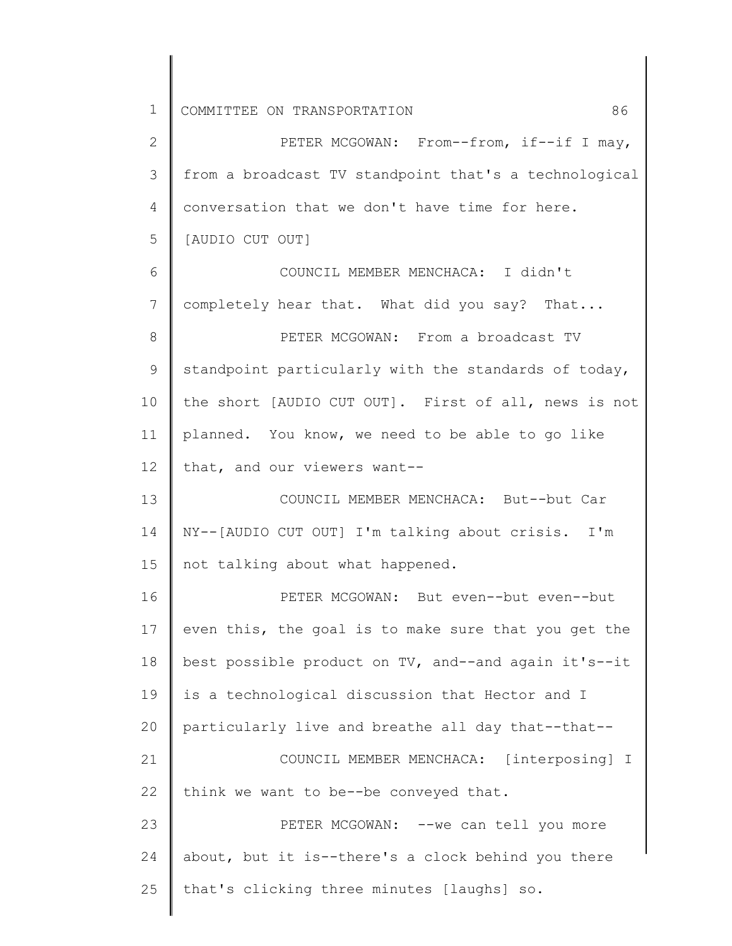2 3 4 5 6 7 8 9 10 11 12 13 14 15 16 17 18 19 20 21 22 23 24 25 PETER MCGOWAN: From--from, if--if I may, from a broadcast TV standpoint that's a technological conversation that we don't have time for here. [AUDIO CUT OUT] COUNCIL MEMBER MENCHACA: I didn't completely hear that. What did you say? That... PETER MCGOWAN: From a broadcast TV standpoint particularly with the standards of today, the short [AUDIO CUT OUT]. First of all, news is not planned. You know, we need to be able to go like that, and our viewers want-- COUNCIL MEMBER MENCHACA: But--but Car NY--[AUDIO CUT OUT] I'm talking about crisis. I'm not talking about what happened. PETER MCGOWAN: But even--but even--but even this, the goal is to make sure that you get the best possible product on TV, and--and again it's--it is a technological discussion that Hector and I particularly live and breathe all day that--that-- COUNCIL MEMBER MENCHACA: [interposing] I think we want to be--be conveyed that. PETER MCGOWAN: -- we can tell you more about, but it is--there's a clock behind you there that's clicking three minutes [laughs] so.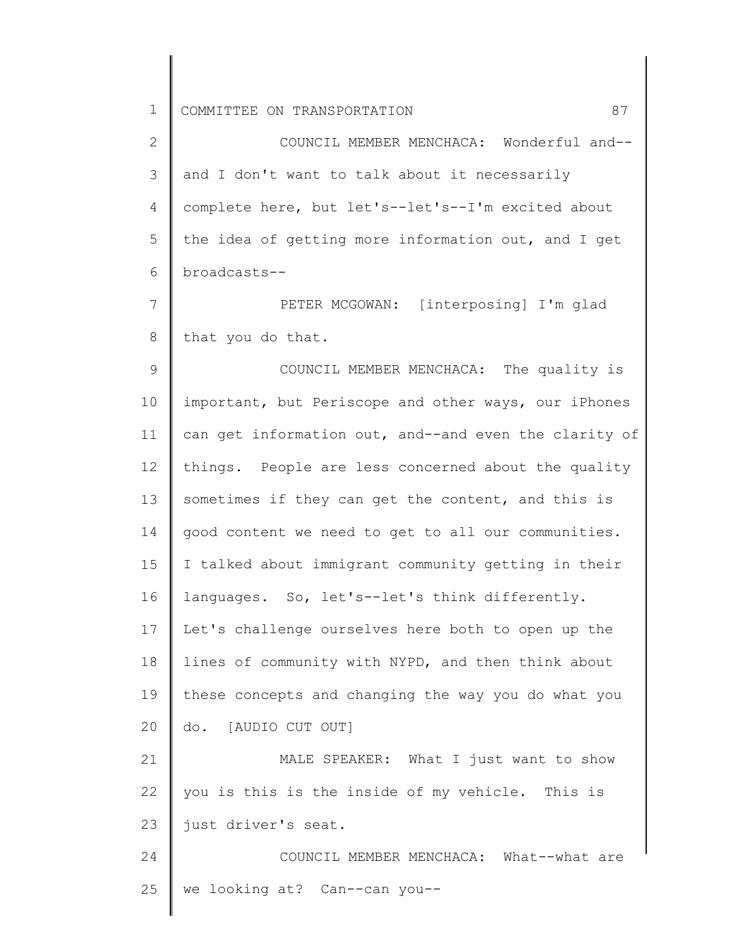2 3 4 5 6 COUNCIL MEMBER MENCHACA: Wonderful and- and I don't want to talk about it necessarily complete here, but let's--let's--I'm excited about the idea of getting more information out, and I get broadcasts--

7 8 PETER MCGOWAN: [interposing] I'm glad that you do that.

9 10 11 12 13 14 15 16 17 18 19 20 21 22 COUNCIL MEMBER MENCHACA: The quality is important, but Periscope and other ways, our iPhones can get information out, and--and even the clarity of things. People are less concerned about the quality sometimes if they can get the content, and this is good content we need to get to all our communities. I talked about immigrant community getting in their languages. So, let's--let's think differently. Let's challenge ourselves here both to open up the lines of community with NYPD, and then think about these concepts and changing the way you do what you do. [AUDIO CUT OUT] MALE SPEAKER: What I just want to show you is this is the inside of my vehicle. This is

23 just driver's seat.

24 25 COUNCIL MEMBER MENCHACA: What--what are we looking at? Can--can you--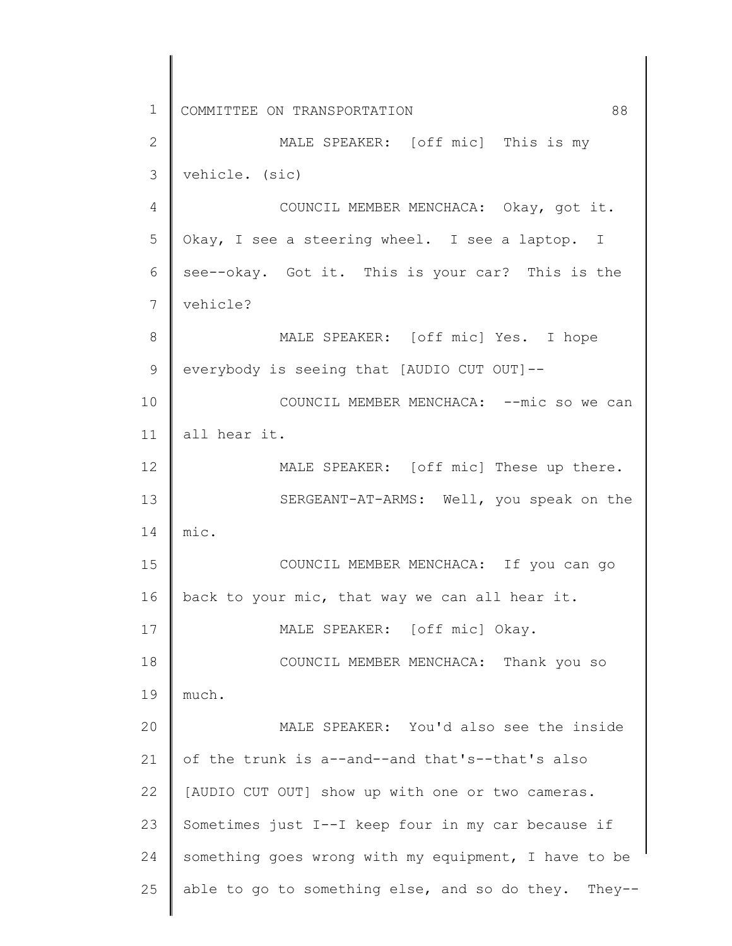1 2 3 4 5 6 7 8 9 10 11 12 13 14 15 16 17 18 19 20 21 22 23 24 25 COMMITTEE ON TRANSPORTATION 88 MALE SPEAKER: [off mic] This is my vehicle. (sic) COUNCIL MEMBER MENCHACA: Okay, got it. Okay, I see a steering wheel. I see a laptop. I see--okay. Got it. This is your car? This is the vehicle? MALE SPEAKER: [off mic] Yes. I hope everybody is seeing that [AUDIO CUT OUT]-- COUNCIL MEMBER MENCHACA: --mic so we can all hear it. MALE SPEAKER: [off mic] These up there. SERGEANT-AT-ARMS: Well, you speak on the mic. COUNCIL MEMBER MENCHACA: If you can go back to your mic, that way we can all hear it. MALE SPEAKER: [off mic] Okay. COUNCIL MEMBER MENCHACA: Thank you so much. MALE SPEAKER: You'd also see the inside of the trunk is a--and--and that's--that's also [AUDIO CUT OUT] show up with one or two cameras. Sometimes just I--I keep four in my car because if something goes wrong with my equipment, I have to be able to go to something else, and so do they. They--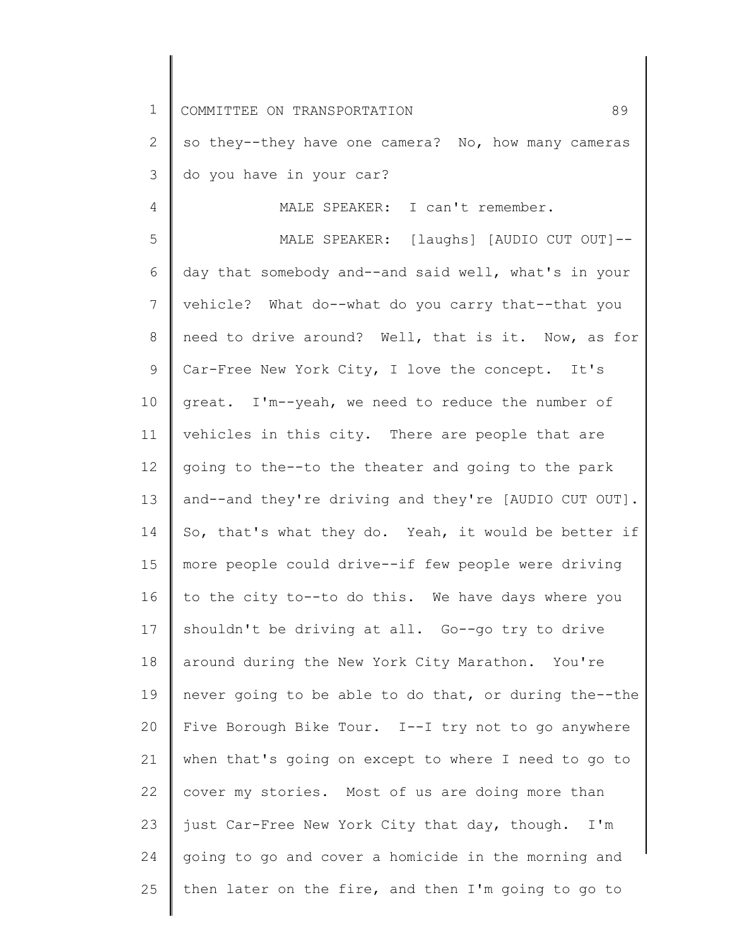1 2 3 4 5 6 7 8 9 10 11 12 13 14 15 16 17 18 19 20 21 22 23 24 25 COMMITTEE ON TRANSPORTATION 89 so they--they have one camera? No, how many cameras do you have in your car? MALE SPEAKER: I can't remember. MALE SPEAKER: [laughs] [AUDIO CUT OUT]- day that somebody and--and said well, what's in your vehicle? What do--what do you carry that--that you need to drive around? Well, that is it. Now, as for Car-Free New York City, I love the concept. It's great. I'm--yeah, we need to reduce the number of vehicles in this city. There are people that are going to the--to the theater and going to the park and--and they're driving and they're [AUDIO CUT OUT]. So, that's what they do. Yeah, it would be better if more people could drive--if few people were driving to the city to--to do this. We have days where you shouldn't be driving at all. Go--go try to drive around during the New York City Marathon. You're never going to be able to do that, or during the--the Five Borough Bike Tour. I--I try not to go anywhere when that's going on except to where I need to go to cover my stories. Most of us are doing more than just Car-Free New York City that day, though. I'm going to go and cover a homicide in the morning and then later on the fire, and then I'm going to go to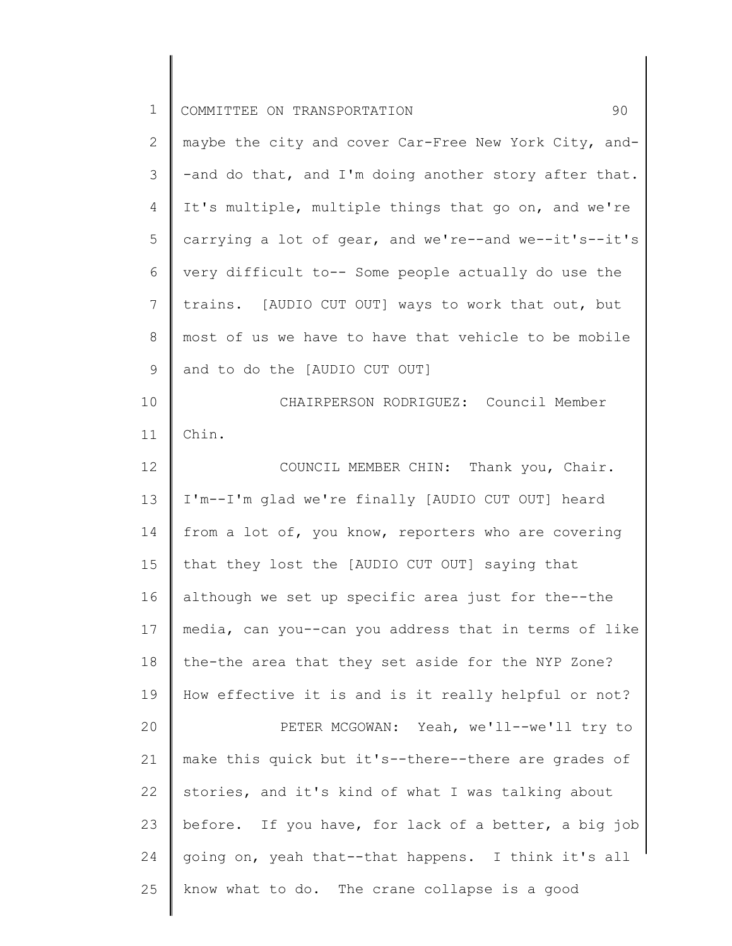| $\mathbf 1$ | 90<br>COMMITTEE ON TRANSPORTATION                     |
|-------------|-------------------------------------------------------|
| 2           | maybe the city and cover Car-Free New York City, and- |
| 3           | -and do that, and I'm doing another story after that. |
| 4           | It's multiple, multiple things that go on, and we're  |
| 5           | carrying a lot of gear, and we're--and we--it's--it's |
| 6           | very difficult to-- Some people actually do use the   |
| 7           | trains. [AUDIO CUT OUT] ways to work that out, but    |
| $\,8\,$     | most of us we have to have that vehicle to be mobile  |
| 9           | and to do the [AUDIO CUT OUT]                         |
| 10          | CHAIRPERSON RODRIGUEZ: Council Member                 |
| 11          | Chin.                                                 |
| 12          | COUNCIL MEMBER CHIN: Thank you, Chair.                |
| 13          | I'm--I'm glad we're finally [AUDIO CUT OUT] heard     |
| 14          | from a lot of, you know, reporters who are covering   |
| 15          | that they lost the [AUDIO CUT OUT] saying that        |
| 16          | although we set up specific area just for the--the    |
| 17          | media, can you--can you address that in terms of like |
| 18          | the-the area that they set aside for the NYP Zone?    |
| 19          | How effective it is and is it really helpful or not?  |
| 20          | PETER MCGOWAN: Yeah, we'll--we'll try to              |
| 21          | make this quick but it's--there--there are grades of  |
| 22          | stories, and it's kind of what I was talking about    |
| 23          | before. If you have, for lack of a better, a big job  |
| 24          | going on, yeah that--that happens. I think it's all   |
| 25          | know what to do. The crane collapse is a good         |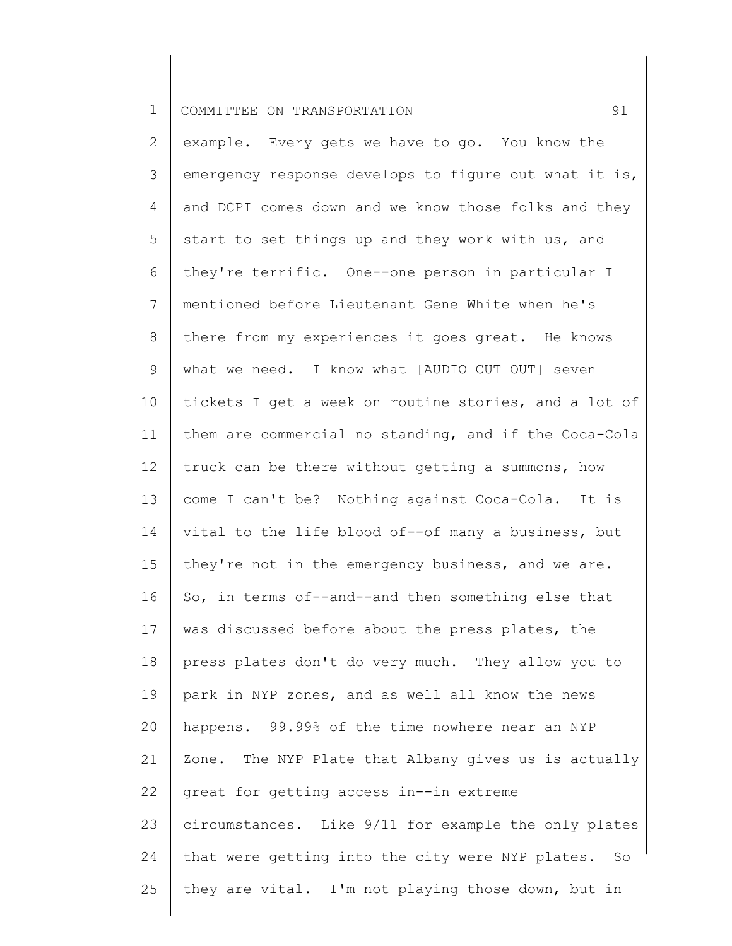2 3 4 5 6 7 8 9 10 11 12 13 14 15 16 17 18 19 20 21 22 23 24 25 example. Every gets we have to go. You know the emergency response develops to figure out what it is, and DCPI comes down and we know those folks and they start to set things up and they work with us, and they're terrific. One--one person in particular I mentioned before Lieutenant Gene White when he's there from my experiences it goes great. He knows what we need. I know what [AUDIO CUT OUT] seven tickets I get a week on routine stories, and a lot of them are commercial no standing, and if the Coca-Cola truck can be there without getting a summons, how come I can't be? Nothing against Coca-Cola. It is vital to the life blood of--of many a business, but they're not in the emergency business, and we are. So, in terms of--and--and then something else that was discussed before about the press plates, the press plates don't do very much. They allow you to park in NYP zones, and as well all know the news happens. 99.99% of the time nowhere near an NYP Zone. The NYP Plate that Albany gives us is actually great for getting access in--in extreme circumstances. Like 9/11 for example the only plates that were getting into the city were NYP plates. So they are vital. I'm not playing those down, but in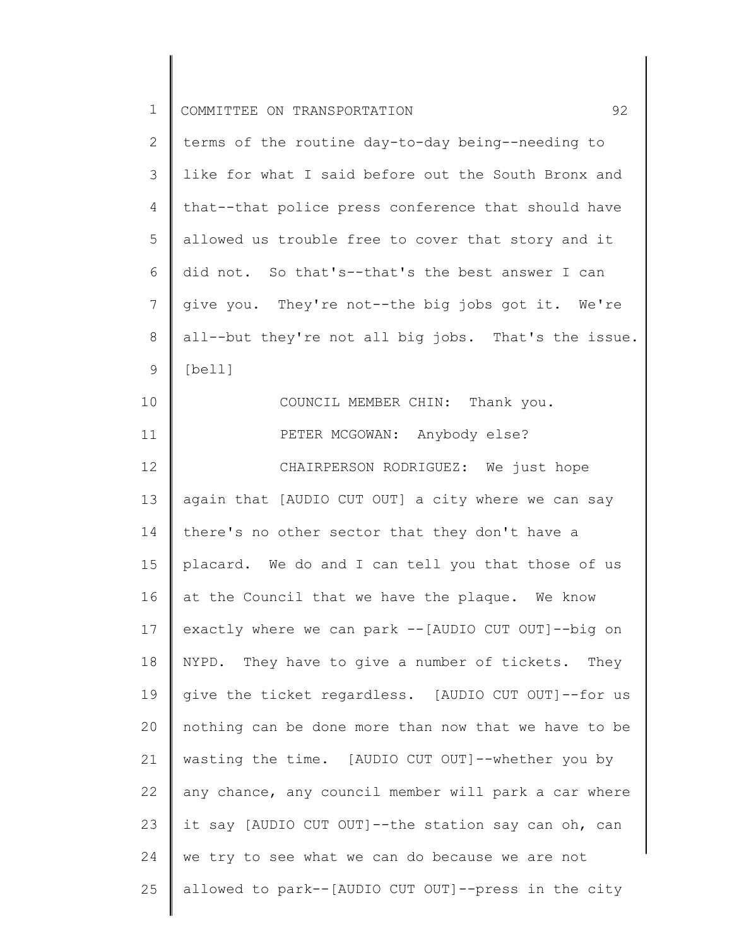2 3 4 5 6 7 8 9 terms of the routine day-to-day being--needing to like for what I said before out the South Bronx and that--that police press conference that should have allowed us trouble free to cover that story and it did not. So that's--that's the best answer I can give you. They're not--the big jobs got it. We're all--but they're not all big jobs. That's the issue. [bell]

10 11 12 13 14 15 16 17 18 19 20 21 22 23 24 25 COUNCIL MEMBER CHIN: Thank you. PETER MCGOWAN: Anybody else? CHAIRPERSON RODRIGUEZ: We just hope again that [AUDIO CUT OUT] a city where we can say there's no other sector that they don't have a placard. We do and I can tell you that those of us at the Council that we have the plaque. We know exactly where we can park --[AUDIO CUT OUT]--big on NYPD. They have to give a number of tickets. They give the ticket regardless. [AUDIO CUT OUT]--for us nothing can be done more than now that we have to be wasting the time. [AUDIO CUT OUT]--whether you by any chance, any council member will park a car where it say [AUDIO CUT OUT]--the station say can oh, can we try to see what we can do because we are not allowed to park--[AUDIO CUT OUT]--press in the city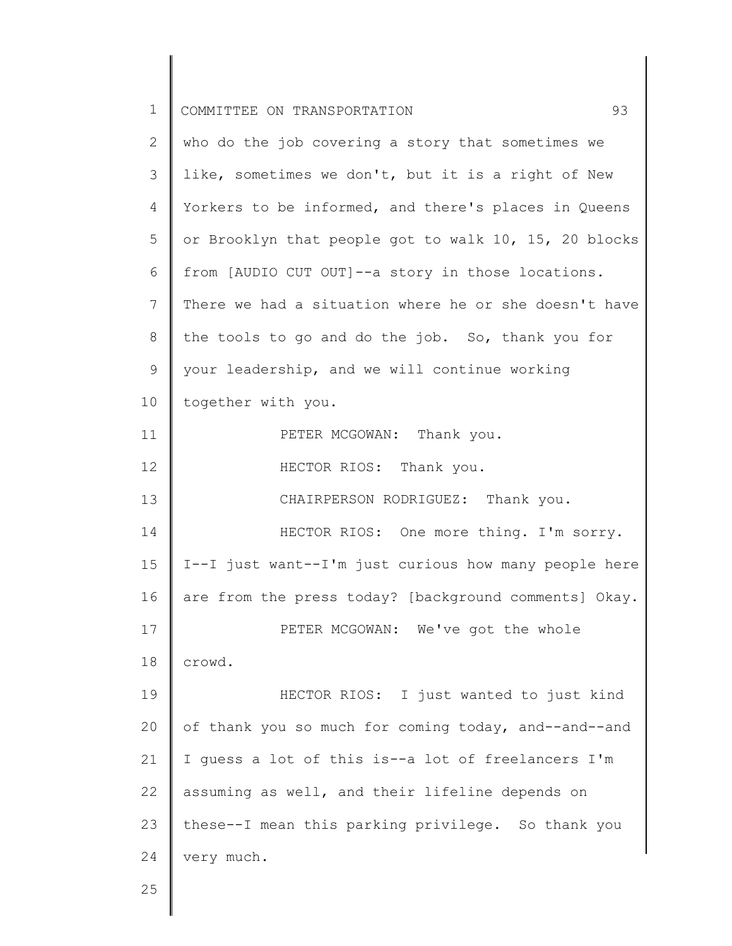| $\mathbf 1$    | 93<br>COMMITTEE ON TRANSPORTATION                     |
|----------------|-------------------------------------------------------|
| $\mathbf{2}$   | who do the job covering a story that sometimes we     |
| 3              | like, sometimes we don't, but it is a right of New    |
| 4              | Yorkers to be informed, and there's places in Queens  |
| 5              | or Brooklyn that people got to walk 10, 15, 20 blocks |
| 6              | from [AUDIO CUT OUT]--a story in those locations.     |
| $\overline{7}$ | There we had a situation where he or she doesn't have |
| 8              | the tools to go and do the job. So, thank you for     |
| $\mathsf 9$    | your leadership, and we will continue working         |
| 10             | together with you.                                    |
| 11             | PETER MCGOWAN: Thank you.                             |
| 12             | HECTOR RIOS: Thank you.                               |
| 13             | CHAIRPERSON RODRIGUEZ: Thank you.                     |
| 14             | HECTOR RIOS: One more thing. I'm sorry.               |
| 15             | I--I just want--I'm just curious how many people here |
| 16             | are from the press today? [background comments] Okay. |
| 17             | PETER MCGOWAN: We've got the whole                    |
| 18             | crowd.                                                |
| 19             | HECTOR RIOS: I just wanted to just kind               |
| 20             | of thank you so much for coming today, and--and--and  |
| 21             | I guess a lot of this is--a lot of freelancers I'm    |
| 22             | assuming as well, and their lifeline depends on       |
| 23             | these--I mean this parking privilege. So thank you    |
| 24             | very much.                                            |
| 25             |                                                       |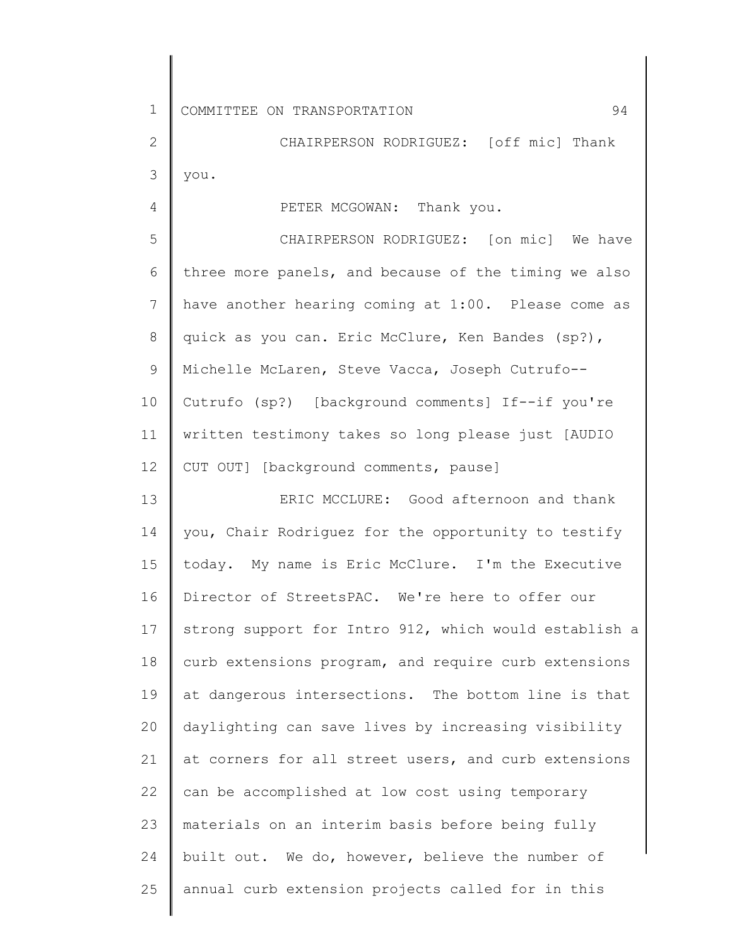4

2 3 CHAIRPERSON RODRIGUEZ: [off mic] Thank you.

PETER MCGOWAN: Thank you.

5 6 7 8 9 10 11 12 CHAIRPERSON RODRIGUEZ: [on mic] We have three more panels, and because of the timing we also have another hearing coming at 1:00. Please come as quick as you can. Eric McClure, Ken Bandes (sp?), Michelle McLaren, Steve Vacca, Joseph Cutrufo-- Cutrufo (sp?) [background comments] If--if you're written testimony takes so long please just [AUDIO CUT OUT] [background comments, pause]

13 14 15 16 17 18 19 20 21 22 23 24 25 ERIC MCCLURE: Good afternoon and thank you, Chair Rodriguez for the opportunity to testify today. My name is Eric McClure. I'm the Executive Director of StreetsPAC. We're here to offer our strong support for Intro 912, which would establish a curb extensions program, and require curb extensions at dangerous intersections. The bottom line is that daylighting can save lives by increasing visibility at corners for all street users, and curb extensions can be accomplished at low cost using temporary materials on an interim basis before being fully built out. We do, however, believe the number of annual curb extension projects called for in this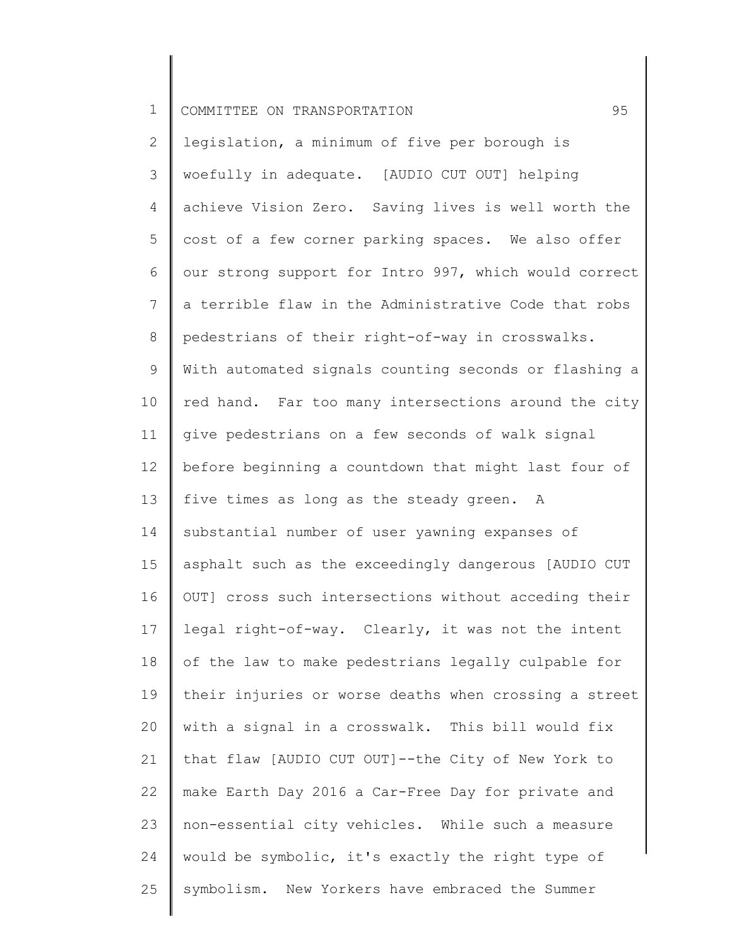2 3 4 5 6 7 8 9 10 11 12 13 14 15 16 17 18 19 20 21 22 23 24 25 legislation, a minimum of five per borough is woefully in adequate. [AUDIO CUT OUT] helping achieve Vision Zero. Saving lives is well worth the cost of a few corner parking spaces. We also offer our strong support for Intro 997, which would correct a terrible flaw in the Administrative Code that robs pedestrians of their right-of-way in crosswalks. With automated signals counting seconds or flashing a red hand. Far too many intersections around the city give pedestrians on a few seconds of walk signal before beginning a countdown that might last four of five times as long as the steady green. A substantial number of user yawning expanses of asphalt such as the exceedingly dangerous [AUDIO CUT OUT] cross such intersections without acceding their legal right-of-way. Clearly, it was not the intent of the law to make pedestrians legally culpable for their injuries or worse deaths when crossing a street with a signal in a crosswalk. This bill would fix that flaw [AUDIO CUT OUT]--the City of New York to make Earth Day 2016 a Car-Free Day for private and non-essential city vehicles. While such a measure would be symbolic, it's exactly the right type of symbolism. New Yorkers have embraced the Summer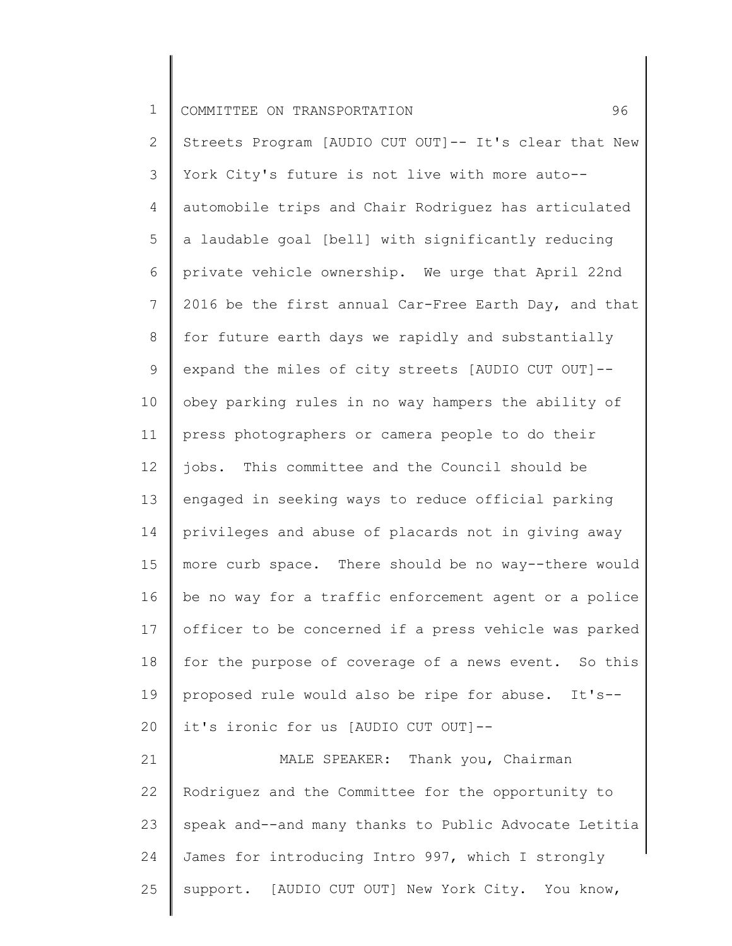2 3 4 5 6 7 8 9 10 11 12 13 14 15 16 17 18 19 20 21 Streets Program [AUDIO CUT OUT]-- It's clear that New York City's future is not live with more auto- automobile trips and Chair Rodriguez has articulated a laudable goal [bell] with significantly reducing private vehicle ownership. We urge that April 22nd 2016 be the first annual Car-Free Earth Day, and that for future earth days we rapidly and substantially expand the miles of city streets [AUDIO CUT OUT]- obey parking rules in no way hampers the ability of press photographers or camera people to do their jobs. This committee and the Council should be engaged in seeking ways to reduce official parking privileges and abuse of placards not in giving away more curb space. There should be no way--there would be no way for a traffic enforcement agent or a police officer to be concerned if a press vehicle was parked for the purpose of coverage of a news event. So this proposed rule would also be ripe for abuse. It's- it's ironic for us [AUDIO CUT OUT]-- MALE SPEAKER: Thank you, Chairman

22 23 24 25 Rodriguez and the Committee for the opportunity to speak and--and many thanks to Public Advocate Letitia James for introducing Intro 997, which I strongly support. [AUDIO CUT OUT] New York City. You know,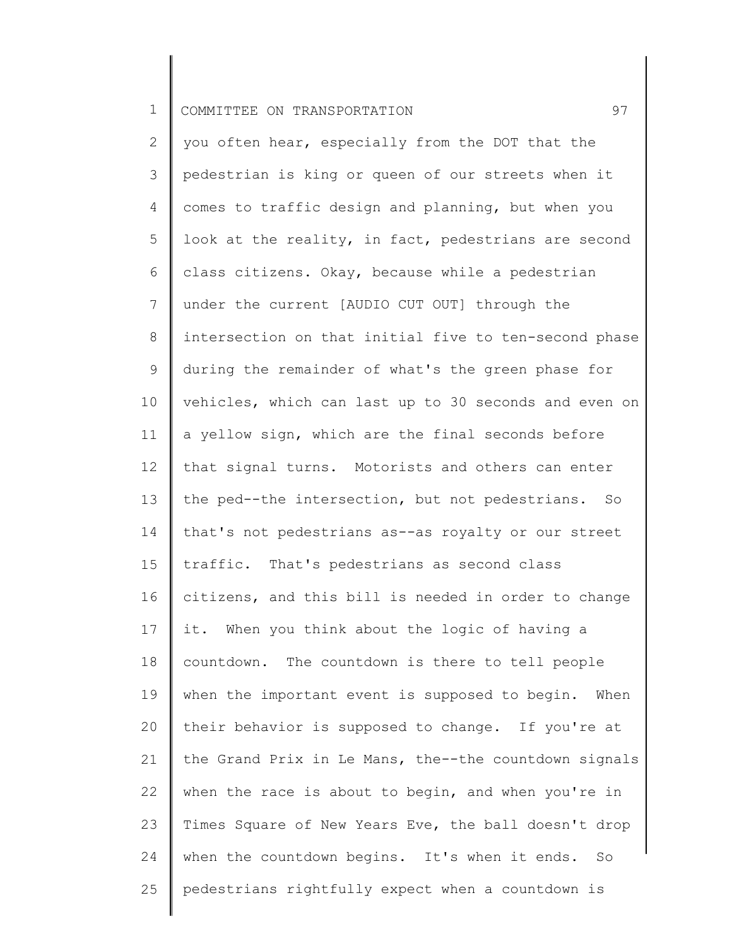2 3 4 5 6 7 8 9 10 11 12 13 14 15 16 17 18 19 20 21 22 23 24 25 you often hear, especially from the DOT that the pedestrian is king or queen of our streets when it comes to traffic design and planning, but when you look at the reality, in fact, pedestrians are second class citizens. Okay, because while a pedestrian under the current [AUDIO CUT OUT] through the intersection on that initial five to ten-second phase during the remainder of what's the green phase for vehicles, which can last up to 30 seconds and even on a yellow sign, which are the final seconds before that signal turns. Motorists and others can enter the ped--the intersection, but not pedestrians. So that's not pedestrians as--as royalty or our street traffic. That's pedestrians as second class citizens, and this bill is needed in order to change it. When you think about the logic of having a countdown. The countdown is there to tell people when the important event is supposed to begin. When their behavior is supposed to change. If you're at the Grand Prix in Le Mans, the--the countdown signals when the race is about to begin, and when you're in Times Square of New Years Eve, the ball doesn't drop when the countdown begins. It's when it ends. So pedestrians rightfully expect when a countdown is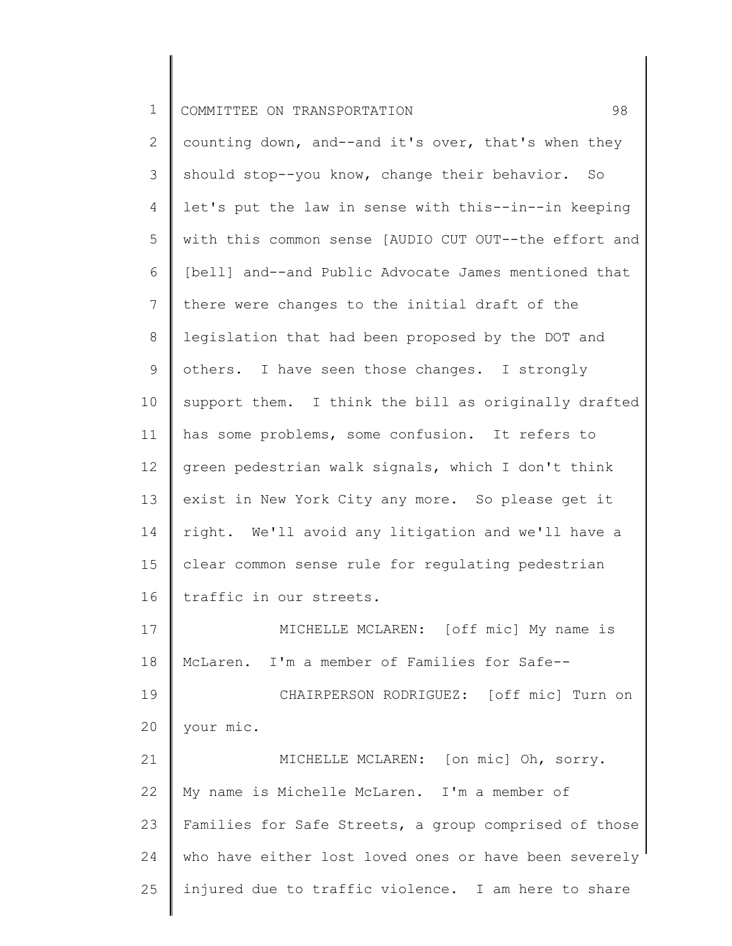25

2 3 4 5 6 7 8 9 10 11 12 13 14 15 16 17 18 19 20 21 22 23 24 counting down, and--and it's over, that's when they should stop--you know, change their behavior. So let's put the law in sense with this--in--in keeping with this common sense [AUDIO CUT OUT--the effort and [bell] and--and Public Advocate James mentioned that there were changes to the initial draft of the legislation that had been proposed by the DOT and others. I have seen those changes. I strongly support them. I think the bill as originally drafted has some problems, some confusion. It refers to green pedestrian walk signals, which I don't think exist in New York City any more. So please get it right. We'll avoid any litigation and we'll have a clear common sense rule for regulating pedestrian traffic in our streets. MICHELLE MCLAREN: [off mic] My name is McLaren. I'm a member of Families for Safe-- CHAIRPERSON RODRIGUEZ: [off mic] Turn on your mic. MICHELLE MCLAREN: [on mic] Oh, sorry. My name is Michelle McLaren. I'm a member of Families for Safe Streets, a group comprised of those who have either lost loved ones or have been severely injured due to traffic violence. I am here to share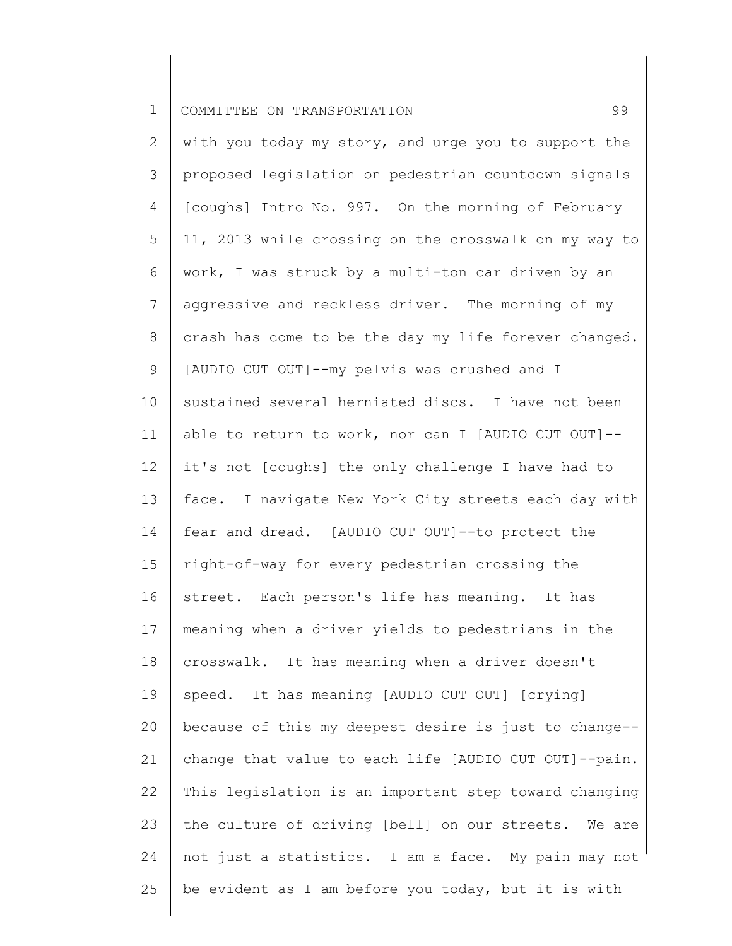2 3 4 5 6 7 8 9 10 11 12 13 14 15 16 17 18 19 20 21 22 23 24 25 with you today my story, and urge you to support the proposed legislation on pedestrian countdown signals [coughs] Intro No. 997. On the morning of February 11, 2013 while crossing on the crosswalk on my way to work, I was struck by a multi-ton car driven by an aggressive and reckless driver. The morning of my crash has come to be the day my life forever changed. [AUDIO CUT OUT]--my pelvis was crushed and I sustained several herniated discs. I have not been able to return to work, nor can I [AUDIO CUT OUT]- it's not [coughs] the only challenge I have had to face. I navigate New York City streets each day with fear and dread. [AUDIO CUT OUT]--to protect the right-of-way for every pedestrian crossing the street. Each person's life has meaning. It has meaning when a driver yields to pedestrians in the crosswalk. It has meaning when a driver doesn't speed. It has meaning [AUDIO CUT OUT] [crying] because of this my deepest desire is just to change- change that value to each life [AUDIO CUT OUT]--pain. This legislation is an important step toward changing the culture of driving [bell] on our streets. We are not just a statistics. I am a face. My pain may not be evident as I am before you today, but it is with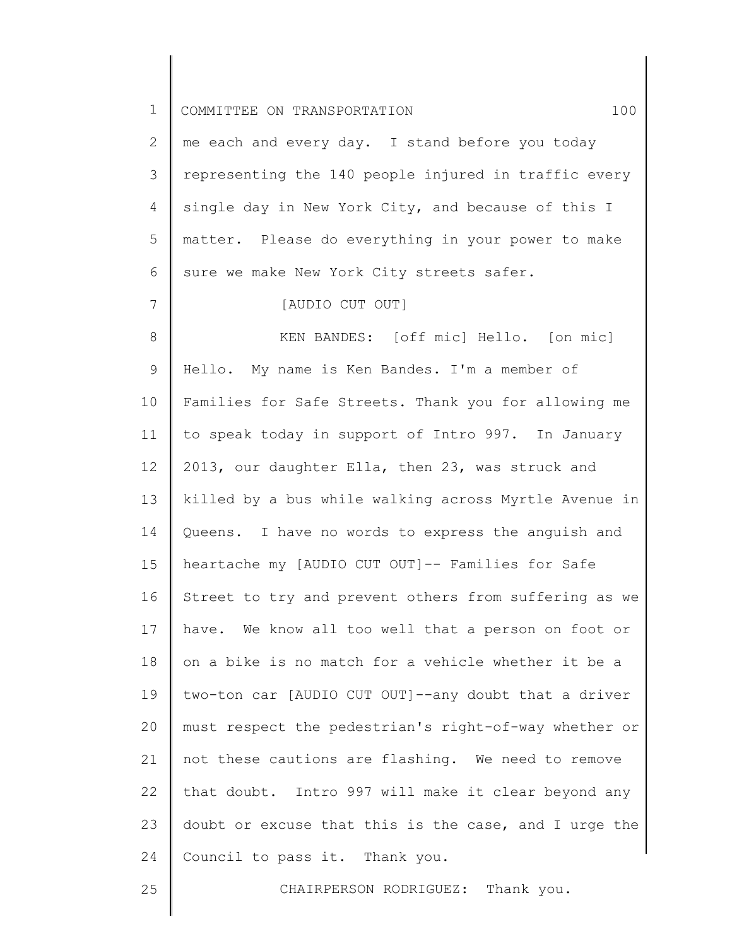| $\mathbf 1$ | 100<br>COMMITTEE ON TRANSPORTATION                    |
|-------------|-------------------------------------------------------|
| 2           | me each and every day. I stand before you today       |
| 3           | representing the 140 people injured in traffic every  |
| 4           | single day in New York City, and because of this I    |
| 5           | matter. Please do everything in your power to make    |
| 6           | sure we make New York City streets safer.             |
| 7           | [AUDIO CUT OUT]                                       |
| 8           | KEN BANDES: [off mic] Hello. [on mic]                 |
| 9           | Hello. My name is Ken Bandes. I'm a member of         |
| 10          | Families for Safe Streets. Thank you for allowing me  |
| 11          | to speak today in support of Intro 997. In January    |
| 12          | 2013, our daughter Ella, then 23, was struck and      |
| 13          | killed by a bus while walking across Myrtle Avenue in |
| 14          | Queens. I have no words to express the anguish and    |
| 15          | heartache my [AUDIO CUT OUT]-- Families for Safe      |
| 16          | Street to try and prevent others from suffering as we |
| 17          | have. We know all too well that a person on foot or   |
| 18          | on a bike is no match for a vehicle whether it be a   |
| 19          | two-ton car [AUDIO CUT OUT]--any doubt that a driver  |
| 20          | must respect the pedestrian's right-of-way whether or |
| 21          | not these cautions are flashing. We need to remove    |
| 22          | that doubt. Intro 997 will make it clear beyond any   |
| 23          | doubt or excuse that this is the case, and I urge the |
| 24          | Council to pass it. Thank you.                        |
| 25          | CHAIRPERSON RODRIGUEZ: Thank you.                     |
|             |                                                       |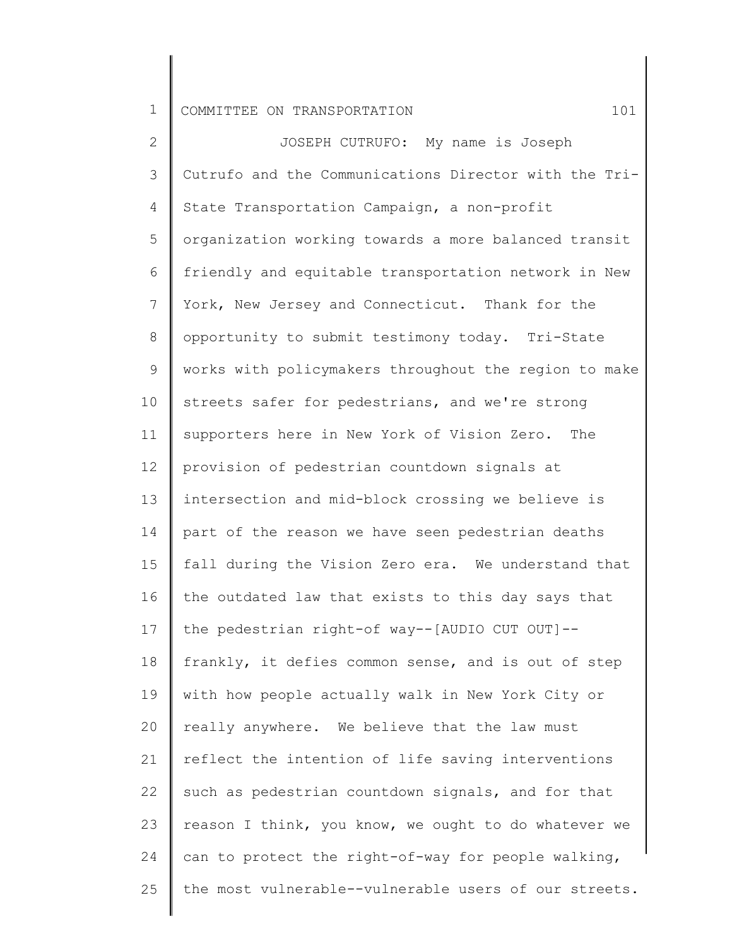2 3 4 5 6 7 8 9 10 11 12 13 14 15 16 17 18 19 20 21 22 23 24 25 JOSEPH CUTRUFO: My name is Joseph Cutrufo and the Communications Director with the Tri-State Transportation Campaign, a non-profit organization working towards a more balanced transit friendly and equitable transportation network in New York, New Jersey and Connecticut. Thank for the opportunity to submit testimony today. Tri-State works with policymakers throughout the region to make streets safer for pedestrians, and we're strong supporters here in New York of Vision Zero. The provision of pedestrian countdown signals at intersection and mid-block crossing we believe is part of the reason we have seen pedestrian deaths fall during the Vision Zero era. We understand that the outdated law that exists to this day says that the pedestrian right-of way--[AUDIO CUT OUT]- frankly, it defies common sense, and is out of step with how people actually walk in New York City or really anywhere. We believe that the law must reflect the intention of life saving interventions such as pedestrian countdown signals, and for that reason I think, you know, we ought to do whatever we can to protect the right-of-way for people walking, the most vulnerable--vulnerable users of our streets.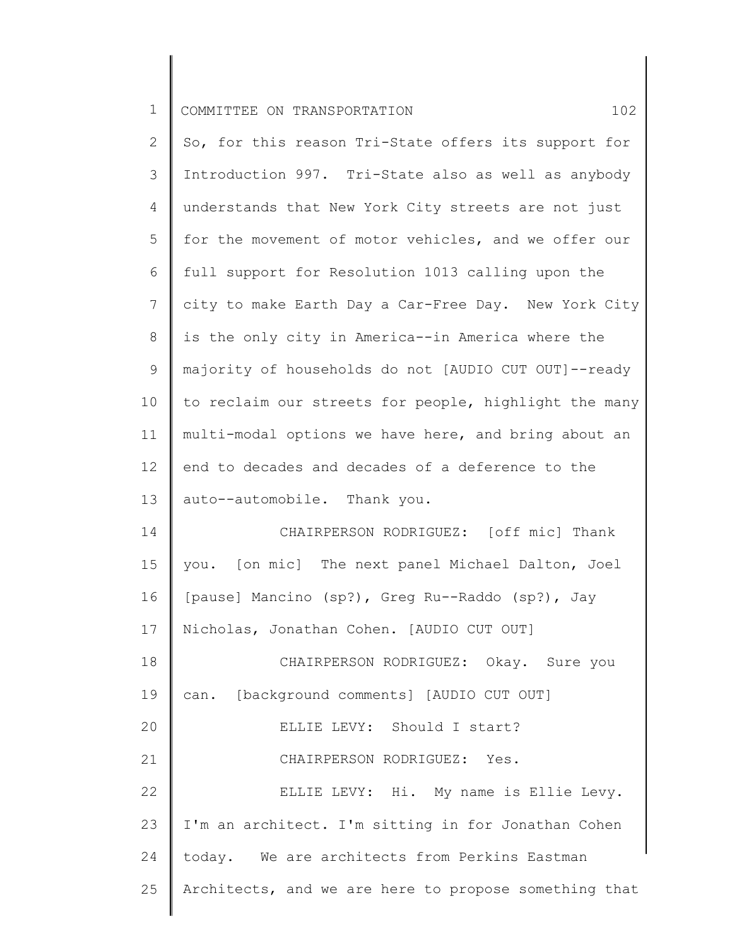2 3 4 5 6 7 8 9 10 11 12 13 14 15 16 17 18 19 20 21 22 23 24 25 So, for this reason Tri-State offers its support for Introduction 997. Tri-State also as well as anybody understands that New York City streets are not just for the movement of motor vehicles, and we offer our full support for Resolution 1013 calling upon the city to make Earth Day a Car-Free Day. New York City is the only city in America--in America where the majority of households do not [AUDIO CUT OUT]--ready to reclaim our streets for people, highlight the many multi-modal options we have here, and bring about an end to decades and decades of a deference to the auto--automobile. Thank you. CHAIRPERSON RODRIGUEZ: [off mic] Thank you. [on mic] The next panel Michael Dalton, Joel [pause] Mancino (sp?), Greg Ru--Raddo (sp?), Jay Nicholas, Jonathan Cohen. [AUDIO CUT OUT] CHAIRPERSON RODRIGUEZ: Okay. Sure you can. [background comments] [AUDIO CUT OUT] ELLIE LEVY: Should I start? CHAIRPERSON RODRIGUEZ: Yes. ELLIE LEVY: Hi. My name is Ellie Levy. I'm an architect. I'm sitting in for Jonathan Cohen today. We are architects from Perkins Eastman Architects, and we are here to propose something that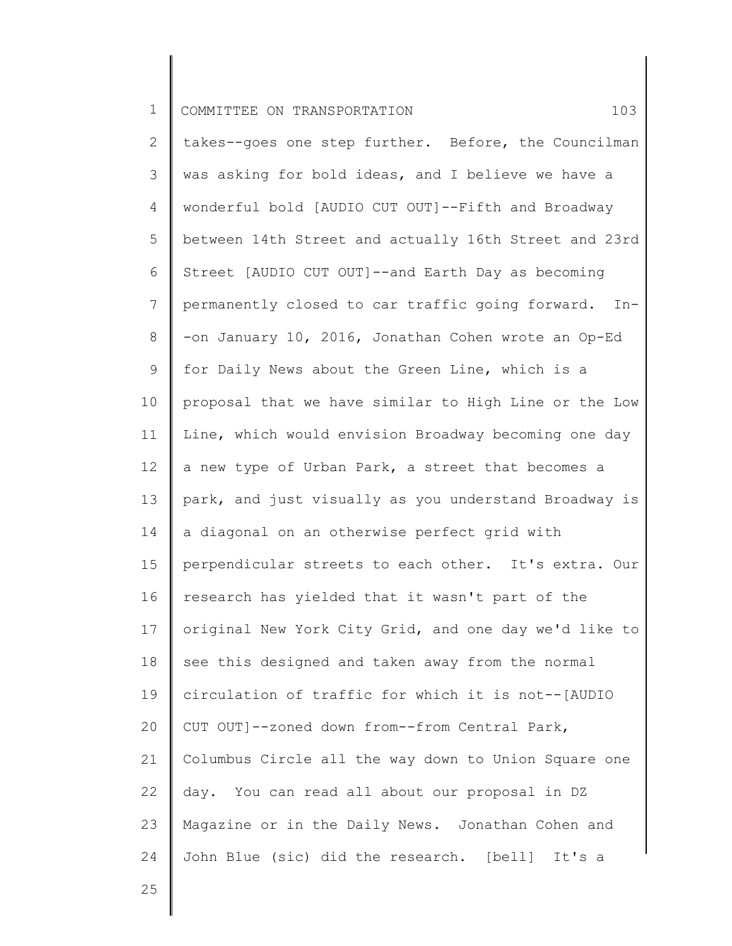2 3 4 5 6 7 8 9 10 11 12 13 14 15 16 17 18 19 20 21 22 23 24 takes--goes one step further. Before, the Councilman was asking for bold ideas, and I believe we have a wonderful bold [AUDIO CUT OUT]--Fifth and Broadway between 14th Street and actually 16th Street and 23rd Street [AUDIO CUT OUT]--and Earth Day as becoming permanently closed to car traffic going forward. In- -on January 10, 2016, Jonathan Cohen wrote an Op-Ed for Daily News about the Green Line, which is a proposal that we have similar to High Line or the Low Line, which would envision Broadway becoming one day a new type of Urban Park, a street that becomes a park, and just visually as you understand Broadway is a diagonal on an otherwise perfect grid with perpendicular streets to each other. It's extra. Our research has yielded that it wasn't part of the original New York City Grid, and one day we'd like to see this designed and taken away from the normal circulation of traffic for which it is not--[AUDIO CUT OUT]--zoned down from--from Central Park, Columbus Circle all the way down to Union Square one day. You can read all about our proposal in DZ Magazine or in the Daily News. Jonathan Cohen and John Blue (sic) did the research. [bell] It's a

25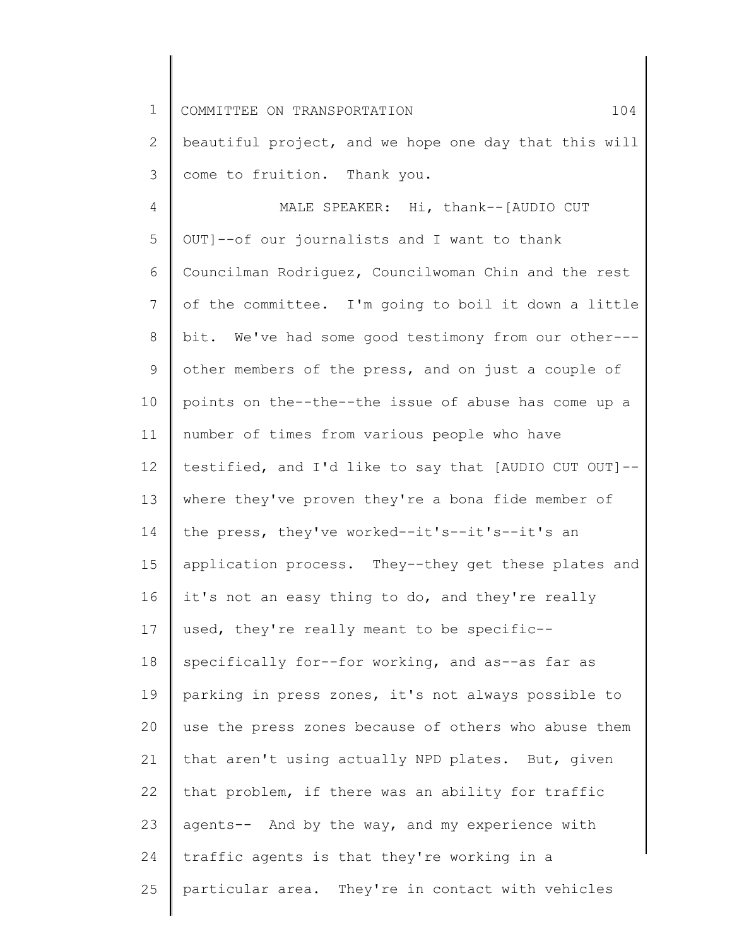| $\mathbf 1$ | 104<br>COMMITTEE ON TRANSPORTATION                    |
|-------------|-------------------------------------------------------|
| 2           | beautiful project, and we hope one day that this will |
| 3           | come to fruition. Thank you.                          |
| 4           | MALE SPEAKER: Hi, thank--[AUDIO CUT                   |
| 5           | OUT]--of our journalists and I want to thank          |
| 6           | Councilman Rodriguez, Councilwoman Chin and the rest  |
| 7           | of the committee. I'm going to boil it down a little  |
| 8           | bit. We've had some good testimony from our other---  |
| 9           | other members of the press, and on just a couple of   |
| 10          | points on the--the--the issue of abuse has come up a  |
| 11          | number of times from various people who have          |
| 12          | testified, and I'd like to say that [AUDIO CUT OUT]-- |
| 13          | where they've proven they're a bona fide member of    |
| 14          | the press, they've worked--it's--it's--it's an        |
| 15          | application process. They--they get these plates and  |
| 16          | it's not an easy thing to do, and they're really      |
| 17          | used, they're really meant to be specific--           |
| 18          | specifically for--for working, and as--as far as      |
| 19          | parking in press zones, it's not always possible to   |
| 20          | use the press zones because of others who abuse them  |
| 21          | that aren't using actually NPD plates. But, given     |
| 22          | that problem, if there was an ability for traffic     |
| 23          | agents-- And by the way, and my experience with       |
| 24          | traffic agents is that they're working in a           |
| 25          | particular area. They're in contact with vehicles     |
|             |                                                       |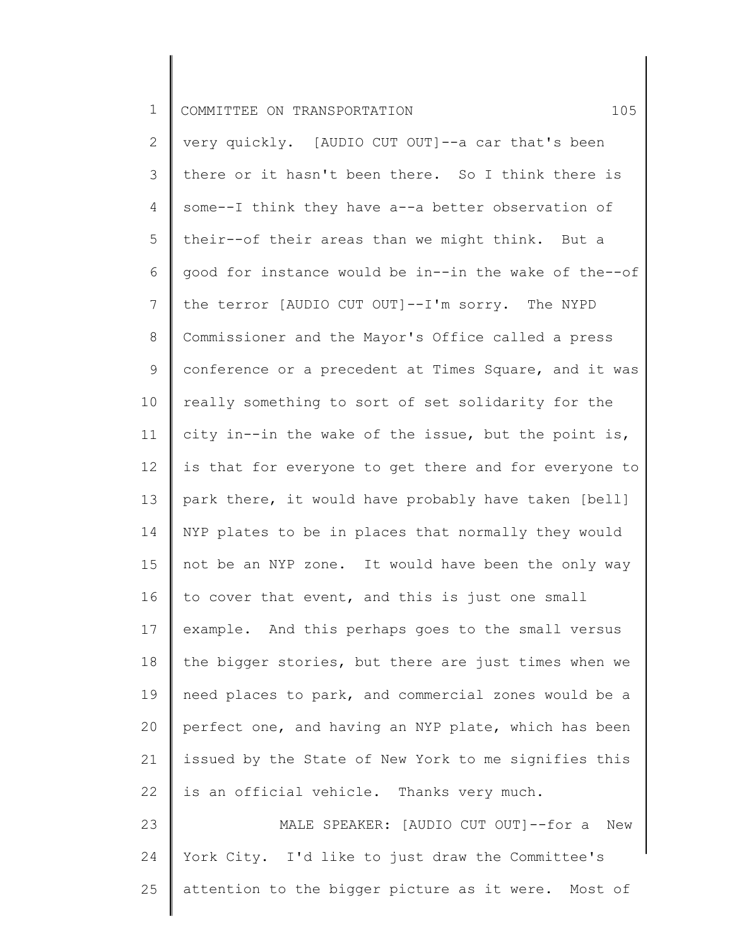2 3 4 5 6 7 8 9 10 11 12 13 14 15 16 17 18 19 20 21 22 23 24 25 very quickly. [AUDIO CUT OUT]--a car that's been there or it hasn't been there. So I think there is some--I think they have a--a better observation of their--of their areas than we might think. But a good for instance would be in--in the wake of the--of the terror [AUDIO CUT OUT]--I'm sorry. The NYPD Commissioner and the Mayor's Office called a press conference or a precedent at Times Square, and it was really something to sort of set solidarity for the city in--in the wake of the issue, but the point is, is that for everyone to get there and for everyone to park there, it would have probably have taken [bell] NYP plates to be in places that normally they would not be an NYP zone. It would have been the only way to cover that event, and this is just one small example. And this perhaps goes to the small versus the bigger stories, but there are just times when we need places to park, and commercial zones would be a perfect one, and having an NYP plate, which has been issued by the State of New York to me signifies this is an official vehicle. Thanks very much. MALE SPEAKER: [AUDIO CUT OUT]--for a New York City. I'd like to just draw the Committee's attention to the bigger picture as it were. Most of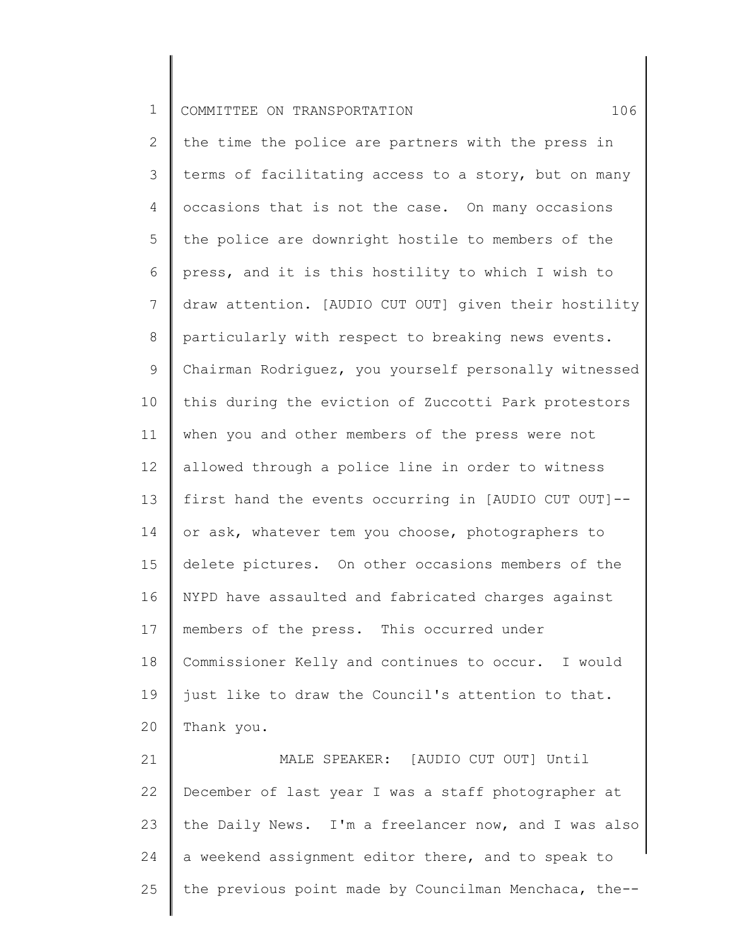2 3 4 5 6 7 8 9 10 11 12 13 14 15 16 17 18 19 20 the time the police are partners with the press in terms of facilitating access to a story, but on many occasions that is not the case. On many occasions the police are downright hostile to members of the press, and it is this hostility to which I wish to draw attention. [AUDIO CUT OUT] given their hostility particularly with respect to breaking news events. Chairman Rodriguez, you yourself personally witnessed this during the eviction of Zuccotti Park protestors when you and other members of the press were not allowed through a police line in order to witness first hand the events occurring in [AUDIO CUT OUT]- or ask, whatever tem you choose, photographers to delete pictures. On other occasions members of the NYPD have assaulted and fabricated charges against members of the press. This occurred under Commissioner Kelly and continues to occur. I would just like to draw the Council's attention to that. Thank you.

21 22 23 24 25 MALE SPEAKER: [AUDIO CUT OUT] Until December of last year I was a staff photographer at the Daily News. I'm a freelancer now, and I was also a weekend assignment editor there, and to speak to the previous point made by Councilman Menchaca, the--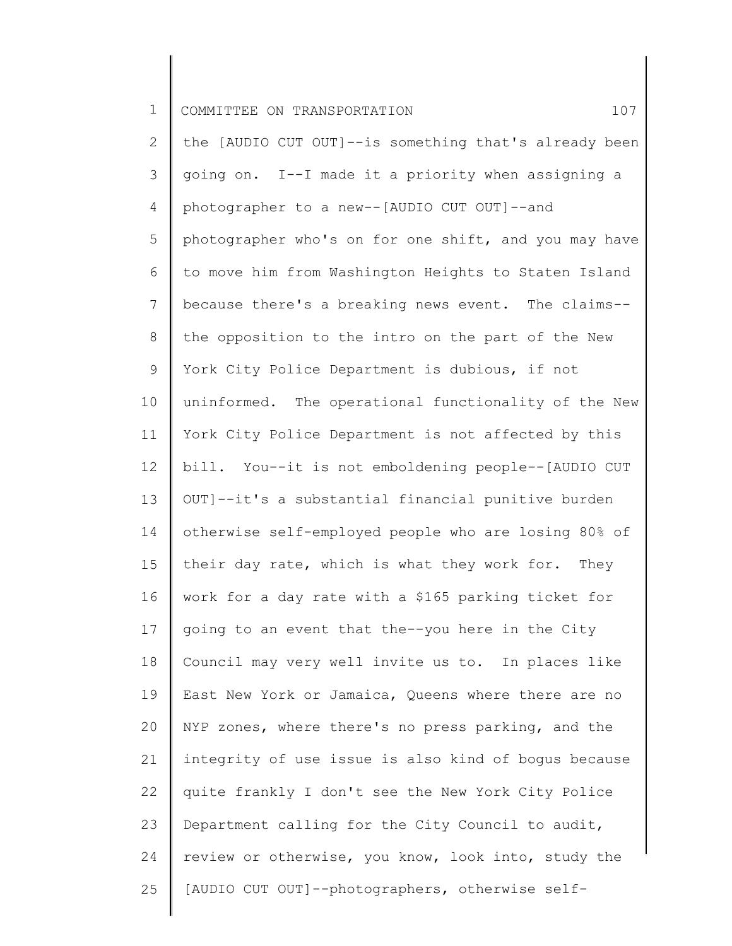2 3 4 5 6 7 8 9 10 11 12 13 14 15 16 17 18 19 20 21 22 23 24 25 the [AUDIO CUT OUT]--is something that's already been going on. I--I made it a priority when assigning a photographer to a new--[AUDIO CUT OUT]--and photographer who's on for one shift, and you may have to move him from Washington Heights to Staten Island because there's a breaking news event. The claims- the opposition to the intro on the part of the New York City Police Department is dubious, if not uninformed. The operational functionality of the New York City Police Department is not affected by this bill. You--it is not emboldening people--[AUDIO CUT OUT]--it's a substantial financial punitive burden otherwise self-employed people who are losing 80% of their day rate, which is what they work for. They work for a day rate with a \$165 parking ticket for going to an event that the--you here in the City Council may very well invite us to. In places like East New York or Jamaica, Queens where there are no NYP zones, where there's no press parking, and the integrity of use issue is also kind of bogus because quite frankly I don't see the New York City Police Department calling for the City Council to audit, review or otherwise, you know, look into, study the [AUDIO CUT OUT]--photographers, otherwise self-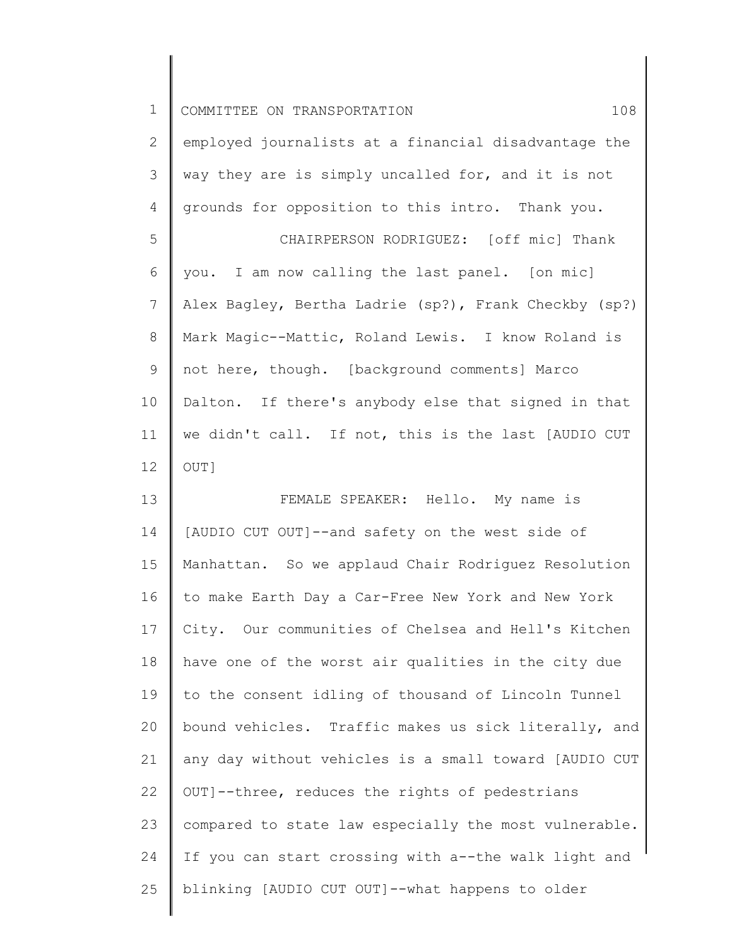| $\mathbf 1$  | 108<br>COMMITTEE ON TRANSPORTATION                    |
|--------------|-------------------------------------------------------|
| $\mathbf{2}$ | employed journalists at a financial disadvantage the  |
| 3            | way they are is simply uncalled for, and it is not    |
| 4            | grounds for opposition to this intro. Thank you.      |
| 5            | CHAIRPERSON RODRIGUEZ: [off mic] Thank                |
| 6            | you. I am now calling the last panel. [on mic]        |
| 7            | Alex Bagley, Bertha Ladrie (sp?), Frank Checkby (sp?) |
| $\,8\,$      | Mark Magic--Mattic, Roland Lewis. I know Roland is    |
| $\mathsf 9$  | not here, though. [background comments] Marco         |
| 10           | Dalton. If there's anybody else that signed in that   |
| 11           | we didn't call. If not, this is the last [AUDIO CUT   |
| 12           | OUT]                                                  |
| 13           | FEMALE SPEAKER: Hello. My name is                     |
| 14           | [AUDIO CUT OUT]--and safety on the west side of       |
| 15           | Manhattan. So we applaud Chair Rodriquez Resolution   |
| 16           | to make Earth Day a Car-Free New York and New York    |
| 17           | City. Our communities of Chelsea and Hell's Kitchen   |
| 18           | have one of the worst air qualities in the city due   |
| 19           | to the consent idling of thousand of Lincoln Tunnel   |
| 20           | bound vehicles. Traffic makes us sick literally, and  |
| 21           | any day without vehicles is a small toward [AUDIO CUT |
| 22           | OUT]--three, reduces the rights of pedestrians        |
| 23           | compared to state law especially the most vulnerable. |
| 24           | If you can start crossing with a--the walk light and  |
| 25           | blinking [AUDIO CUT OUT]--what happens to older       |
|              |                                                       |

║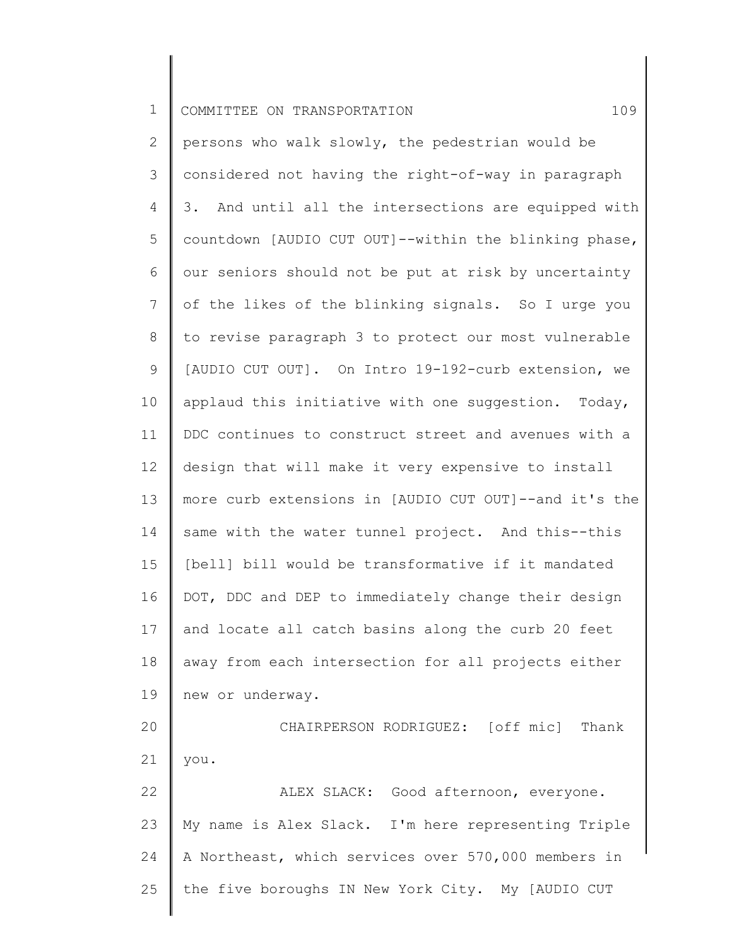1 COMMITTEE ON TRANSPORTATION 109

2 3 4 5 6 7 8 9 10 11 12 13 14 15 16 17 18 19 20 21 22 23 24 25 persons who walk slowly, the pedestrian would be considered not having the right-of-way in paragraph 3. And until all the intersections are equipped with countdown [AUDIO CUT OUT]--within the blinking phase, our seniors should not be put at risk by uncertainty of the likes of the blinking signals. So I urge you to revise paragraph 3 to protect our most vulnerable [AUDIO CUT OUT]. On Intro 19-192-curb extension, we applaud this initiative with one suggestion. Today, DDC continues to construct street and avenues with a design that will make it very expensive to install more curb extensions in [AUDIO CUT OUT]--and it's the same with the water tunnel project. And this--this [bell] bill would be transformative if it mandated DOT, DDC and DEP to immediately change their design and locate all catch basins along the curb 20 feet away from each intersection for all projects either new or underway. CHAIRPERSON RODRIGUEZ: [off mic] Thank you. ALEX SLACK: Good afternoon, everyone. My name is Alex Slack. I'm here representing Triple A Northeast, which services over 570,000 members in the five boroughs IN New York City. My [AUDIO CUT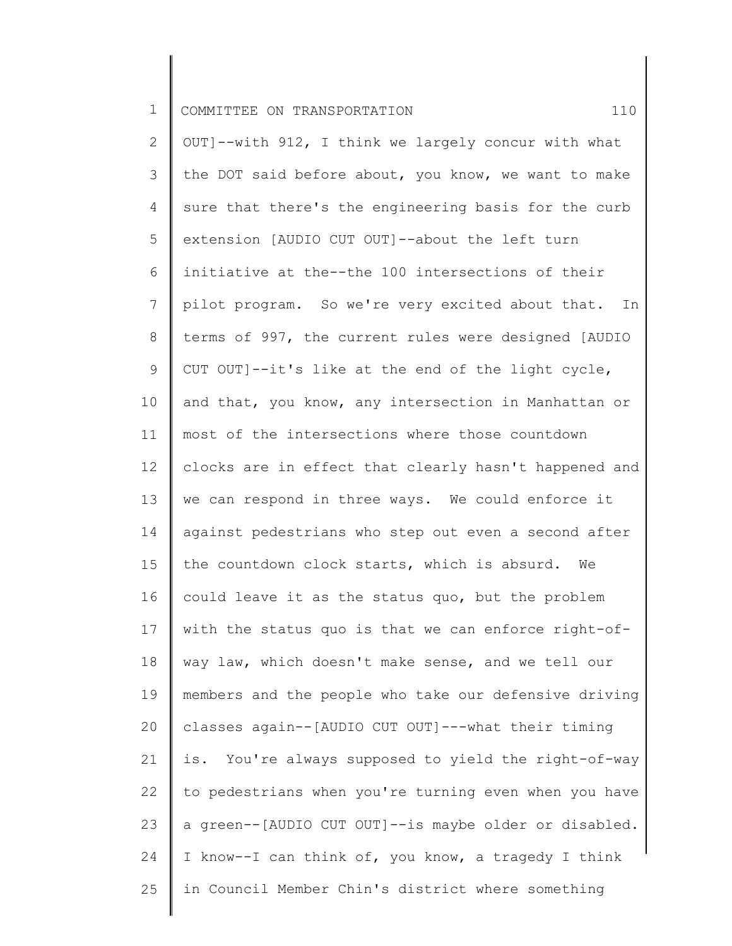1 COMMITTEE ON TRANSPORTATION 110

2 3 4 5 6 7 8 9 10 11 12 13 14 15 16 17 18 19 20 21 22 23 24 25 OUT]--with 912, I think we largely concur with what the DOT said before about, you know, we want to make sure that there's the engineering basis for the curb extension [AUDIO CUT OUT]--about the left turn initiative at the--the 100 intersections of their pilot program. So we're very excited about that. In terms of 997, the current rules were designed [AUDIO CUT OUT]--it's like at the end of the light cycle, and that, you know, any intersection in Manhattan or most of the intersections where those countdown clocks are in effect that clearly hasn't happened and we can respond in three ways. We could enforce it against pedestrians who step out even a second after the countdown clock starts, which is absurd. We could leave it as the status quo, but the problem with the status quo is that we can enforce right-ofway law, which doesn't make sense, and we tell our members and the people who take our defensive driving classes again--[AUDIO CUT OUT]---what their timing is. You're always supposed to yield the right-of-way to pedestrians when you're turning even when you have a green--[AUDIO CUT OUT]--is maybe older or disabled. I know--I can think of, you know, a tragedy I think in Council Member Chin's district where something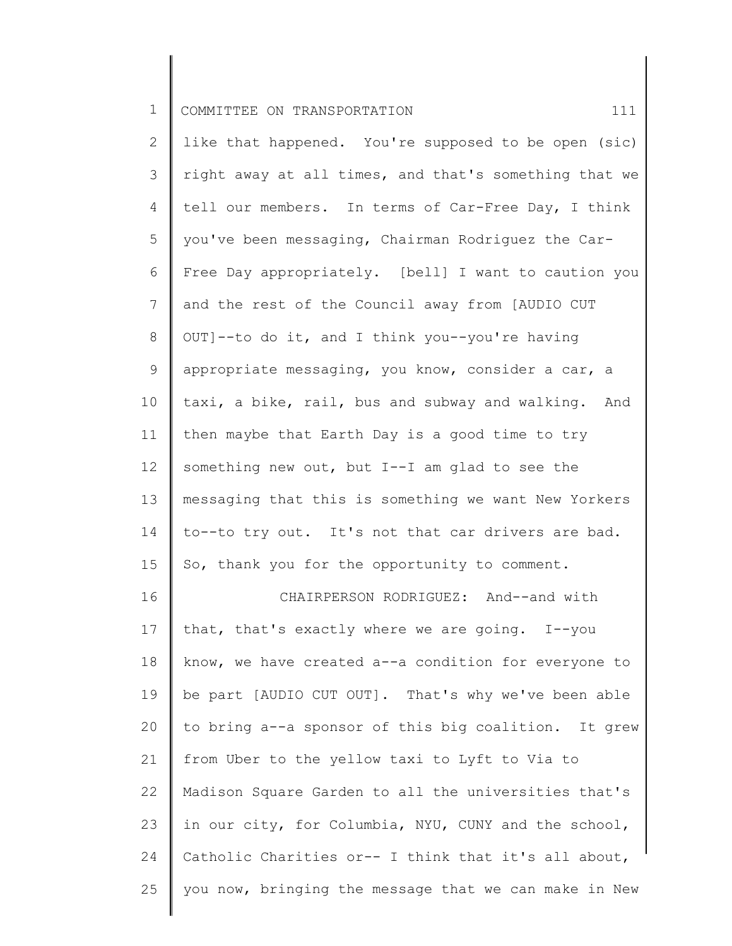1 COMMITTEE ON TRANSPORTATION 111

| $\mathbf{2}$   | like that happened. You're supposed to be open (sic)  |
|----------------|-------------------------------------------------------|
| 3              | right away at all times, and that's something that we |
| 4              | tell our members. In terms of Car-Free Day, I think   |
| 5              | you've been messaging, Chairman Rodriguez the Car-    |
| 6              | Free Day appropriately. [bell] I want to caution you  |
| $7\phantom{.}$ | and the rest of the Council away from [AUDIO CUT      |
| 8              | OUT]--to do it, and I think you--you're having        |
| 9              | appropriate messaging, you know, consider a car, a    |
| 10             | taxi, a bike, rail, bus and subway and walking. And   |
| 11             | then maybe that Earth Day is a good time to try       |
| 12             | something new out, but I--I am glad to see the        |
| 13             | messaging that this is something we want New Yorkers  |
| 14             | to--to try out. It's not that car drivers are bad.    |
| 15             | So, thank you for the opportunity to comment.         |
| 16             | CHAIRPERSON RODRIGUEZ: And--and with                  |
| 17             | that, that's exactly where we are going. I--you       |

17 18 19 20 21 22 23 24 25 that, that's exactly where we are going. I--you know, we have created a--a condition for everyone to be part [AUDIO CUT OUT]. That's why we've been able to bring a--a sponsor of this big coalition. It grew from Uber to the yellow taxi to Lyft to Via to Madison Square Garden to all the universities that's in our city, for Columbia, NYU, CUNY and the school, Catholic Charities or-- I think that it's all about, you now, bringing the message that we can make in New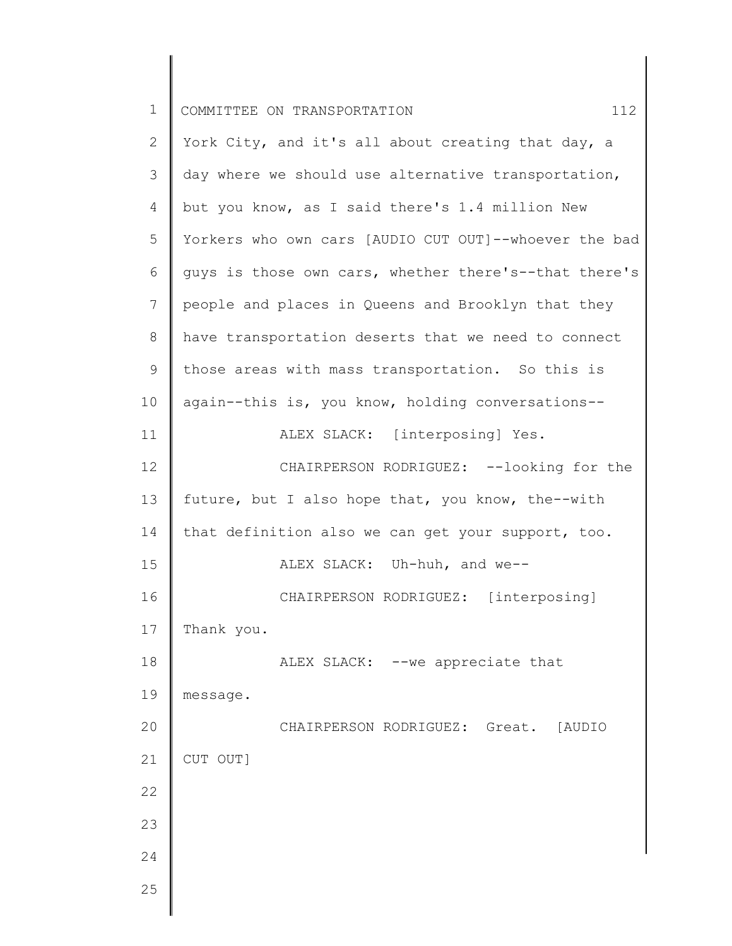| $\mathbf 1$    | COMMITTEE ON TRANSPORTATION<br>112                    |
|----------------|-------------------------------------------------------|
| $\overline{2}$ | York City, and it's all about creating that day, a    |
| 3              | day where we should use alternative transportation,   |
| 4              | but you know, as I said there's 1.4 million New       |
| 5              | Yorkers who own cars [AUDIO CUT OUT]--whoever the bad |
| 6              | guys is those own cars, whether there's--that there's |
| 7              | people and places in Queens and Brooklyn that they    |
| 8              | have transportation deserts that we need to connect   |
| 9              | those areas with mass transportation. So this is      |
| 10             | again--this is, you know, holding conversations--     |
| 11             | ALEX SLACK: [interposing] Yes.                        |
| 12             | CHAIRPERSON RODRIGUEZ: --looking for the              |
| 13             | future, but I also hope that, you know, the--with     |
| 14             | that definition also we can get your support, too.    |
| 15             | ALEX SLACK: Uh-huh, and we--                          |
| 16             | CHAIRPERSON RODRIGUEZ: [interposing]                  |
| 17             | Thank you.                                            |
| 18             | ALEX SLACK: -- we appreciate that                     |
| 19             | message.                                              |
| 20             | CHAIRPERSON RODRIGUEZ: Great.<br>[AUDIO               |
| 21             | CUT OUT]                                              |
| 22             |                                                       |
| 23             |                                                       |
| 24             |                                                       |
| 25             |                                                       |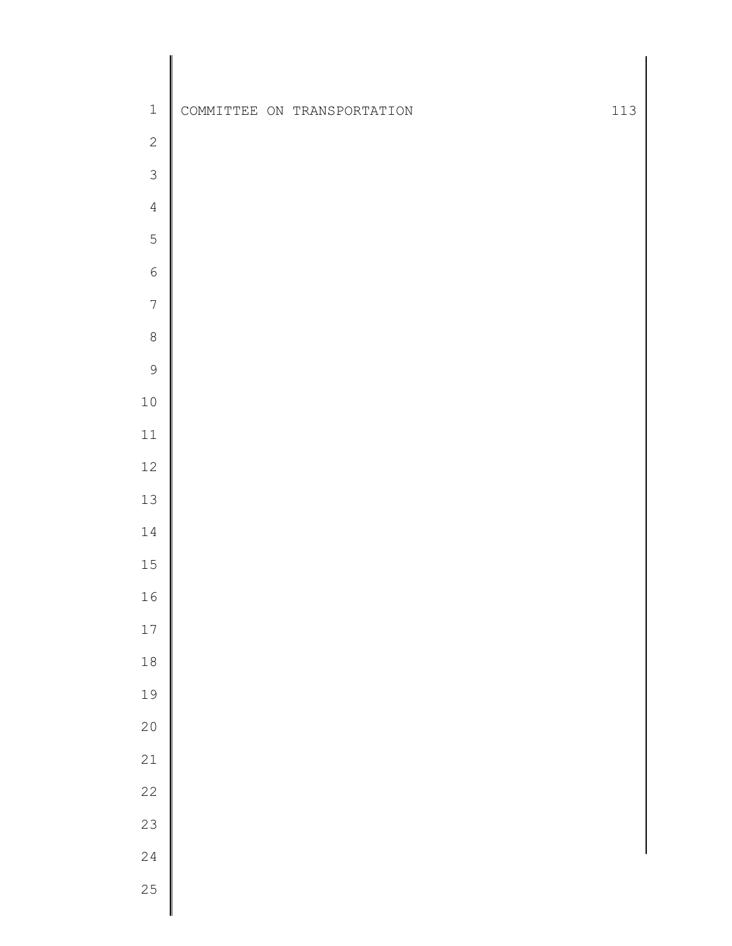| $\mathbf 1$      |  | COMMITTEE ON TRANSPORTATION | 113 |
|------------------|--|-----------------------------|-----|
| $\sqrt{2}$       |  |                             |     |
| $\mathfrak{Z}$   |  |                             |     |
| $\overline{4}$   |  |                             |     |
| $\mathsf S$      |  |                             |     |
| $\epsilon$       |  |                             |     |
| $\boldsymbol{7}$ |  |                             |     |
| $\,8\,$          |  |                             |     |
| $\mathcal{G}$    |  |                             |     |
| $10\,$           |  |                             |     |
| $11\,$           |  |                             |     |
| $12\,$           |  |                             |     |
| $13$             |  |                             |     |
| 14               |  |                             |     |
| $15\,$           |  |                             |     |
| $16$             |  |                             |     |
| $17$             |  |                             |     |
| $18$             |  |                             |     |
| 19               |  |                             |     |
| 20               |  |                             |     |
| $21\,$           |  |                             |     |
| $2\sqrt{2}$      |  |                             |     |
| 23               |  |                             |     |
| 24               |  |                             |     |
| 25<br>Ш          |  |                             |     |